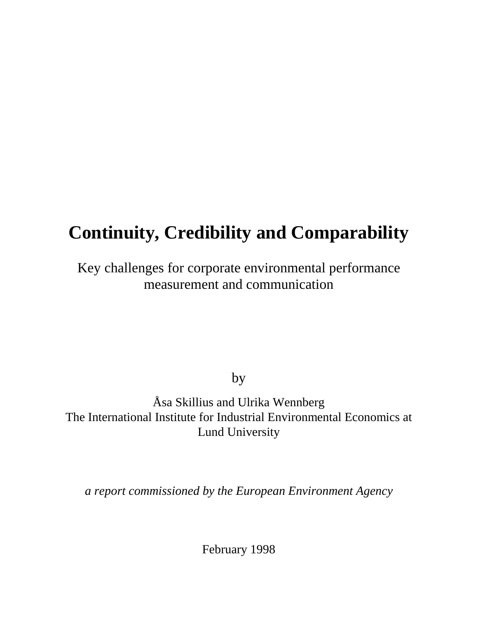# **Continuity, Credibility and Comparability**

# Key challenges for corporate environmental performance measurement and communication

by

Åsa Skillius and Ulrika Wennberg The International Institute for Industrial Environmental Economics at Lund University

*a report commissioned by the European Environment Agency*

February 1998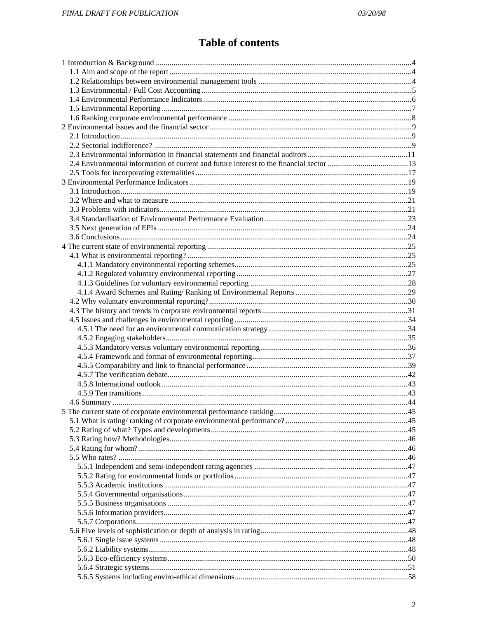# **Table of contents**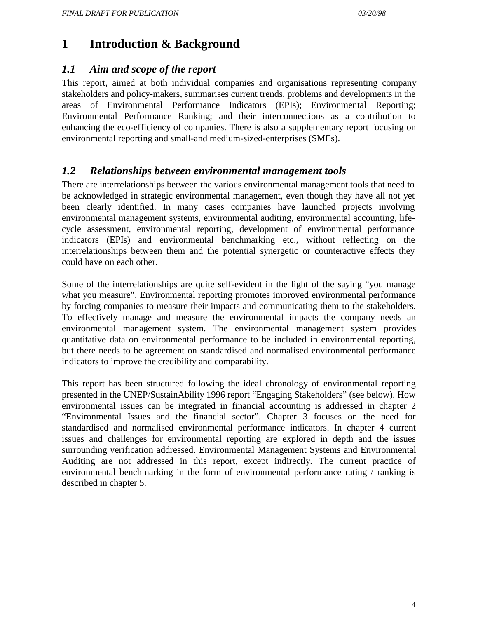# **1 Introduction & Background**

### *1.1 Aim and scope of the report*

This report, aimed at both individual companies and organisations representing company stakeholders and policy-makers, summarises current trends, problems and developments in the areas of Environmental Performance Indicators (EPIs); Environmental Reporting; Environmental Performance Ranking; and their interconnections as a contribution to enhancing the eco-efficiency of companies. There is also a supplementary report focusing on environmental reporting and small-and medium-sized-enterprises (SMEs).

### *1.2 Relationships between environmental management tools*

There are interrelationships between the various environmental management tools that need to be acknowledged in strategic environmental management, even though they have all not yet been clearly identified. In many cases companies have launched projects involving environmental management systems, environmental auditing, environmental accounting, lifecycle assessment, environmental reporting, development of environmental performance indicators (EPIs) and environmental benchmarking etc., without reflecting on the interrelationships between them and the potential synergetic or counteractive effects they could have on each other.

Some of the interrelationships are quite self-evident in the light of the saying "you manage what you measure". Environmental reporting promotes improved environmental performance by forcing companies to measure their impacts and communicating them to the stakeholders. To effectively manage and measure the environmental impacts the company needs an environmental management system. The environmental management system provides quantitative data on environmental performance to be included in environmental reporting, but there needs to be agreement on standardised and normalised environmental performance indicators to improve the credibility and comparability.

This report has been structured following the ideal chronology of environmental reporting presented in the UNEP/SustainAbility 1996 report "Engaging Stakeholders" (see below). How environmental issues can be integrated in financial accounting is addressed in chapter 2 "Environmental Issues and the financial sector". Chapter 3 focuses on the need for standardised and normalised environmental performance indicators. In chapter 4 current issues and challenges for environmental reporting are explored in depth and the issues surrounding verification addressed. Environmental Management Systems and Environmental Auditing are not addressed in this report, except indirectly. The current practice of environmental benchmarking in the form of environmental performance rating / ranking is described in chapter 5.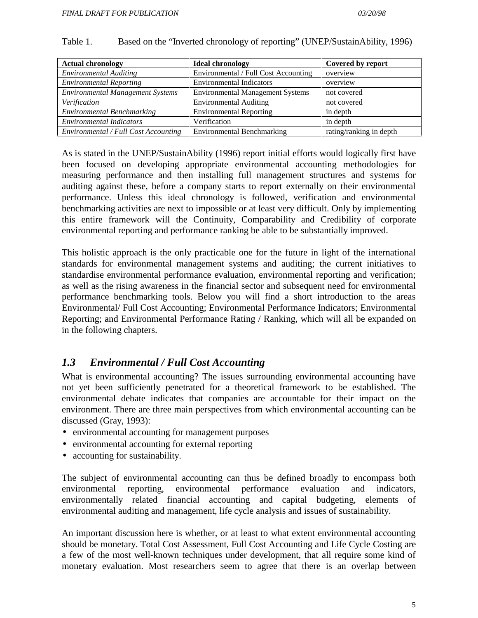| <b>Actual chronology</b>                | <b>Ideal chronology</b>                 | Covered by report       |
|-----------------------------------------|-----------------------------------------|-------------------------|
| <b>Environmental Auditing</b>           | Environmental / Full Cost Accounting    | overview                |
| <b>Environmental Reporting</b>          | <b>Environmental Indicators</b>         | overview                |
| <b>Environmental Management Systems</b> | <b>Environmental Management Systems</b> | not covered             |
| Verification                            | <b>Environmental Auditing</b>           | not covered             |
| <b>Environmental Benchmarking</b>       | <b>Environmental Reporting</b>          | in depth                |
| <b>Environmental Indicators</b>         | Verification                            | in depth                |
| Environmental / Full Cost Accounting    | <b>Environmental Benchmarking</b>       | rating/ranking in depth |

#### Table 1. Based on the "Inverted chronology of reporting" (UNEP/SustainAbility, 1996)

As is stated in the UNEP/SustainAbility (1996) report initial efforts would logically first have been focused on developing appropriate environmental accounting methodologies for measuring performance and then installing full management structures and systems for auditing against these, before a company starts to report externally on their environmental performance. Unless this ideal chronology is followed, verification and environmental benchmarking activities are next to impossible or at least very difficult. Only by implementing this entire framework will the Continuity, Comparability and Credibility of corporate environmental reporting and performance ranking be able to be substantially improved.

This holistic approach is the only practicable one for the future in light of the international standards for environmental management systems and auditing; the current initiatives to standardise environmental performance evaluation, environmental reporting and verification; as well as the rising awareness in the financial sector and subsequent need for environmental performance benchmarking tools. Below you will find a short introduction to the areas Environmental/ Full Cost Accounting; Environmental Performance Indicators; Environmental Reporting; and Environmental Performance Rating / Ranking, which will all be expanded on in the following chapters.

### *1.3 Environmental / Full Cost Accounting*

What is environmental accounting? The issues surrounding environmental accounting have not yet been sufficiently penetrated for a theoretical framework to be established. The environmental debate indicates that companies are accountable for their impact on the environment. There are three main perspectives from which environmental accounting can be discussed (Gray, 1993):

- environmental accounting for management purposes
- environmental accounting for external reporting
- accounting for sustainability.

The subject of environmental accounting can thus be defined broadly to encompass both environmental reporting, environmental performance evaluation and indicators, environmentally related financial accounting and capital budgeting, elements of environmental auditing and management, life cycle analysis and issues of sustainability.

An important discussion here is whether, or at least to what extent environmental accounting should be monetary. Total Cost Assessment, Full Cost Accounting and Life Cycle Costing are a few of the most well-known techniques under development, that all require some kind of monetary evaluation. Most researchers seem to agree that there is an overlap between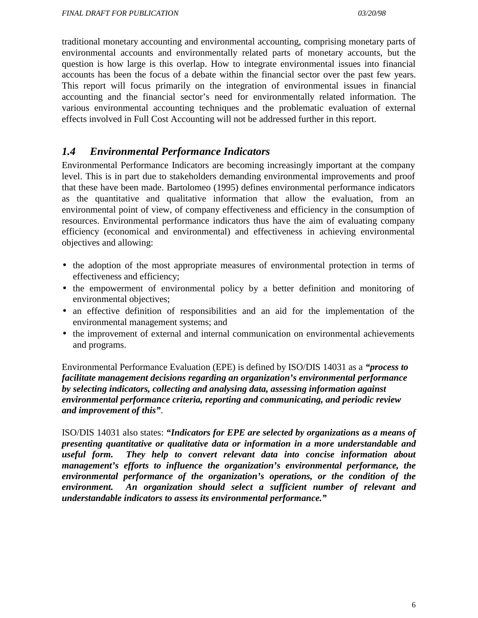traditional monetary accounting and environmental accounting, comprising monetary parts of environmental accounts and environmentally related parts of monetary accounts, but the question is how large is this overlap. How to integrate environmental issues into financial accounts has been the focus of a debate within the financial sector over the past few years. This report will focus primarily on the integration of environmental issues in financial accounting and the financial sector's need for environmentally related information. The various environmental accounting techniques and the problematic evaluation of external effects involved in Full Cost Accounting will not be addressed further in this report.

### *1.4 Environmental Performance Indicators*

Environmental Performance Indicators are becoming increasingly important at the company level. This is in part due to stakeholders demanding environmental improvements and proof that these have been made. Bartolomeo (1995) defines environmental performance indicators as the quantitative and qualitative information that allow the evaluation, from an environmental point of view, of company effectiveness and efficiency in the consumption of resources. Environmental performance indicators thus have the aim of evaluating company efficiency (economical and environmental) and effectiveness in achieving environmental objectives and allowing:

- the adoption of the most appropriate measures of environmental protection in terms of effectiveness and efficiency;
- the empowerment of environmental policy by a better definition and monitoring of environmental objectives;
- an effective definition of responsibilities and an aid for the implementation of the environmental management systems; and
- the improvement of external and internal communication on environmental achievements and programs.

Environmental Performance Evaluation (EPE) is defined by ISO/DIS 14031 as a *"process to facilitate management decisions regarding an organization's environmental performance by selecting indicators, collecting and analysing data, assessing information against environmental performance criteria, reporting and communicating, and periodic review and improvement of this"*.

ISO/DIS 14031 also states: *"Indicators for EPE are selected by organizations as a means of presenting quantitative or qualitative data or information in a more understandable and useful form. They help to convert relevant data into concise information about management's efforts to influence the organization's environmental performance, the environmental performance of the organization's operations, or the condition of the environment. An organization should select a sufficient number of relevant and understandable indicators to assess its environmental performance."*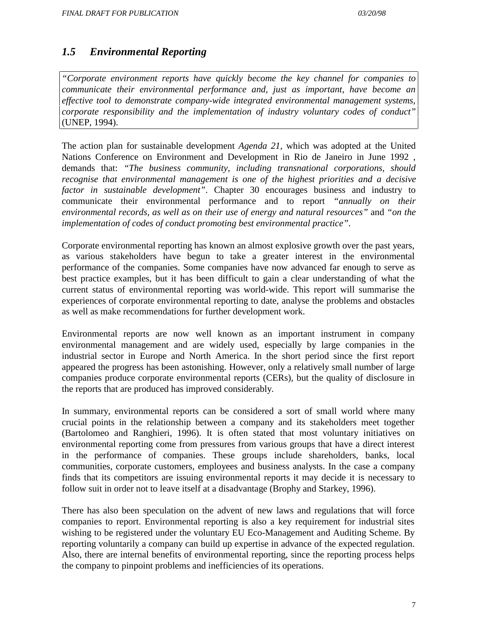### *1.5 Environmental Reporting*

*"Corporate environment reports have quickly become the key channel for companies to communicate their environmental performance and, just as important, have become an effective tool to demonstrate company-wide integrated environmental management systems, corporate responsibility and the implementation of industry voluntary codes of conduct"* (UNEP, 1994).

The action plan for sustainable development *Agenda 21,* which was adopted at the United Nations Conference on Environment and Development in Rio de Janeiro in June 1992 , demands that: *"The business community, including transnational corporations, should recognise that environmental management is one of the highest priorities and a decisive factor in sustainable development"*. Chapter 30 encourages business and industry to communicate their environmental performance and to report *"annually on their environmental records, as well as on their use of energy and natural resources"* and *"on the implementation of codes of conduct promoting best environmental practice"*.

Corporate environmental reporting has known an almost explosive growth over the past years, as various stakeholders have begun to take a greater interest in the environmental performance of the companies. Some companies have now advanced far enough to serve as best practice examples, but it has been difficult to gain a clear understanding of what the current status of environmental reporting was world-wide. This report will summarise the experiences of corporate environmental reporting to date, analyse the problems and obstacles as well as make recommendations for further development work.

Environmental reports are now well known as an important instrument in company environmental management and are widely used, especially by large companies in the industrial sector in Europe and North America. In the short period since the first report appeared the progress has been astonishing. However, only a relatively small number of large companies produce corporate environmental reports (CERs), but the quality of disclosure in the reports that are produced has improved considerably.

In summary, environmental reports can be considered a sort of small world where many crucial points in the relationship between a company and its stakeholders meet together (Bartolomeo and Ranghieri, 1996). It is often stated that most voluntary initiatives on environmental reporting come from pressures from various groups that have a direct interest in the performance of companies. These groups include shareholders, banks, local communities, corporate customers, employees and business analysts. In the case a company finds that its competitors are issuing environmental reports it may decide it is necessary to follow suit in order not to leave itself at a disadvantage (Brophy and Starkey, 1996).

There has also been speculation on the advent of new laws and regulations that will force companies to report. Environmental reporting is also a key requirement for industrial sites wishing to be registered under the voluntary EU Eco-Management and Auditing Scheme. By reporting voluntarily a company can build up expertise in advance of the expected regulation. Also, there are internal benefits of environmental reporting, since the reporting process helps the company to pinpoint problems and inefficiencies of its operations.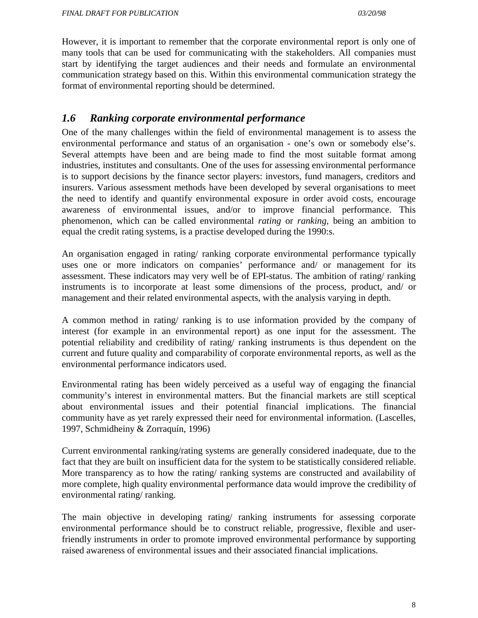However, it is important to remember that the corporate environmental report is only one of many tools that can be used for communicating with the stakeholders. All companies must start by identifying the target audiences and their needs and formulate an environmental communication strategy based on this. Within this environmental communication strategy the format of environmental reporting should be determined.

### *1.6 Ranking corporate environmental performance*

One of the many challenges within the field of environmental management is to assess the environmental performance and status of an organisation - one's own or somebody else's. Several attempts have been and are being made to find the most suitable format among industries, institutes and consultants. One of the uses for assessing environmental performance is to support decisions by the finance sector players: investors, fund managers, creditors and insurers. Various assessment methods have been developed by several organisations to meet the need to identify and quantify environmental exposure in order avoid costs, encourage awareness of environmental issues, and/or to improve financial performance. This phenomenon, which can be called environmental *rating* or *ranking*, being an ambition to equal the credit rating systems, is a practise developed during the 1990:s.

An organisation engaged in rating/ ranking corporate environmental performance typically uses one or more indicators on companies' performance and/ or management for its assessment. These indicators may very well be of EPI-status. The ambition of rating/ ranking instruments is to incorporate at least some dimensions of the process, product, and/ or management and their related environmental aspects, with the analysis varying in depth.

A common method in rating/ ranking is to use information provided by the company of interest (for example in an environmental report) as one input for the assessment. The potential reliability and credibility of rating/ ranking instruments is thus dependent on the current and future quality and comparability of corporate environmental reports, as well as the environmental performance indicators used.

Environmental rating has been widely perceived as a useful way of engaging the financial community's interest in environmental matters. But the financial markets are still sceptical about environmental issues and their potential financial implications. The financial community have as yet rarely expressed their need for environmental information. (Lascelles, 1997, Schmidheiny & Zorraquín, 1996)

Current environmental ranking/rating systems are generally considered inadequate, due to the fact that they are built on insufficient data for the system to be statistically considered reliable. More transparency as to how the rating/ ranking systems are constructed and availability of more complete, high quality environmental performance data would improve the credibility of environmental rating/ ranking.

The main objective in developing rating/ ranking instruments for assessing corporate environmental performance should be to construct reliable, progressive, flexible and userfriendly instruments in order to promote improved environmental performance by supporting raised awareness of environmental issues and their associated financial implications.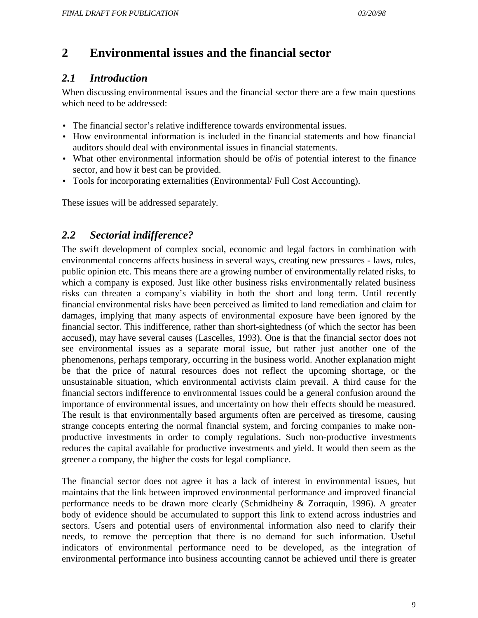# **2 Environmental issues and the financial sector**

# *2.1 Introduction*

When discussing environmental issues and the financial sector there are a few main questions which need to be addressed:

- The financial sector's relative indifference towards environmental issues.
- How environmental information is included in the financial statements and how financial auditors should deal with environmental issues in financial statements.
- What other environmental information should be of/is of potential interest to the finance sector, and how it best can be provided.
- Tools for incorporating externalities (Environmental/ Full Cost Accounting).

These issues will be addressed separately.

# *2.2 Sectorial indifference?*

The swift development of complex social, economic and legal factors in combination with environmental concerns affects business in several ways, creating new pressures - laws, rules, public opinion etc. This means there are a growing number of environmentally related risks, to which a company is exposed. Just like other business risks environmentally related business risks can threaten a company's viability in both the short and long term. Until recently financial environmental risks have been perceived as limited to land remediation and claim for damages, implying that many aspects of environmental exposure have been ignored by the financial sector. This indifference, rather than short-sightedness (of which the sector has been accused), may have several causes (Lascelles, 1993). One is that the financial sector does not see environmental issues as a separate moral issue, but rather just another one of the phenomenons, perhaps temporary, occurring in the business world. Another explanation might be that the price of natural resources does not reflect the upcoming shortage, or the unsustainable situation, which environmental activists claim prevail. A third cause for the financial sectors indifference to environmental issues could be a general confusion around the importance of environmental issues, and uncertainty on how their effects should be measured. The result is that environmentally based arguments often are perceived as tiresome, causing strange concepts entering the normal financial system, and forcing companies to make nonproductive investments in order to comply regulations. Such non-productive investments reduces the capital available for productive investments and yield. It would then seem as the greener a company, the higher the costs for legal compliance.

The financial sector does not agree it has a lack of interest in environmental issues, but maintains that the link between improved environmental performance and improved financial performance needs to be drawn more clearly (Schmidheiny & Zorraquín, 1996). A greater body of evidence should be accumulated to support this link to extend across industries and sectors. Users and potential users of environmental information also need to clarify their needs, to remove the perception that there is no demand for such information. Useful indicators of environmental performance need to be developed, as the integration of environmental performance into business accounting cannot be achieved until there is greater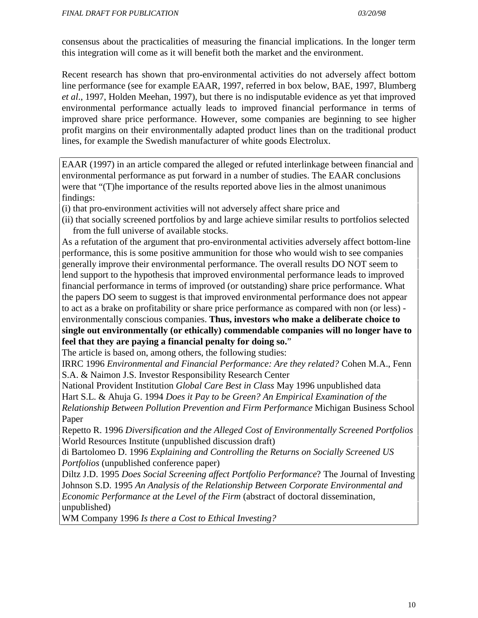consensus about the practicalities of measuring the financial implications. In the longer term this integration will come as it will benefit both the market and the environment.

Recent research has shown that pro-environmental activities do not adversely affect bottom line performance (see for example EAAR, 1997, referred in box below, BAE, 1997, Blumberg *et al*., 1997, Holden Meehan, 1997), but there is no indisputable evidence as yet that improved environmental performance actually leads to improved financial performance in terms of improved share price performance. However, some companies are beginning to see higher profit margins on their environmentally adapted product lines than on the traditional product lines, for example the Swedish manufacturer of white goods Electrolux.

EAAR (1997) in an article compared the alleged or refuted interlinkage between financial and environmental performance as put forward in a number of studies. The EAAR conclusions were that "(T)he importance of the results reported above lies in the almost unanimous findings:

(i) that pro-environment activities will not adversely affect share price and

(ii) that socially screened portfolios by and large achieve similar results to portfolios selected from the full universe of available stocks.

As a refutation of the argument that pro-environmental activities adversely affect bottom-line performance, this is some positive ammunition for those who would wish to see companies generally improve their environmental performance. The overall results DO NOT seem to lend support to the hypothesis that improved environmental performance leads to improved financial performance in terms of improved (or outstanding) share price performance. What the papers DO seem to suggest is that improved environmental performance does not appear to act as a brake on profitability or share price performance as compared with non (or less) environmentally conscious companies. **Thus, investors who make a deliberate choice to single out environmentally (or ethically) commendable companies will no longer have to feel that they are paying a financial penalty for doing so.**"

The article is based on, among others, the following studies:

IRRC 1996 *Environmental and Financial Performance: Are they related?* Cohen M.A., Fenn S.A. & Naimon J.S. Investor Responsibility Research Center

National Provident Institution *Global Care Best in Class* May 1996 unpublished data Hart S.L. & Ahuja G. 1994 *Does it Pay to be Green? An Empirical Examination of the Relationship Between Pollution Prevention and Firm Performance* Michigan Business School Paper

Repetto R. 1996 *Diversification and the Alleged Cost of Environmentally Screened Portfolios* World Resources Institute (unpublished discussion draft)

di Bartolomeo D. 1996 *Explaining and Controlling the Returns on Socially Screened US Portfolios* (unpublished conference paper)

Diltz J.D. 1995 *Does Social Screening affect Portfolio Performance*? The Journal of Investing Johnson S.D. 1995 *An Analysis of the Relationship Between Corporate Environmental and Economic Performance at the Level of the Firm* (abstract of doctoral dissemination, unpublished)

WM Company 1996 *Is there a Cost to Ethical Investing?*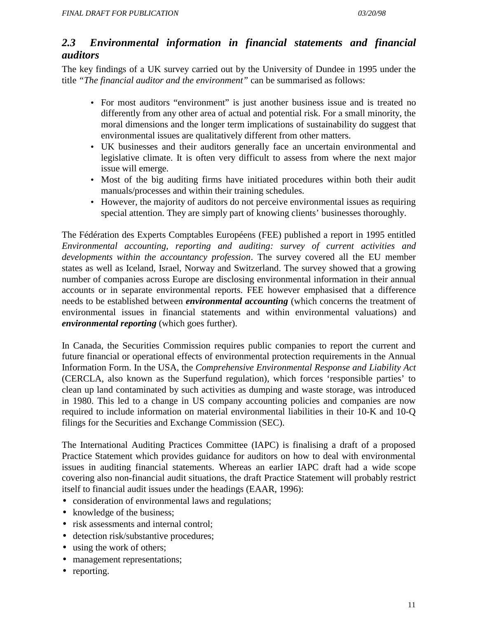### *2.3 Environmental information in financial statements and financial auditors*

The key findings of a UK survey carried out by the University of Dundee in 1995 under the title *"The financial auditor and the environment"* can be summarised as follows:

- For most auditors "environment" is just another business issue and is treated no differently from any other area of actual and potential risk. For a small minority, the moral dimensions and the longer term implications of sustainability do suggest that environmental issues are qualitatively different from other matters.
- UK businesses and their auditors generally face an uncertain environmental and legislative climate. It is often very difficult to assess from where the next major issue will emerge.
- Most of the big auditing firms have initiated procedures within both their audit manuals/processes and within their training schedules.
- However, the majority of auditors do not perceive environmental issues as requiring special attention. They are simply part of knowing clients' businesses thoroughly.

The Fédération des Experts Comptables Européens (FEE) published a report in 1995 entitled *Environmental accounting, reporting and auditing: survey of current activities and developments within the accountancy profession*. The survey covered all the EU member states as well as Iceland, Israel, Norway and Switzerland. The survey showed that a growing number of companies across Europe are disclosing environmental information in their annual accounts or in separate environmental reports. FEE however emphasised that a difference needs to be established between *environmental accounting* (which concerns the treatment of environmental issues in financial statements and within environmental valuations) and *environmental reporting* (which goes further).

In Canada, the Securities Commission requires public companies to report the current and future financial or operational effects of environmental protection requirements in the Annual Information Form. In the USA, the *Comprehensive Environmental Response and Liability Act* (CERCLA, also known as the Superfund regulation), which forces 'responsible parties' to clean up land contaminated by such activities as dumping and waste storage, was introduced in 1980. This led to a change in US company accounting policies and companies are now required to include information on material environmental liabilities in their 10-K and 10-Q filings for the Securities and Exchange Commission (SEC).

The International Auditing Practices Committee (IAPC) is finalising a draft of a proposed Practice Statement which provides guidance for auditors on how to deal with environmental issues in auditing financial statements. Whereas an earlier IAPC draft had a wide scope covering also non-financial audit situations, the draft Practice Statement will probably restrict itself to financial audit issues under the headings (EAAR, 1996):

- consideration of environmental laws and regulations;
- knowledge of the business;
- risk assessments and internal control;
- detection risk/substantive procedures;
- using the work of others;
- management representations;
- reporting.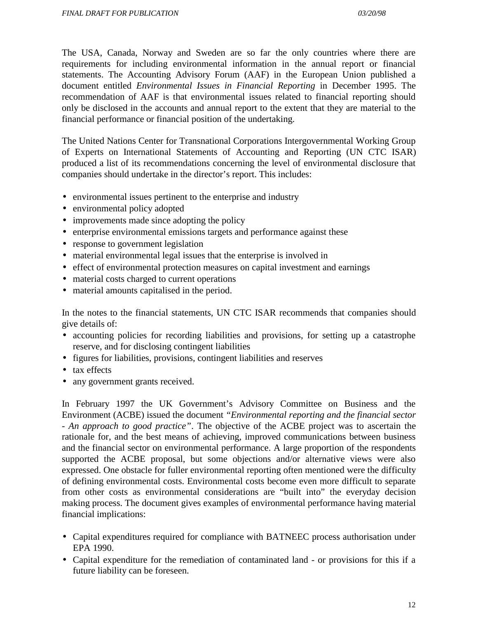The USA, Canada, Norway and Sweden are so far the only countries where there are requirements for including environmental information in the annual report or financial statements. The Accounting Advisory Forum (AAF) in the European Union published a document entitled *Environmental Issues in Financial Reporting* in December 1995. The recommendation of AAF is that environmental issues related to financial reporting should only be disclosed in the accounts and annual report to the extent that they are material to the financial performance or financial position of the undertaking.

The United Nations Center for Transnational Corporations Intergovernmental Working Group of Experts on International Statements of Accounting and Reporting (UN CTC ISAR) produced a list of its recommendations concerning the level of environmental disclosure that companies should undertake in the director's report. This includes:

- environmental issues pertinent to the enterprise and industry
- environmental policy adopted
- improvements made since adopting the policy
- enterprise environmental emissions targets and performance against these
- response to government legislation
- material environmental legal issues that the enterprise is involved in
- effect of environmental protection measures on capital investment and earnings
- material costs charged to current operations
- material amounts capitalised in the period.

In the notes to the financial statements, UN CTC ISAR recommends that companies should give details of:

- accounting policies for recording liabilities and provisions, for setting up a catastrophe reserve, and for disclosing contingent liabilities
- figures for liabilities, provisions, contingent liabilities and reserves
- tax effects
- any government grants received.

In February 1997 the UK Government's Advisory Committee on Business and the Environment (ACBE) issued the document *"Environmental reporting and the financial sector - An approach to good practice"*. The objective of the ACBE project was to ascertain the rationale for, and the best means of achieving, improved communications between business and the financial sector on environmental performance. A large proportion of the respondents supported the ACBE proposal, but some objections and/or alternative views were also expressed. One obstacle for fuller environmental reporting often mentioned were the difficulty of defining environmental costs. Environmental costs become even more difficult to separate from other costs as environmental considerations are "built into" the everyday decision making process. The document gives examples of environmental performance having material financial implications:

- Capital expenditures required for compliance with BATNEEC process authorisation under EPA 1990.
- Capital expenditure for the remediation of contaminated land or provisions for this if a future liability can be foreseen.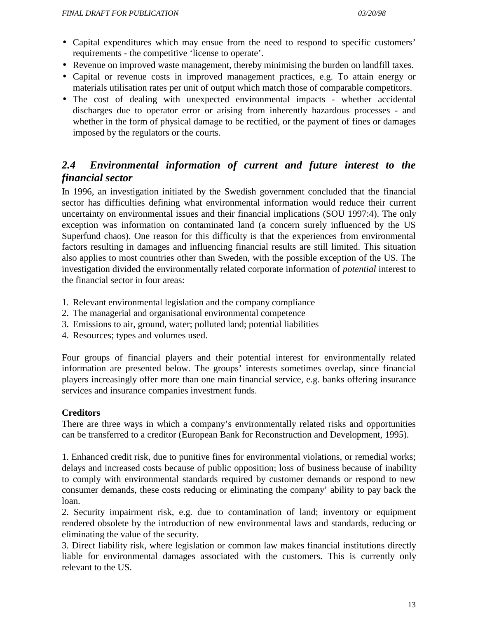- Capital expenditures which may ensue from the need to respond to specific customers' requirements - the competitive 'license to operate'.
- Revenue on improved waste management, thereby minimising the burden on landfill taxes.
- Capital or revenue costs in improved management practices, e.g. To attain energy or materials utilisation rates per unit of output which match those of comparable competitors.
- The cost of dealing with unexpected environmental impacts whether accidental discharges due to operator error or arising from inherently hazardous processes - and whether in the form of physical damage to be rectified, or the payment of fines or damages imposed by the regulators or the courts.

# *2.4 Environmental information of current and future interest to the financial sector*

In 1996, an investigation initiated by the Swedish government concluded that the financial sector has difficulties defining what environmental information would reduce their current uncertainty on environmental issues and their financial implications (SOU 1997:4). The only exception was information on contaminated land (a concern surely influenced by the US Superfund chaos). One reason for this difficulty is that the experiences from environmental factors resulting in damages and influencing financial results are still limited. This situation also applies to most countries other than Sweden, with the possible exception of the US. The investigation divided the environmentally related corporate information of *potential* interest to the financial sector in four areas:

- 1. Relevant environmental legislation and the company compliance
- 2. The managerial and organisational environmental competence
- 3. Emissions to air, ground, water; polluted land; potential liabilities
- 4. Resources; types and volumes used.

Four groups of financial players and their potential interest for environmentally related information are presented below. The groups' interests sometimes overlap, since financial players increasingly offer more than one main financial service, e.g. banks offering insurance services and insurance companies investment funds.

#### **Creditors**

There are three ways in which a company's environmentally related risks and opportunities can be transferred to a creditor (European Bank for Reconstruction and Development, 1995).

1. Enhanced credit risk, due to punitive fines for environmental violations, or remedial works; delays and increased costs because of public opposition; loss of business because of inability to comply with environmental standards required by customer demands or respond to new consumer demands, these costs reducing or eliminating the company' ability to pay back the loan.

2. Security impairment risk, e.g. due to contamination of land; inventory or equipment rendered obsolete by the introduction of new environmental laws and standards, reducing or eliminating the value of the security.

3. Direct liability risk, where legislation or common law makes financial institutions directly liable for environmental damages associated with the customers. This is currently only relevant to the US.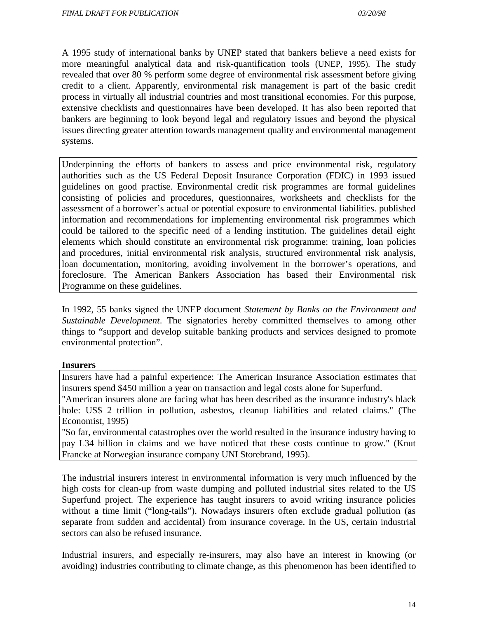A 1995 study of international banks by UNEP stated that bankers believe a need exists for more meaningful analytical data and risk-quantification tools (UNEP, 1995). The study revealed that over 80 % perform some degree of environmental risk assessment before giving credit to a client. Apparently, environmental risk management is part of the basic credit process in virtually all industrial countries and most transitional economies. For this purpose, extensive checklists and questionnaires have been developed. It has also been reported that bankers are beginning to look beyond legal and regulatory issues and beyond the physical issues directing greater attention towards management quality and environmental management systems.

Underpinning the efforts of bankers to assess and price environmental risk, regulatory authorities such as the US Federal Deposit Insurance Corporation (FDIC) in 1993 issued guidelines on good practise. Environmental credit risk programmes are formal guidelines consisting of policies and procedures, questionnaires, worksheets and checklists for the assessment of a borrower's actual or potential exposure to environmental liabilities. published information and recommendations for implementing environmental risk programmes which could be tailored to the specific need of a lending institution. The guidelines detail eight elements which should constitute an environmental risk programme: training, loan policies and procedures, initial environmental risk analysis, structured environmental risk analysis, loan documentation, monitoring, avoiding involvement in the borrower's operations, and foreclosure. The American Bankers Association has based their Environmental risk Programme on these guidelines.

In 1992, 55 banks signed the UNEP document *Statement by Banks on the Environment and Sustainable Development*. The signatories hereby committed themselves to among other things to "support and develop suitable banking products and services designed to promote environmental protection".

#### **Insurers**

Insurers have had a painful experience: The American Insurance Association estimates that insurers spend \$450 million a year on transaction and legal costs alone for Superfund.

"American insurers alone are facing what has been described as the insurance industry's black hole: US\$ 2 trillion in pollution, asbestos, cleanup liabilities and related claims." (The Economist, 1995)

"So far, environmental catastrophes over the world resulted in the insurance industry having to pay L34 billion in claims and we have noticed that these costs continue to grow." (Knut Francke at Norwegian insurance company UNI Storebrand, 1995).

The industrial insurers interest in environmental information is very much influenced by the high costs for clean-up from waste dumping and polluted industrial sites related to the US Superfund project. The experience has taught insurers to avoid writing insurance policies without a time limit ("long-tails"). Nowadays insurers often exclude gradual pollution (as separate from sudden and accidental) from insurance coverage. In the US, certain industrial sectors can also be refused insurance.

Industrial insurers, and especially re-insurers, may also have an interest in knowing (or avoiding) industries contributing to climate change, as this phenomenon has been identified to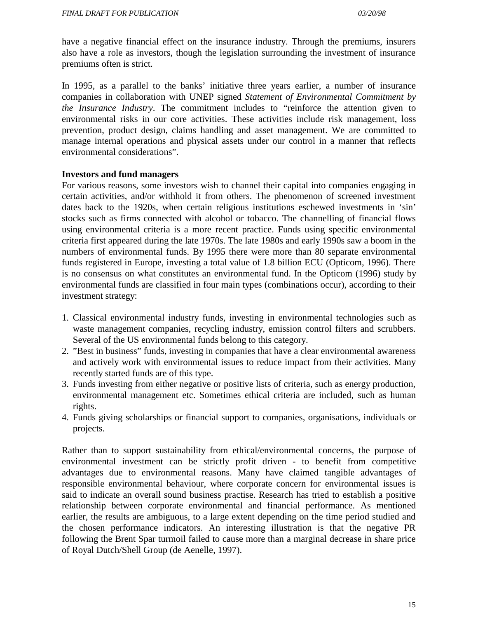have a negative financial effect on the insurance industry. Through the premiums, insurers also have a role as investors, though the legislation surrounding the investment of insurance premiums often is strict.

In 1995, as a parallel to the banks' initiative three years earlier, a number of insurance companies in collaboration with UNEP signed *Statement of Environmental Commitment by the Insurance Industry*. The commitment includes to "reinforce the attention given to environmental risks in our core activities. These activities include risk management, loss prevention, product design, claims handling and asset management. We are committed to manage internal operations and physical assets under our control in a manner that reflects environmental considerations".

#### **Investors and fund managers**

For various reasons, some investors wish to channel their capital into companies engaging in certain activities, and/or withhold it from others. The phenomenon of screened investment dates back to the 1920s, when certain religious institutions eschewed investments in 'sin' stocks such as firms connected with alcohol or tobacco. The channelling of financial flows using environmental criteria is a more recent practice. Funds using specific environmental criteria first appeared during the late 1970s. The late 1980s and early 1990s saw a boom in the numbers of environmental funds. By 1995 there were more than 80 separate environmental funds registered in Europe, investing a total value of 1.8 billion ECU (Opticom, 1996). There is no consensus on what constitutes an environmental fund. In the Opticom (1996) study by environmental funds are classified in four main types (combinations occur), according to their investment strategy:

- 1. Classical environmental industry funds, investing in environmental technologies such as waste management companies, recycling industry, emission control filters and scrubbers. Several of the US environmental funds belong to this category.
- 2. "Best in business" funds, investing in companies that have a clear environmental awareness and actively work with environmental issues to reduce impact from their activities. Many recently started funds are of this type.
- 3. Funds investing from either negative or positive lists of criteria, such as energy production, environmental management etc. Sometimes ethical criteria are included, such as human rights.
- 4. Funds giving scholarships or financial support to companies, organisations, individuals or projects.

Rather than to support sustainability from ethical/environmental concerns, the purpose of environmental investment can be strictly profit driven - to benefit from competitive advantages due to environmental reasons. Many have claimed tangible advantages of responsible environmental behaviour, where corporate concern for environmental issues is said to indicate an overall sound business practise. Research has tried to establish a positive relationship between corporate environmental and financial performance. As mentioned earlier, the results are ambiguous, to a large extent depending on the time period studied and the chosen performance indicators. An interesting illustration is that the negative PR following the Brent Spar turmoil failed to cause more than a marginal decrease in share price of Royal Dutch/Shell Group (de Aenelle, 1997).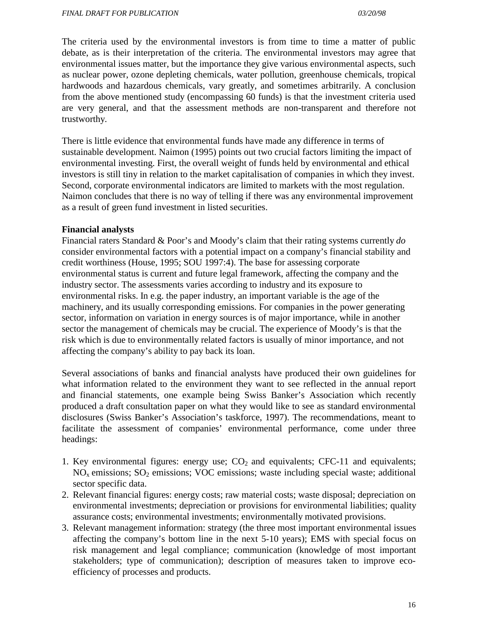The criteria used by the environmental investors is from time to time a matter of public debate, as is their interpretation of the criteria. The environmental investors may agree that environmental issues matter, but the importance they give various environmental aspects, such as nuclear power, ozone depleting chemicals, water pollution, greenhouse chemicals, tropical hardwoods and hazardous chemicals, vary greatly, and sometimes arbitrarily. A conclusion from the above mentioned study (encompassing 60 funds) is that the investment criteria used are very general, and that the assessment methods are non-transparent and therefore not trustworthy.

There is little evidence that environmental funds have made any difference in terms of sustainable development. Naimon (1995) points out two crucial factors limiting the impact of environmental investing. First, the overall weight of funds held by environmental and ethical investors is still tiny in relation to the market capitalisation of companies in which they invest. Second, corporate environmental indicators are limited to markets with the most regulation. Naimon concludes that there is no way of telling if there was any environmental improvement as a result of green fund investment in listed securities.

#### **Financial analysts**

Financial raters Standard & Poor's and Moody's claim that their rating systems currently *do* consider environmental factors with a potential impact on a company's financial stability and credit worthiness (House, 1995; SOU 1997:4). The base for assessing corporate environmental status is current and future legal framework, affecting the company and the industry sector. The assessments varies according to industry and its exposure to environmental risks. In e.g. the paper industry, an important variable is the age of the machinery, and its usually corresponding emissions. For companies in the power generating sector, information on variation in energy sources is of major importance, while in another sector the management of chemicals may be crucial. The experience of Moody's is that the risk which is due to environmentally related factors is usually of minor importance, and not affecting the company's ability to pay back its loan.

Several associations of banks and financial analysts have produced their own guidelines for what information related to the environment they want to see reflected in the annual report and financial statements, one example being Swiss Banker's Association which recently produced a draft consultation paper on what they would like to see as standard environmental disclosures (Swiss Banker's Association's taskforce, 1997). The recommendations, meant to facilitate the assessment of companies' environmental performance, come under three headings:

- 1. Key environmental figures: energy use;  $CO<sub>2</sub>$  and equivalents; CFC-11 and equivalents;  $NO<sub>x</sub>$  emissions;  $SO<sub>2</sub>$  emissions; VOC emissions; waste including special waste; additional sector specific data.
- 2. Relevant financial figures: energy costs; raw material costs; waste disposal; depreciation on environmental investments; depreciation or provisions for environmental liabilities; quality assurance costs; environmental investments; environmentally motivated provisions.
- 3. Relevant management information: strategy (the three most important environmental issues affecting the company's bottom line in the next 5-10 years); EMS with special focus on risk management and legal compliance; communication (knowledge of most important stakeholders; type of communication); description of measures taken to improve ecoefficiency of processes and products.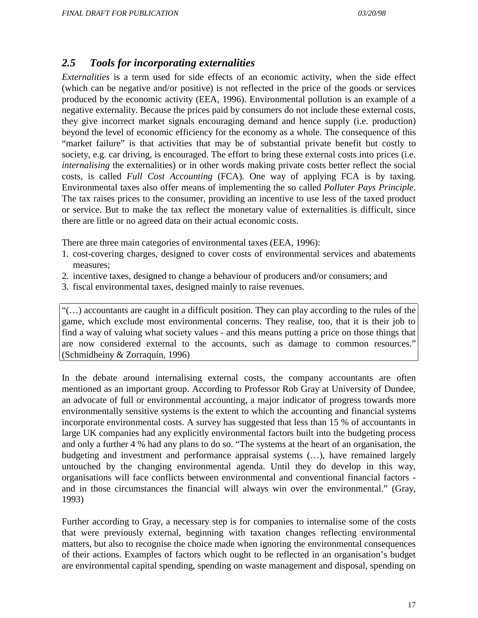### *2.5 Tools for incorporating externalities*

*Externalities* is a term used for side effects of an economic activity, when the side effect (which can be negative and/or positive) is not reflected in the price of the goods or services produced by the economic activity (EEA, 1996). Environmental pollution is an example of a negative externality. Because the prices paid by consumers do not include these external costs, they give incorrect market signals encouraging demand and hence supply (i.e. production) beyond the level of economic efficiency for the economy as a whole. The consequence of this "market failure" is that activities that may be of substantial private benefit but costly to society, e.g. car driving, is encouraged. The effort to bring these external costs into prices (i.e. *internalising* the externalities) or in other words making private costs better reflect the social costs, is called *Full Cost Accounting* (FCA). One way of applying FCA is by taxing. Environmental taxes also offer means of implementing the so called *Polluter Pays Principle*. The tax raises prices to the consumer, providing an incentive to use less of the taxed product or service. But to make the tax reflect the monetary value of externalities is difficult, since there are little or no agreed data on their actual economic costs.

There are three main categories of environmental taxes (EEA, 1996):

- 1. cost-covering charges, designed to cover costs of environmental services and abatements measures;
- 2. incentive taxes, designed to change a behaviour of producers and/or consumers; and
- 3. fiscal environmental taxes, designed mainly to raise revenues.

"(…) accountants are caught in a difficult position. They can play according to the rules of the game, which exclude most environmental concerns. They realise, too, that it is their job to find a way of valuing what society values - and this means putting a price on those things that are now considered external to the accounts, such as damage to common resources." (Schmidheiny & Zorraquín, 1996)

In the debate around internalising external costs, the company accountants are often mentioned as an important group. According to Professor Rob Gray at University of Dundee, an advocate of full or environmental accounting, a major indicator of progress towards more environmentally sensitive systems is the extent to which the accounting and financial systems incorporate environmental costs. A survey has suggested that less than 15 % of accountants in large UK companies had any explicitly environmental factors built into the budgeting process and only a further 4 % had any plans to do so. "The systems at the heart of an organisation, the budgeting and investment and performance appraisal systems (…), have remained largely untouched by the changing environmental agenda. Until they do develop in this way, organisations will face conflicts between environmental and conventional financial factors and in those circumstances the financial will always win over the environmental." (Gray, 1993)

Further according to Gray, a necessary step is for companies to internalise some of the costs that were previously external, beginning with taxation changes reflecting environmental matters, but also to recognise the choice made when ignoring the environmental consequences of their actions. Examples of factors which ought to be reflected in an organisation's budget are environmental capital spending, spending on waste management and disposal, spending on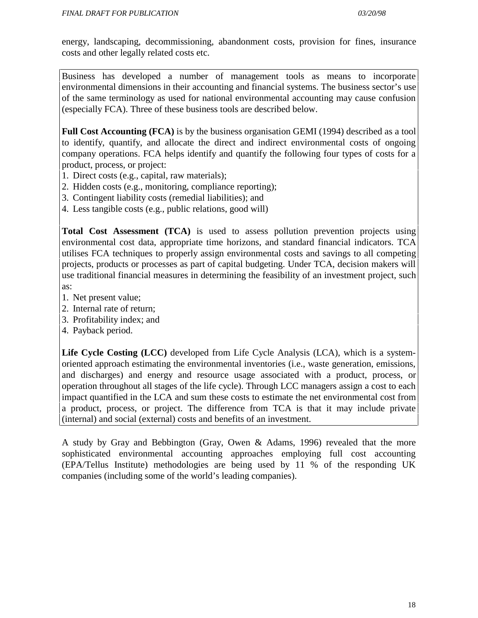energy, landscaping, decommissioning, abandonment costs, provision for fines, insurance costs and other legally related costs etc.

Business has developed a number of management tools as means to incorporate environmental dimensions in their accounting and financial systems. The business sector's use of the same terminology as used for national environmental accounting may cause confusion (especially FCA). Three of these business tools are described below.

**Full Cost Accounting (FCA)** is by the business organisation GEMI (1994) described as a tool to identify, quantify, and allocate the direct and indirect environmental costs of ongoing company operations. FCA helps identify and quantify the following four types of costs for a product, process, or project:

- 1. Direct costs (e.g., capital, raw materials);
- 2. Hidden costs (e.g., monitoring, compliance reporting);
- 3. Contingent liability costs (remedial liabilities); and
- 4. Less tangible costs (e.g., public relations, good will)

**Total Cost Assessment (TCA)** is used to assess pollution prevention projects using environmental cost data, appropriate time horizons, and standard financial indicators. TCA utilises FCA techniques to properly assign environmental costs and savings to all competing projects, products or processes as part of capital budgeting. Under TCA, decision makers will use traditional financial measures in determining the feasibility of an investment project, such as:

- 1. Net present value;
- 2. Internal rate of return;
- 3. Profitability index; and
- 4. Payback period.

**Life Cycle Costing (LCC)** developed from Life Cycle Analysis (LCA), which is a systemoriented approach estimating the environmental inventories (i.e., waste generation, emissions, and discharges) and energy and resource usage associated with a product, process, or operation throughout all stages of the life cycle). Through LCC managers assign a cost to each impact quantified in the LCA and sum these costs to estimate the net environmental cost from a product, process, or project. The difference from TCA is that it may include private (internal) and social (external) costs and benefits of an investment.

A study by Gray and Bebbington (Gray, Owen & Adams, 1996) revealed that the more sophisticated environmental accounting approaches employing full cost accounting (EPA/Tellus Institute) methodologies are being used by 11 % of the responding UK companies (including some of the world's leading companies).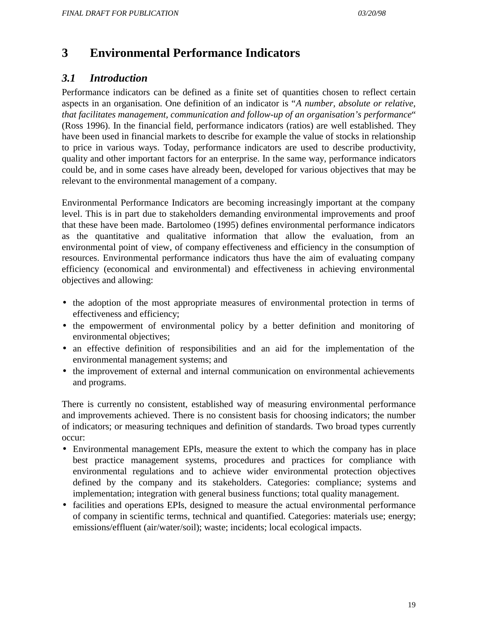# **3 Environmental Performance Indicators**

### *3.1 Introduction*

Performance indicators can be defined as a finite set of quantities chosen to reflect certain aspects in an organisation. One definition of an indicator is "*A number, absolute or relative, that facilitates management, communication and follow-up of an organisation's performance*" (Ross 1996). In the financial field, performance indicators (ratios) are well established. They have been used in financial markets to describe for example the value of stocks in relationship to price in various ways. Today, performance indicators are used to describe productivity, quality and other important factors for an enterprise. In the same way, performance indicators could be, and in some cases have already been, developed for various objectives that may be relevant to the environmental management of a company.

Environmental Performance Indicators are becoming increasingly important at the company level. This is in part due to stakeholders demanding environmental improvements and proof that these have been made. Bartolomeo (1995) defines environmental performance indicators as the quantitative and qualitative information that allow the evaluation, from an environmental point of view, of company effectiveness and efficiency in the consumption of resources. Environmental performance indicators thus have the aim of evaluating company efficiency (economical and environmental) and effectiveness in achieving environmental objectives and allowing:

- the adoption of the most appropriate measures of environmental protection in terms of effectiveness and efficiency;
- the empowerment of environmental policy by a better definition and monitoring of environmental objectives;
- an effective definition of responsibilities and an aid for the implementation of the environmental management systems; and
- the improvement of external and internal communication on environmental achievements and programs.

There is currently no consistent, established way of measuring environmental performance and improvements achieved. There is no consistent basis for choosing indicators; the number of indicators; or measuring techniques and definition of standards. Two broad types currently occur:

- Environmental management EPIs, measure the extent to which the company has in place best practice management systems, procedures and practices for compliance with environmental regulations and to achieve wider environmental protection objectives defined by the company and its stakeholders. Categories: compliance; systems and implementation; integration with general business functions; total quality management.
- facilities and operations EPIs, designed to measure the actual environmental performance of company in scientific terms, technical and quantified. Categories: materials use; energy; emissions/effluent (air/water/soil); waste; incidents; local ecological impacts.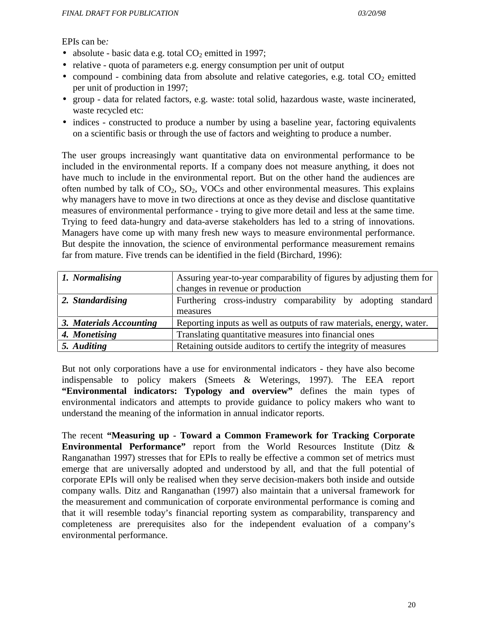EPIs can be*:*

- absolute basic data e.g. total  $CO<sub>2</sub>$  emitted in 1997;
- relative quota of parameters e.g. energy consumption per unit of output
- compound combining data from absolute and relative categories, e.g. total  $CO<sub>2</sub>$  emitted per unit of production in 1997;
- group data for related factors, e.g. waste: total solid, hazardous waste, waste incinerated, waste recycled etc:
- indices constructed to produce a number by using a baseline year, factoring equivalents on a scientific basis or through the use of factors and weighting to produce a number.

The user groups increasingly want quantitative data on environmental performance to be included in the environmental reports. If a company does not measure anything, it does not have much to include in the environmental report. But on the other hand the audiences are often numbed by talk of  $CO<sub>2</sub>$ ,  $SO<sub>2</sub>$ , VOCs and other environmental measures. This explains why managers have to move in two directions at once as they devise and disclose quantitative measures of environmental performance - trying to give more detail and less at the same time. Trying to feed data-hungry and data-averse stakeholders has led to a string of innovations. Managers have come up with many fresh new ways to measure environmental performance. But despite the innovation, the science of environmental performance measurement remains far from mature. Five trends can be identified in the field (Birchard, 1996):

| 1. Normalising          | Assuring year-to-year comparability of figures by adjusting them for |
|-------------------------|----------------------------------------------------------------------|
|                         | changes in revenue or production                                     |
| 2. Standardising        | Furthering cross-industry comparability by adopting standard         |
|                         | measures                                                             |
| 3. Materials Accounting | Reporting inputs as well as outputs of raw materials, energy, water. |
| 4. Monetising           | Translating quantitative measures into financial ones                |
| 5. Auditing             | Retaining outside auditors to certify the integrity of measures      |

But not only corporations have a use for environmental indicators - they have also become indispensable to policy makers (Smeets & Weterings, 1997). The EEA report **"Environmental indicators: Typology and overview"** defines the main types of environmental indicators and attempts to provide guidance to policy makers who want to understand the meaning of the information in annual indicator reports.

The recent **"Measuring up - Toward a Common Framework for Tracking Corporate Environmental Performance"** report from the World Resources Institute (Ditz & Ranganathan 1997) stresses that for EPIs to really be effective a common set of metrics must emerge that are universally adopted and understood by all, and that the full potential of corporate EPIs will only be realised when they serve decision-makers both inside and outside company walls. Ditz and Ranganathan (1997) also maintain that a universal framework for the measurement and communication of corporate environmental performance is coming and that it will resemble today's financial reporting system as comparability, transparency and completeness are prerequisites also for the independent evaluation of a company's environmental performance.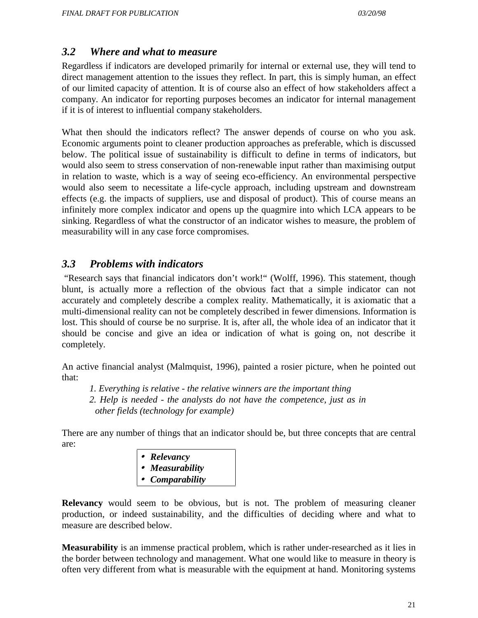### *3.2 Where and what to measure*

Regardless if indicators are developed primarily for internal or external use, they will tend to direct management attention to the issues they reflect. In part, this is simply human, an effect of our limited capacity of attention. It is of course also an effect of how stakeholders affect a company. An indicator for reporting purposes becomes an indicator for internal management if it is of interest to influential company stakeholders.

What then should the indicators reflect? The answer depends of course on who you ask. Economic arguments point to cleaner production approaches as preferable, which is discussed below. The political issue of sustainability is difficult to define in terms of indicators, but would also seem to stress conservation of non-renewable input rather than maximising output in relation to waste, which is a way of seeing eco-efficiency. An environmental perspective would also seem to necessitate a life-cycle approach, including upstream and downstream effects (e.g. the impacts of suppliers, use and disposal of product). This of course means an infinitely more complex indicator and opens up the quagmire into which LCA appears to be sinking. Regardless of what the constructor of an indicator wishes to measure, the problem of measurability will in any case force compromises.

### *3.3 Problems with indicators*

 "Research says that financial indicators don't work!" (Wolff, 1996). This statement, though blunt, is actually more a reflection of the obvious fact that a simple indicator can not accurately and completely describe a complex reality. Mathematically, it is axiomatic that a multi-dimensional reality can not be completely described in fewer dimensions. Information is lost. This should of course be no surprise. It is, after all, the whole idea of an indicator that it should be concise and give an idea or indication of what is going on, not describe it completely.

An active financial analyst (Malmquist, 1996), painted a rosier picture, when he pointed out that:

*1. Everything is relative - the relative winners are the important thing 2. Help is needed - the analysts do not have the competence, just as in other fields (technology for example)*

There are any number of things that an indicator should be, but three concepts that are central are:

• *Relevancy* • *Measurability* • *Comparability*

**Relevancy** would seem to be obvious, but is not. The problem of measuring cleaner production, or indeed sustainability, and the difficulties of deciding where and what to measure are described below.

**Measurability** is an immense practical problem, which is rather under-researched as it lies in the border between technology and management. What one would like to measure in theory is often very different from what is measurable with the equipment at hand. Monitoring systems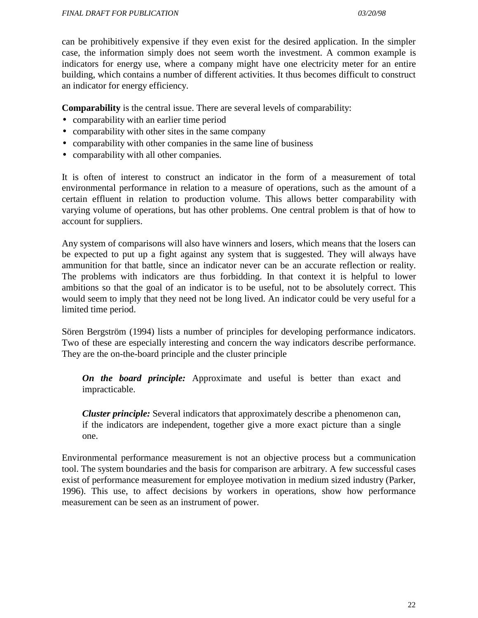can be prohibitively expensive if they even exist for the desired application. In the simpler case, the information simply does not seem worth the investment. A common example is indicators for energy use, where a company might have one electricity meter for an entire building, which contains a number of different activities. It thus becomes difficult to construct an indicator for energy efficiency.

**Comparability** is the central issue. There are several levels of comparability:

- comparability with an earlier time period
- comparability with other sites in the same company
- comparability with other companies in the same line of business
- comparability with all other companies.

It is often of interest to construct an indicator in the form of a measurement of total environmental performance in relation to a measure of operations, such as the amount of a certain effluent in relation to production volume. This allows better comparability with varying volume of operations, but has other problems. One central problem is that of how to account for suppliers.

Any system of comparisons will also have winners and losers, which means that the losers can be expected to put up a fight against any system that is suggested. They will always have ammunition for that battle, since an indicator never can be an accurate reflection or reality. The problems with indicators are thus forbidding. In that context it is helpful to lower ambitions so that the goal of an indicator is to be useful, not to be absolutely correct. This would seem to imply that they need not be long lived. An indicator could be very useful for a limited time period.

Sören Bergström (1994) lists a number of principles for developing performance indicators. Two of these are especially interesting and concern the way indicators describe performance. They are the on-the-board principle and the cluster principle

*On the board principle:* Approximate and useful is better than exact and impracticable.

*Cluster principle:* Several indicators that approximately describe a phenomenon can, if the indicators are independent, together give a more exact picture than a single one.

Environmental performance measurement is not an objective process but a communication tool. The system boundaries and the basis for comparison are arbitrary. A few successful cases exist of performance measurement for employee motivation in medium sized industry (Parker, 1996). This use, to affect decisions by workers in operations, show how performance measurement can be seen as an instrument of power.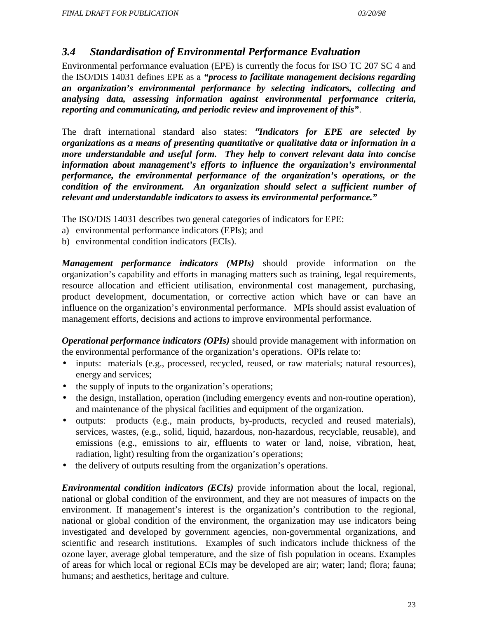### *3.4 Standardisation of Environmental Performance Evaluation*

Environmental performance evaluation (EPE) is currently the focus for ISO TC 207 SC 4 and the ISO/DIS 14031 defines EPE as a *"process to facilitate management decisions regarding an organization's environmental performance by selecting indicators, collecting and analysing data, assessing information against environmental performance criteria, reporting and communicating, and periodic review and improvement of this"*.

The draft international standard also states: *³Indicators for EPE are selected by organizations as a means of presenting quantitative or qualitative data or information in a more understandable and useful form. They help to convert relevant data into concise information about management's efforts to influence the organization's environmental performance, the environmental performance of the organization's operations, or the condition of the environment. An organization should select a sufficient number of relevant and understandable indicators to assess its environmental performance."*

The ISO/DIS 14031 describes two general categories of indicators for EPE:

- a) environmental performance indicators (EPIs); and
- b) environmental condition indicators (ECIs).

*Management performance indicators (MPIs)* should provide information on the organization's capability and efforts in managing matters such as training, legal requirements, resource allocation and efficient utilisation, environmental cost management, purchasing, product development, documentation, or corrective action which have or can have an influence on the organization's environmental performance. MPIs should assist evaluation of management efforts, decisions and actions to improve environmental performance.

*Operational performance indicators (OPIs)* should provide management with information on the environmental performance of the organization's operations. OPIs relate to:

- inputs: materials (e.g., processed, recycled, reused, or raw materials; natural resources), energy and services;
- the supply of inputs to the organization's operations;
- the design, installation, operation (including emergency events and non-routine operation), and maintenance of the physical facilities and equipment of the organization.
- outputs: products (e.g., main products, by-products, recycled and reused materials), services, wastes, (e.g., solid, liquid, hazardous, non-hazardous, recyclable, reusable), and emissions (e.g., emissions to air, effluents to water or land, noise, vibration, heat, radiation, light) resulting from the organization's operations;
- the delivery of outputs resulting from the organization's operations.

*Environmental condition indicators (ECIs)* provide information about the local, regional, national or global condition of the environment, and they are not measures of impacts on the environment. If management's interest is the organization's contribution to the regional, national or global condition of the environment, the organization may use indicators being investigated and developed by government agencies, non-governmental organizations, and scientific and research institutions. Examples of such indicators include thickness of the ozone layer, average global temperature, and the size of fish population in oceans. Examples of areas for which local or regional ECIs may be developed are air; water; land; flora; fauna; humans; and aesthetics, heritage and culture.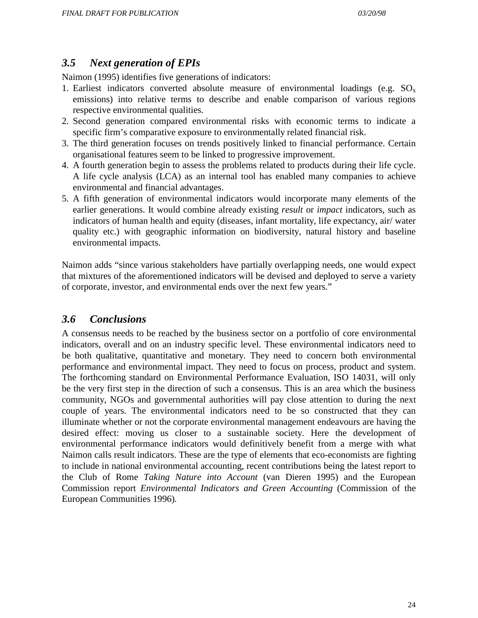### *3.5 Next generation of EPIs*

Naimon (1995) identifies five generations of indicators:

- 1. Earliest indicators converted absolute measure of environmental loadings (e.g.  $SO_x$ ) emissions) into relative terms to describe and enable comparison of various regions respective environmental qualities.
- 2. Second generation compared environmental risks with economic terms to indicate a specific firm's comparative exposure to environmentally related financial risk.
- 3. The third generation focuses on trends positively linked to financial performance. Certain organisational features seem to be linked to progressive improvement.
- 4. A fourth generation begin to assess the problems related to products during their life cycle. A life cycle analysis (LCA) as an internal tool has enabled many companies to achieve environmental and financial advantages.
- 5. A fifth generation of environmental indicators would incorporate many elements of the earlier generations. It would combine already existing *result* or *impact* indicators, such as indicators of human health and equity (diseases, infant mortality, life expectancy, air/ water quality etc.) with geographic information on biodiversity, natural history and baseline environmental impacts.

Naimon adds "since various stakeholders have partially overlapping needs, one would expect that mixtures of the aforementioned indicators will be devised and deployed to serve a variety of corporate, investor, and environmental ends over the next few years."

### *3.6 Conclusions*

A consensus needs to be reached by the business sector on a portfolio of core environmental indicators, overall and on an industry specific level. These environmental indicators need to be both qualitative, quantitative and monetary. They need to concern both environmental performance and environmental impact. They need to focus on process, product and system. The forthcoming standard on Environmental Performance Evaluation, ISO 14031, will only be the very first step in the direction of such a consensus. This is an area which the business community, NGOs and governmental authorities will pay close attention to during the next couple of years. The environmental indicators need to be so constructed that they can illuminate whether or not the corporate environmental management endeavours are having the desired effect: moving us closer to a sustainable society. Here the development of environmental performance indicators would definitively benefit from a merge with what Naimon calls result indicators. These are the type of elements that eco-economists are fighting to include in national environmental accounting, recent contributions being the latest report to the Club of Rome *Taking Nature into Account* (van Dieren 1995) and the European Commission report *Environmental Indicators and Green Accounting* (Commission of the European Communities 1996)*.*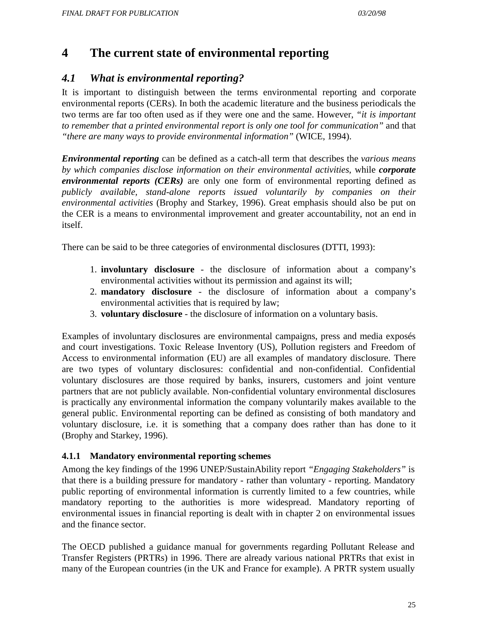# **4 The current state of environmental reporting**

### *4.1 What is environmental reporting?*

It is important to distinguish between the terms environmental reporting and corporate environmental reports (CERs). In both the academic literature and the business periodicals the two terms are far too often used as if they were one and the same. However, *"it is important to remember that a printed environmental report is only one tool for communication"* and that *"there are many ways to provide environmental information"* (WICE, 1994).

*Environmental reporting* can be defined as a catch-all term that describes the *various means by which companies disclose information on their environmental activities*, while *corporate environmental reports (CERs)* are only one form of environmental reporting defined as *publicly available, stand-alone reports issued voluntarily by companies on their environmental activities* (Brophy and Starkey, 1996). Great emphasis should also be put on the CER is a means to environmental improvement and greater accountability, not an end in itself.

There can be said to be three categories of environmental disclosures (DTTI, 1993):

- 1. **involuntary disclosure** the disclosure of information about a company's environmental activities without its permission and against its will;
- 2. **mandatory disclosure** the disclosure of information about a company's environmental activities that is required by law;
- 3. **voluntary disclosure** the disclosure of information on a voluntary basis.

Examples of involuntary disclosures are environmental campaigns, press and media exposés and court investigations. Toxic Release Inventory (US), Pollution registers and Freedom of Access to environmental information (EU) are all examples of mandatory disclosure. There are two types of voluntary disclosures: confidential and non-confidential. Confidential voluntary disclosures are those required by banks, insurers, customers and joint venture partners that are not publicly available. Non-confidential voluntary environmental disclosures is practically any environmental information the company voluntarily makes available to the general public. Environmental reporting can be defined as consisting of both mandatory and voluntary disclosure, i.e. it is something that a company does rather than has done to it (Brophy and Starkey, 1996).

### **4.1.1 Mandatory environmental reporting schemes**

Among the key findings of the 1996 UNEP/SustainAbility report *"Engaging Stakeholders"* is that there is a building pressure for mandatory - rather than voluntary - reporting. Mandatory public reporting of environmental information is currently limited to a few countries, while mandatory reporting to the authorities is more widespread. Mandatory reporting of environmental issues in financial reporting is dealt with in chapter 2 on environmental issues and the finance sector.

The OECD published a guidance manual for governments regarding Pollutant Release and Transfer Registers (PRTRs) in 1996. There are already various national PRTRs that exist in many of the European countries (in the UK and France for example). A PRTR system usually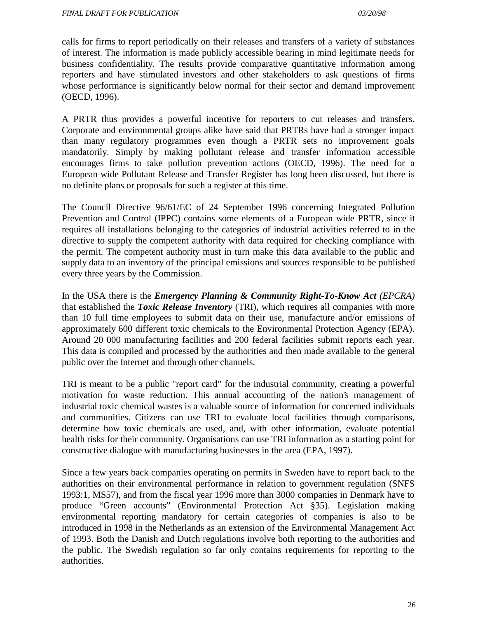calls for firms to report periodically on their releases and transfers of a variety of substances of interest. The information is made publicly accessible bearing in mind legitimate needs for business confidentiality. The results provide comparative quantitative information among reporters and have stimulated investors and other stakeholders to ask questions of firms whose performance is significantly below normal for their sector and demand improvement (OECD, 1996).

A PRTR thus provides a powerful incentive for reporters to cut releases and transfers. Corporate and environmental groups alike have said that PRTRs have had a stronger impact than many regulatory programmes even though a PRTR sets no improvement goals mandatorily. Simply by making pollutant release and transfer information accessible encourages firms to take pollution prevention actions (OECD, 1996). The need for a European wide Pollutant Release and Transfer Register has long been discussed, but there is no definite plans or proposals for such a register at this time.

The Council Directive 96/61/EC of 24 September 1996 concerning Integrated Pollution Prevention and Control (IPPC) contains some elements of a European wide PRTR, since it requires all installations belonging to the categories of industrial activities referred to in the directive to supply the competent authority with data required for checking compliance with the permit. The competent authority must in turn make this data available to the public and supply data to an inventory of the principal emissions and sources responsible to be published every three years by the Commission.

In the USA there is the *Emergency Planning & Community Right-To-Know Act (EPCRA)* that established the *Toxic Release Inventory* (TRI), which requires all companies with more than 10 full time employees to submit data on their use, manufacture and/or emissions of approximately 600 different toxic chemicals to the Environmental Protection Agency (EPA). Around 20 000 manufacturing facilities and 200 federal facilities submit reports each year. This data is compiled and processed by the authorities and then made available to the general public over the Internet and through other channels.

TRI is meant to be a public "report card" for the industrial community, creating a powerful motivation for waste reduction. This annual accounting of the nation's management of industrial toxic chemical wastes is a valuable source of information for concerned individuals and communities. Citizens can use TRI to evaluate local facilities through comparisons, determine how toxic chemicals are used, and, with other information, evaluate potential health risks for their community. Organisations can use TRI information as a starting point for constructive dialogue with manufacturing businesses in the area (EPA, 1997).

Since a few years back companies operating on permits in Sweden have to report back to the authorities on their environmental performance in relation to government regulation (SNFS 1993:1, MS57), and from the fiscal year 1996 more than 3000 companies in Denmark have to produce "Green accounts" (Environmental Protection Act §35). Legislation making environmental reporting mandatory for certain categories of companies is also to be introduced in 1998 in the Netherlands as an extension of the Environmental Management Act of 1993. Both the Danish and Dutch regulations involve both reporting to the authorities and the public. The Swedish regulation so far only contains requirements for reporting to the authorities.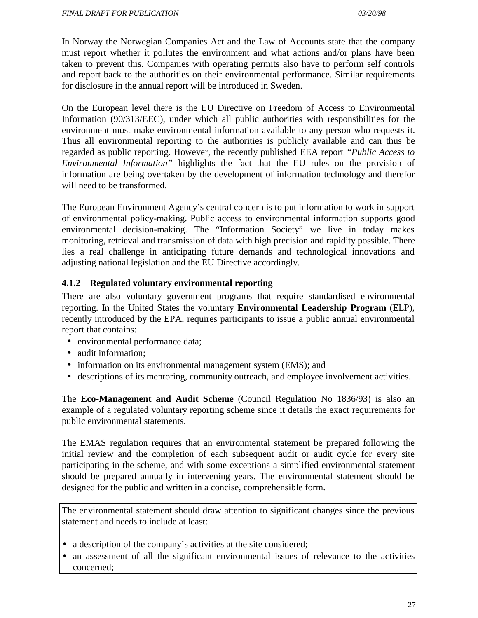In Norway the Norwegian Companies Act and the Law of Accounts state that the company must report whether it pollutes the environment and what actions and/or plans have been taken to prevent this. Companies with operating permits also have to perform self controls and report back to the authorities on their environmental performance. Similar requirements for disclosure in the annual report will be introduced in Sweden.

On the European level there is the EU Directive on Freedom of Access to Environmental Information (90/313/EEC), under which all public authorities with responsibilities for the environment must make environmental information available to any person who requests it. Thus all environmental reporting to the authorities is publicly available and can thus be regarded as public reporting. However, the recently published EEA report *"Public Access to Environmental Information"* highlights the fact that the EU rules on the provision of information are being overtaken by the development of information technology and therefor will need to be transformed.

The European Environment Agency's central concern is to put information to work in support of environmental policy-making. Public access to environmental information supports good environmental decision-making. The "Information Society" we live in today makes monitoring, retrieval and transmission of data with high precision and rapidity possible. There lies a real challenge in anticipating future demands and technological innovations and adjusting national legislation and the EU Directive accordingly.

### **4.1.2 Regulated voluntary environmental reporting**

There are also voluntary government programs that require standardised environmental reporting. In the United States the voluntary **Environmental Leadership Program** (ELP), recently introduced by the EPA, requires participants to issue a public annual environmental report that contains:

- environmental performance data;
- audit information;
- information on its environmental management system (EMS); and
- descriptions of its mentoring, community outreach, and employee involvement activities.

The **Eco-Management and Audit Scheme** (Council Regulation No 1836/93) is also an example of a regulated voluntary reporting scheme since it details the exact requirements for public environmental statements.

The EMAS regulation requires that an environmental statement be prepared following the initial review and the completion of each subsequent audit or audit cycle for every site participating in the scheme, and with some exceptions a simplified environmental statement should be prepared annually in intervening years. The environmental statement should be designed for the public and written in a concise, comprehensible form.

The environmental statement should draw attention to significant changes since the previous statement and needs to include at least:

- a description of the company's activities at the site considered;
- an assessment of all the significant environmental issues of relevance to the activities concerned;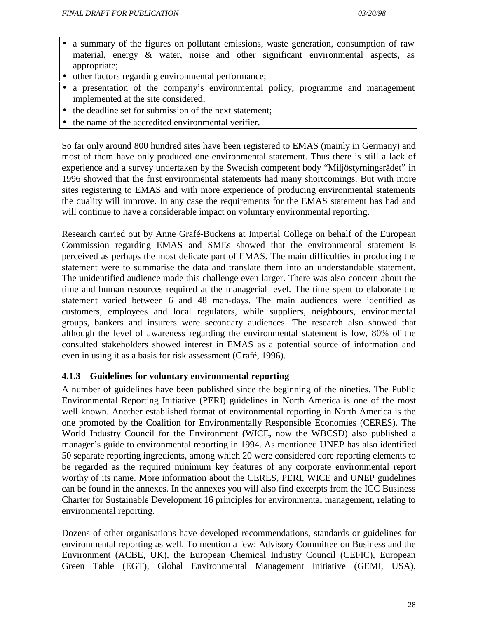- a summary of the figures on pollutant emissions, waste generation, consumption of raw material, energy & water, noise and other significant environmental aspects, as appropriate;
- other factors regarding environmental performance;
- a presentation of the company's environmental policy, programme and management implemented at the site considered;
- the deadline set for submission of the next statement;
- the name of the accredited environmental verifier.

So far only around 800 hundred sites have been registered to EMAS (mainly in Germany) and most of them have only produced one environmental statement. Thus there is still a lack of experience and a survey undertaken by the Swedish competent body "Miljöstyrningsrådet" in 1996 showed that the first environmental statements had many shortcomings. But with more sites registering to EMAS and with more experience of producing environmental statements the quality will improve. In any case the requirements for the EMAS statement has had and will continue to have a considerable impact on voluntary environmental reporting.

Research carried out by Anne Grafé-Buckens at Imperial College on behalf of the European Commission regarding EMAS and SMEs showed that the environmental statement is perceived as perhaps the most delicate part of EMAS. The main difficulties in producing the statement were to summarise the data and translate them into an understandable statement. The unidentified audience made this challenge even larger. There was also concern about the time and human resources required at the managerial level. The time spent to elaborate the statement varied between 6 and 48 man-days. The main audiences were identified as customers, employees and local regulators, while suppliers, neighbours, environmental groups, bankers and insurers were secondary audiences. The research also showed that although the level of awareness regarding the environmental statement is low, 80% of the consulted stakeholders showed interest in EMAS as a potential source of information and even in using it as a basis for risk assessment (Grafé, 1996).

### **4.1.3 Guidelines for voluntary environmental reporting**

A number of guidelines have been published since the beginning of the nineties. The Public Environmental Reporting Initiative (PERI) guidelines in North America is one of the most well known. Another established format of environmental reporting in North America is the one promoted by the Coalition for Environmentally Responsible Economies (CERES). The World Industry Council for the Environment (WICE, now the WBCSD) also published a manager's guide to environmental reporting in 1994. As mentioned UNEP has also identified 50 separate reporting ingredients, among which 20 were considered core reporting elements to be regarded as the required minimum key features of any corporate environmental report worthy of its name. More information about the CERES, PERI, WICE and UNEP guidelines can be found in the annexes. In the annexes you will also find excerpts from the ICC Business Charter for Sustainable Development 16 principles for environmental management, relating to environmental reporting.

Dozens of other organisations have developed recommendations, standards or guidelines for environmental reporting as well. To mention a few: Advisory Committee on Business and the Environment (ACBE, UK), the European Chemical Industry Council (CEFIC), European Green Table (EGT), Global Environmental Management Initiative (GEMI, USA),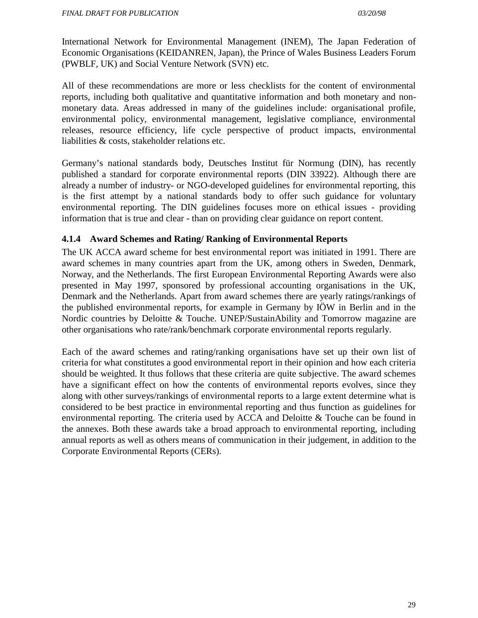International Network for Environmental Management (INEM), The Japan Federation of Economic Organisations (KEIDANREN, Japan), the Prince of Wales Business Leaders Forum (PWBLF, UK) and Social Venture Network (SVN) etc.

All of these recommendations are more or less checklists for the content of environmental reports, including both qualitative and quantitative information and both monetary and nonmonetary data. Areas addressed in many of the guidelines include: organisational profile, environmental policy, environmental management, legislative compliance, environmental releases, resource efficiency, life cycle perspective of product impacts, environmental liabilities & costs, stakeholder relations etc.

Germany's national standards body, Deutsches Institut für Normung (DIN), has recently published a standard for corporate environmental reports (DIN 33922). Although there are already a number of industry- or NGO-developed guidelines for environmental reporting, this is the first attempt by a national standards body to offer such guidance for voluntary environmental reporting. The DIN guidelines focuses more on ethical issues - providing information that is true and clear - than on providing clear guidance on report content.

#### **4.1.4 Award Schemes and Rating/ Ranking of Environmental Reports**

The UK ACCA award scheme for best environmental report was initiated in 1991. There are award schemes in many countries apart from the UK, among others in Sweden, Denmark, Norway, and the Netherlands. The first European Environmental Reporting Awards were also presented in May 1997, sponsored by professional accounting organisations in the UK, Denmark and the Netherlands. Apart from award schemes there are yearly ratings/rankings of the published environmental reports, for example in Germany by IÖW in Berlin and in the Nordic countries by Deloitte & Touche. UNEP/SustainAbility and Tomorrow magazine are other organisations who rate/rank/benchmark corporate environmental reports regularly.

Each of the award schemes and rating/ranking organisations have set up their own list of criteria for what constitutes a good environmental report in their opinion and how each criteria should be weighted. It thus follows that these criteria are quite subjective. The award schemes have a significant effect on how the contents of environmental reports evolves, since they along with other surveys/rankings of environmental reports to a large extent determine what is considered to be best practice in environmental reporting and thus function as guidelines for environmental reporting. The criteria used by ACCA and Deloitte & Touche can be found in the annexes. Both these awards take a broad approach to environmental reporting, including annual reports as well as others means of communication in their judgement, in addition to the Corporate Environmental Reports (CERs).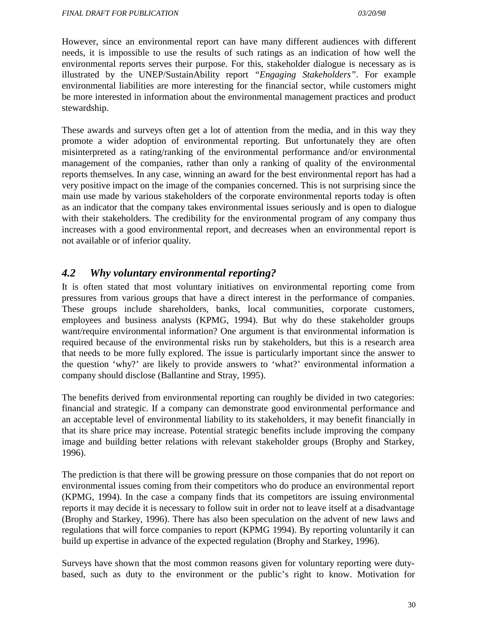However, since an environmental report can have many different audiences with different needs, it is impossible to use the results of such ratings as an indication of how well the environmental reports serves their purpose. For this, stakeholder dialogue is necessary as is illustrated by the UNEP/SustainAbility report *"Engaging Stakeholders"*. For example environmental liabilities are more interesting for the financial sector, while customers might be more interested in information about the environmental management practices and product stewardship.

These awards and surveys often get a lot of attention from the media, and in this way they promote a wider adoption of environmental reporting. But unfortunately they are often misinterpreted as a rating/ranking of the environmental performance and/or environmental management of the companies, rather than only a ranking of quality of the environmental reports themselves. In any case, winning an award for the best environmental report has had a very positive impact on the image of the companies concerned. This is not surprising since the main use made by various stakeholders of the corporate environmental reports today is often as an indicator that the company takes environmental issues seriously and is open to dialogue with their stakeholders. The credibility for the environmental program of any company thus increases with a good environmental report, and decreases when an environmental report is not available or of inferior quality.

### *4.2 Why voluntary environmental reporting?*

It is often stated that most voluntary initiatives on environmental reporting come from pressures from various groups that have a direct interest in the performance of companies. These groups include shareholders, banks, local communities, corporate customers, employees and business analysts (KPMG, 1994). But why do these stakeholder groups want/require environmental information? One argument is that environmental information is required because of the environmental risks run by stakeholders, but this is a research area that needs to be more fully explored. The issue is particularly important since the answer to the question 'why?' are likely to provide answers to 'what?' environmental information a company should disclose (Ballantine and Stray, 1995).

The benefits derived from environmental reporting can roughly be divided in two categories: financial and strategic. If a company can demonstrate good environmental performance and an acceptable level of environmental liability to its stakeholders, it may benefit financially in that its share price may increase. Potential strategic benefits include improving the company image and building better relations with relevant stakeholder groups (Brophy and Starkey, 1996).

The prediction is that there will be growing pressure on those companies that do not report on environmental issues coming from their competitors who do produce an environmental report (KPMG, 1994). In the case a company finds that its competitors are issuing environmental reports it may decide it is necessary to follow suit in order not to leave itself at a disadvantage (Brophy and Starkey, 1996). There has also been speculation on the advent of new laws and regulations that will force companies to report (KPMG 1994). By reporting voluntarily it can build up expertise in advance of the expected regulation (Brophy and Starkey, 1996).

Surveys have shown that the most common reasons given for voluntary reporting were dutybased, such as duty to the environment or the public's right to know. Motivation for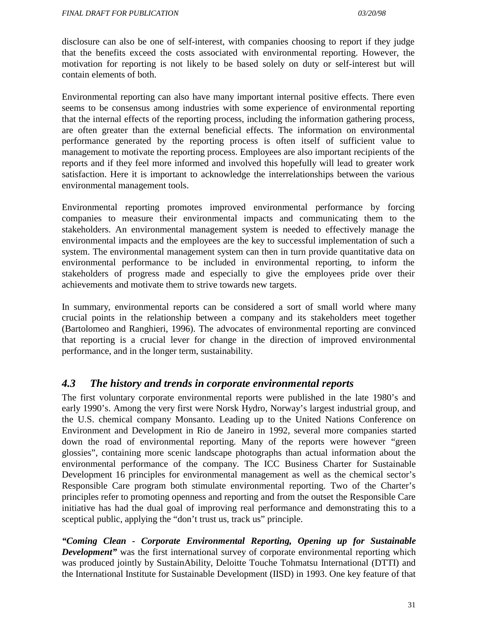disclosure can also be one of self-interest, with companies choosing to report if they judge that the benefits exceed the costs associated with environmental reporting. However, the motivation for reporting is not likely to be based solely on duty or self-interest but will contain elements of both.

Environmental reporting can also have many important internal positive effects. There even seems to be consensus among industries with some experience of environmental reporting that the internal effects of the reporting process, including the information gathering process, are often greater than the external beneficial effects. The information on environmental performance generated by the reporting process is often itself of sufficient value to management to motivate the reporting process. Employees are also important recipients of the reports and if they feel more informed and involved this hopefully will lead to greater work satisfaction. Here it is important to acknowledge the interrelationships between the various environmental management tools.

Environmental reporting promotes improved environmental performance by forcing companies to measure their environmental impacts and communicating them to the stakeholders. An environmental management system is needed to effectively manage the environmental impacts and the employees are the key to successful implementation of such a system. The environmental management system can then in turn provide quantitative data on environmental performance to be included in environmental reporting, to inform the stakeholders of progress made and especially to give the employees pride over their achievements and motivate them to strive towards new targets.

In summary, environmental reports can be considered a sort of small world where many crucial points in the relationship between a company and its stakeholders meet together (Bartolomeo and Ranghieri, 1996). The advocates of environmental reporting are convinced that reporting is a crucial lever for change in the direction of improved environmental performance, and in the longer term, sustainability.

### *4.3 The history and trends in corporate environmental reports*

The first voluntary corporate environmental reports were published in the late 1980's and early 1990's. Among the very first were Norsk Hydro, Norway's largest industrial group, and the U.S. chemical company Monsanto. Leading up to the United Nations Conference on Environment and Development in Rio de Janeiro in 1992, several more companies started down the road of environmental reporting. Many of the reports were however "green glossies", containing more scenic landscape photographs than actual information about the environmental performance of the company. The ICC Business Charter for Sustainable Development 16 principles for environmental management as well as the chemical sector's Responsible Care program both stimulate environmental reporting. Two of the Charter's principles refer to promoting openness and reporting and from the outset the Responsible Care initiative has had the dual goal of improving real performance and demonstrating this to a sceptical public, applying the "don't trust us, track us" principle.

*"Coming Clean - Corporate Environmental Reporting, Opening up for Sustainable Development*" was the first international survey of corporate environmental reporting which was produced jointly by SustainAbility, Deloitte Touche Tohmatsu International (DTTI) and the International Institute for Sustainable Development (IISD) in 1993. One key feature of that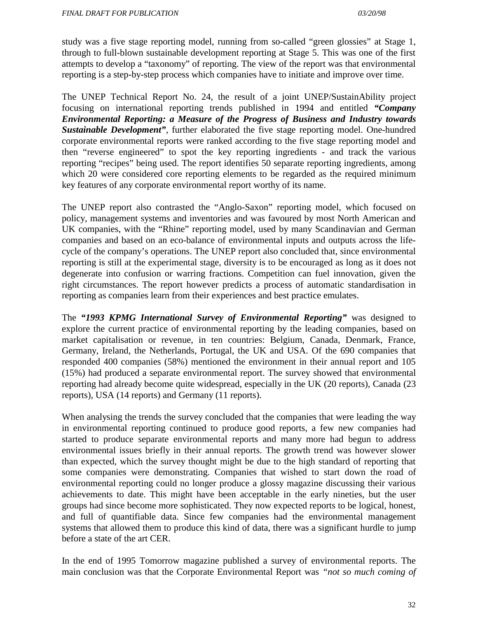study was a five stage reporting model, running from so-called "green glossies" at Stage 1, through to full-blown sustainable development reporting at Stage 5. This was one of the first attempts to develop a "taxonomy" of reporting. The view of the report was that environmental reporting is a step-by-step process which companies have to initiate and improve over time.

The UNEP Technical Report No. 24, the result of a joint UNEP/SustainAbility project focusing on international reporting trends published in 1994 and entitled *"Company Environmental Reporting: a Measure of the Progress of Business and Industry towards Sustainable Development"*, further elaborated the five stage reporting model. One-hundred corporate environmental reports were ranked according to the five stage reporting model and then "reverse engineered" to spot the key reporting ingredients - and track the various reporting "recipes" being used. The report identifies 50 separate reporting ingredients, among which 20 were considered core reporting elements to be regarded as the required minimum key features of any corporate environmental report worthy of its name.

The UNEP report also contrasted the "Anglo-Saxon" reporting model, which focused on policy, management systems and inventories and was favoured by most North American and UK companies, with the "Rhine" reporting model, used by many Scandinavian and German companies and based on an eco-balance of environmental inputs and outputs across the lifecycle of the company's operations. The UNEP report also concluded that, since environmental reporting is still at the experimental stage, diversity is to be encouraged as long as it does not degenerate into confusion or warring fractions. Competition can fuel innovation, given the right circumstances. The report however predicts a process of automatic standardisation in reporting as companies learn from their experiences and best practice emulates.

The *"1993 KPMG International Survey of Environmental Reporting"* was designed to explore the current practice of environmental reporting by the leading companies, based on market capitalisation or revenue, in ten countries: Belgium, Canada, Denmark, France, Germany, Ireland, the Netherlands, Portugal, the UK and USA. Of the 690 companies that responded 400 companies (58%) mentioned the environment in their annual report and 105 (15%) had produced a separate environmental report. The survey showed that environmental reporting had already become quite widespread, especially in the UK (20 reports), Canada (23 reports), USA (14 reports) and Germany (11 reports).

When analysing the trends the survey concluded that the companies that were leading the way in environmental reporting continued to produce good reports, a few new companies had started to produce separate environmental reports and many more had begun to address environmental issues briefly in their annual reports. The growth trend was however slower than expected, which the survey thought might be due to the high standard of reporting that some companies were demonstrating. Companies that wished to start down the road of environmental reporting could no longer produce a glossy magazine discussing their various achievements to date. This might have been acceptable in the early nineties, but the user groups had since become more sophisticated. They now expected reports to be logical, honest, and full of quantifiable data. Since few companies had the environmental management systems that allowed them to produce this kind of data, there was a significant hurdle to jump before a state of the art CER.

In the end of 1995 Tomorrow magazine published a survey of environmental reports. The main conclusion was that the Corporate Environmental Report was *"not so much coming of*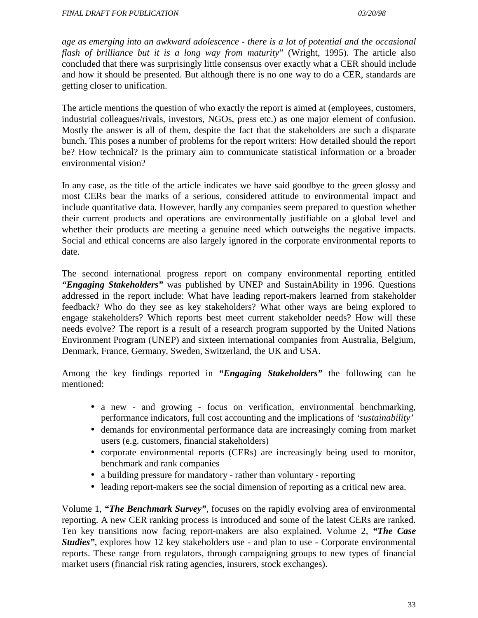*age as emerging into an awkward adolescence - there is a lot of potential and the occasional flash of brilliance but it is a long way from maturity*" (Wright, 1995). The article also concluded that there was surprisingly little consensus over exactly what a CER should include and how it should be presented. But although there is no one way to do a CER, standards are getting closer to unification.

The article mentions the question of who exactly the report is aimed at (employees, customers, industrial colleagues/rivals, investors, NGOs, press etc.) as one major element of confusion. Mostly the answer is all of them, despite the fact that the stakeholders are such a disparate bunch. This poses a number of problems for the report writers: How detailed should the report be? How technical? Is the primary aim to communicate statistical information or a broader environmental vision?

In any case, as the title of the article indicates we have said goodbye to the green glossy and most CERs bear the marks of a serious, considered attitude to environmental impact and include quantitative data. However, hardly any companies seem prepared to question whether their current products and operations are environmentally justifiable on a global level and whether their products are meeting a genuine need which outweighs the negative impacts. Social and ethical concerns are also largely ignored in the corporate environmental reports to date.

The second international progress report on company environmental reporting entitled *"Engaging Stakeholders"* was published by UNEP and SustainAbility in 1996. Questions addressed in the report include: What have leading report-makers learned from stakeholder feedback? Who do they see as key stakeholders? What other ways are being explored to engage stakeholders? Which reports best meet current stakeholder needs? How will these needs evolve? The report is a result of a research program supported by the United Nations Environment Program (UNEP) and sixteen international companies from Australia, Belgium, Denmark, France, Germany, Sweden, Switzerland, the UK and USA.

Among the key findings reported in *"Engaging Stakeholders"* the following can be mentioned:

- a new and growing focus on verification, environmental benchmarking, performance indicators, full cost accounting and the implications of *'sustainability'*
- demands for environmental performance data are increasingly coming from market users (e.g. customers, financial stakeholders)
- corporate environmental reports (CERs) are increasingly being used to monitor, benchmark and rank companies
- a building pressure for mandatory rather than voluntary reporting
- leading report-makers see the social dimension of reporting as a critical new area.

Volume 1, *"The Benchmark Survey"*, focuses on the rapidly evolving area of environmental reporting. A new CER ranking process is introduced and some of the latest CERs are ranked. Ten key transitions now facing report-makers are also explained. Volume 2, *"The Case Studies"*, explores how 12 key stakeholders use - and plan to use - Corporate environmental reports. These range from regulators, through campaigning groups to new types of financial market users (financial risk rating agencies, insurers, stock exchanges).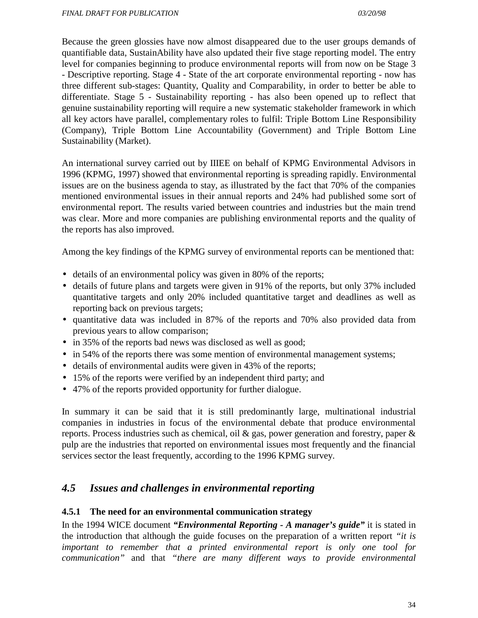Because the green glossies have now almost disappeared due to the user groups demands of quantifiable data, SustainAbility have also updated their five stage reporting model. The entry level for companies beginning to produce environmental reports will from now on be Stage 3 - Descriptive reporting. Stage 4 - State of the art corporate environmental reporting - now has three different sub-stages: Quantity, Quality and Comparability, in order to better be able to differentiate. Stage 5 - Sustainability reporting - has also been opened up to reflect that genuine sustainability reporting will require a new systematic stakeholder framework in which all key actors have parallel, complementary roles to fulfil: Triple Bottom Line Responsibility (Company), Triple Bottom Line Accountability (Government) and Triple Bottom Line Sustainability (Market).

An international survey carried out by IIIEE on behalf of KPMG Environmental Advisors in 1996 (KPMG, 1997) showed that environmental reporting is spreading rapidly. Environmental issues are on the business agenda to stay, as illustrated by the fact that 70% of the companies mentioned environmental issues in their annual reports and 24% had published some sort of environmental report. The results varied between countries and industries but the main trend was clear. More and more companies are publishing environmental reports and the quality of the reports has also improved.

Among the key findings of the KPMG survey of environmental reports can be mentioned that:

- details of an environmental policy was given in 80% of the reports;
- details of future plans and targets were given in 91% of the reports, but only 37% included quantitative targets and only 20% included quantitative target and deadlines as well as reporting back on previous targets;
- quantitative data was included in 87% of the reports and 70% also provided data from previous years to allow comparison;
- in 35% of the reports bad news was disclosed as well as good;
- in 54% of the reports there was some mention of environmental management systems;
- details of environmental audits were given in 43% of the reports;
- 15% of the reports were verified by an independent third party; and
- 47% of the reports provided opportunity for further dialogue.

In summary it can be said that it is still predominantly large, multinational industrial companies in industries in focus of the environmental debate that produce environmental reports. Process industries such as chemical, oil & gas, power generation and forestry, paper & pulp are the industries that reported on environmental issues most frequently and the financial services sector the least frequently, according to the 1996 KPMG survey.

### *4.5 Issues and challenges in environmental reporting*

#### **4.5.1 The need for an environmental communication strategy**

In the 1994 WICE document *"Environmental Reporting - A manager's guide"* it is stated in the introduction that although the guide focuses on the preparation of a written report *"it is important to remember that a printed environmental report is only one tool for communication"* and that *"there are many different ways to provide environmental*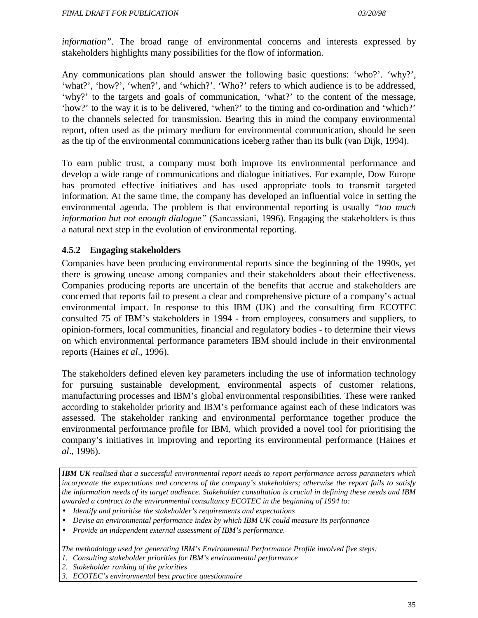*information"*. The broad range of environmental concerns and interests expressed by stakeholders highlights many possibilities for the flow of information.

Any communications plan should answer the following basic questions: 'who?'. 'why?', 'what?', 'how?', 'when?', and 'which?'. 'Who?' refers to which audience is to be addressed, 'why?' to the targets and goals of communication, 'what?' to the content of the message, 'how?' to the way it is to be delivered, 'when?' to the timing and co-ordination and 'which?' to the channels selected for transmission. Bearing this in mind the company environmental report, often used as the primary medium for environmental communication, should be seen as the tip of the environmental communications iceberg rather than its bulk (van Dijk, 1994).

To earn public trust, a company must both improve its environmental performance and develop a wide range of communications and dialogue initiatives. For example, Dow Europe has promoted effective initiatives and has used appropriate tools to transmit targeted information. At the same time, the company has developed an influential voice in setting the environmental agenda. The problem is that environmental reporting is usually *"too much information but not enough dialogue"* (Sancassiani, 1996). Engaging the stakeholders is thus a natural next step in the evolution of environmental reporting.

#### **4.5.2 Engaging stakeholders**

Companies have been producing environmental reports since the beginning of the 1990s, yet there is growing unease among companies and their stakeholders about their effectiveness. Companies producing reports are uncertain of the benefits that accrue and stakeholders are concerned that reports fail to present a clear and comprehensive picture of a company's actual environmental impact. In response to this IBM (UK) and the consulting firm ECOTEC consulted 75 of IBM's stakeholders in 1994 - from employees, consumers and suppliers, to opinion-formers, local communities, financial and regulatory bodies - to determine their views on which environmental performance parameters IBM should include in their environmental reports (Haines *et al*., 1996).

The stakeholders defined eleven key parameters including the use of information technology for pursuing sustainable development, environmental aspects of customer relations, manufacturing processes and IBM's global environmental responsibilities. These were ranked according to stakeholder priority and IBM's performance against each of these indicators was assessed. The stakeholder ranking and environmental performance together produce the environmental performance profile for IBM, which provided a novel tool for prioritising the company's initiatives in improving and reporting its environmental performance (Haines *et al*., 1996).

*IBM UK realised that a successful environmental report needs to report performance across parameters which incorporate the expectations and concerns of the company's stakeholders; otherwise the report fails to satisfy the information needs of its target audience. Stakeholder consultation is crucial in defining these needs and IBM awarded a contract to the environmental consultancy ECOTEC in the beginning of 1994 to:*

- *Identify and prioritise the stakeholder's requirements and expectations*
- *Devise an environmental performance index by which IBM UK could measure its performance*
- *Provide an independent external assessment of IBM's performance.*

*The methodology used for generating IBM's Environmental Performance Profile involved five steps:*

- *1. Consulting stakeholder priorities for IBM's environmental performance*
- *2. Stakeholder ranking of the priorities*
- *3. ECOTEC's environmental best practice questionnaire*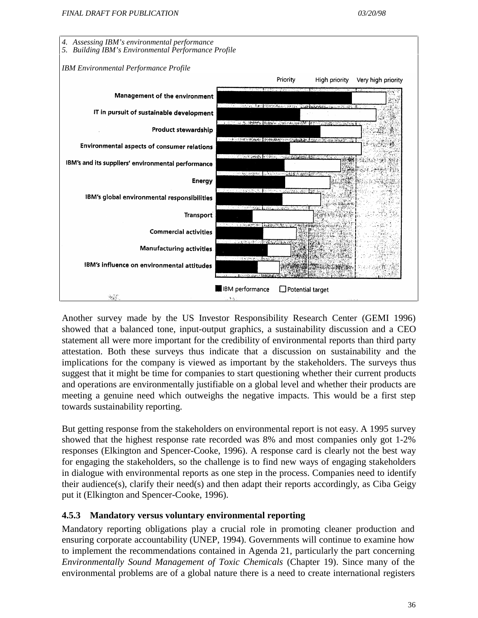



Another survey made by the US Investor Responsibility Research Center (GEMI 1996) showed that a balanced tone, input-output graphics, a sustainability discussion and a CEO statement all were more important for the credibility of environmental reports than third party attestation. Both these surveys thus indicate that a discussion on sustainability and the implications for the company is viewed as important by the stakeholders. The surveys thus suggest that it might be time for companies to start questioning whether their current products and operations are environmentally justifiable on a global level and whether their products are meeting a genuine need which outweighs the negative impacts. This would be a first step towards sustainability reporting.

But getting response from the stakeholders on environmental report is not easy. A 1995 survey showed that the highest response rate recorded was 8% and most companies only got 1-2% responses (Elkington and Spencer-Cooke, 1996). A response card is clearly not the best way for engaging the stakeholders, so the challenge is to find new ways of engaging stakeholders in dialogue with environmental reports as one step in the process. Companies need to identify their audience(s), clarify their need(s) and then adapt their reports accordingly, as Ciba Geigy put it (Elkington and Spencer-Cooke, 1996).

#### **4.5.3 Mandatory versus voluntary environmental reporting**

Mandatory reporting obligations play a crucial role in promoting cleaner production and ensuring corporate accountability (UNEP, 1994). Governments will continue to examine how to implement the recommendations contained in Agenda 21, particularly the part concerning *Environmentally Sound Management of Toxic Chemicals* (Chapter 19). Since many of the environmental problems are of a global nature there is a need to create international registers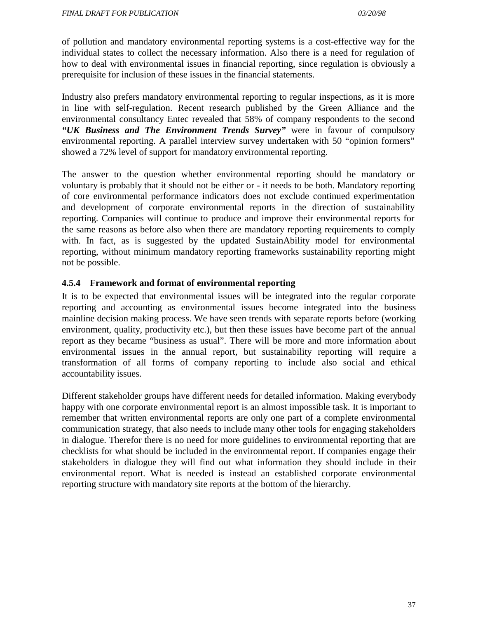of pollution and mandatory environmental reporting systems is a cost-effective way for the individual states to collect the necessary information. Also there is a need for regulation of how to deal with environmental issues in financial reporting, since regulation is obviously a prerequisite for inclusion of these issues in the financial statements.

Industry also prefers mandatory environmental reporting to regular inspections, as it is more in line with self-regulation. Recent research published by the Green Alliance and the environmental consultancy Entec revealed that 58% of company respondents to the second *"UK Business and The Environment Trends Survey"* were in favour of compulsory environmental reporting. A parallel interview survey undertaken with 50 "opinion formers" showed a 72% level of support for mandatory environmental reporting.

The answer to the question whether environmental reporting should be mandatory or voluntary is probably that it should not be either or - it needs to be both. Mandatory reporting of core environmental performance indicators does not exclude continued experimentation and development of corporate environmental reports in the direction of sustainability reporting. Companies will continue to produce and improve their environmental reports for the same reasons as before also when there are mandatory reporting requirements to comply with. In fact, as is suggested by the updated SustainAbility model for environmental reporting, without minimum mandatory reporting frameworks sustainability reporting might not be possible.

### **4.5.4 Framework and format of environmental reporting**

It is to be expected that environmental issues will be integrated into the regular corporate reporting and accounting as environmental issues become integrated into the business mainline decision making process. We have seen trends with separate reports before (working environment, quality, productivity etc.), but then these issues have become part of the annual report as they became "business as usual". There will be more and more information about environmental issues in the annual report, but sustainability reporting will require a transformation of all forms of company reporting to include also social and ethical accountability issues.

Different stakeholder groups have different needs for detailed information. Making everybody happy with one corporate environmental report is an almost impossible task. It is important to remember that written environmental reports are only one part of a complete environmental communication strategy, that also needs to include many other tools for engaging stakeholders in dialogue. Therefor there is no need for more guidelines to environmental reporting that are checklists for what should be included in the environmental report. If companies engage their stakeholders in dialogue they will find out what information they should include in their environmental report. What is needed is instead an established corporate environmental reporting structure with mandatory site reports at the bottom of the hierarchy.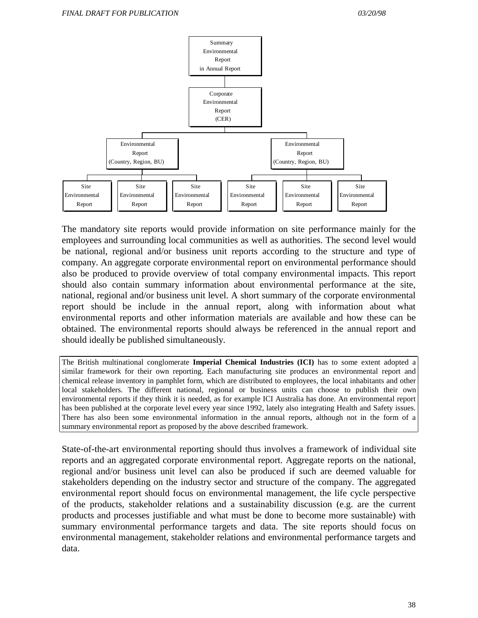

The mandatory site reports would provide information on site performance mainly for the employees and surrounding local communities as well as authorities. The second level would be national, regional and/or business unit reports according to the structure and type of company. An aggregate corporate environmental report on environmental performance should also be produced to provide overview of total company environmental impacts. This report should also contain summary information about environmental performance at the site, national, regional and/or business unit level. A short summary of the corporate environmental report should be include in the annual report, along with information about what environmental reports and other information materials are available and how these can be obtained. The environmental reports should always be referenced in the annual report and should ideally be published simultaneously.

The British multinational conglomerate **Imperial Chemical Industries (ICI)** has to some extent adopted a similar framework for their own reporting. Each manufacturing site produces an environmental report and chemical release inventory in pamphlet form, which are distributed to employees, the local inhabitants and other local stakeholders. The different national, regional or business units can choose to publish their own environmental reports if they think it is needed, as for example ICI Australia has done. An environmental report has been published at the corporate level every year since 1992, lately also integrating Health and Safety issues. There has also been some environmental information in the annual reports, although not in the form of a summary environmental report as proposed by the above described framework.

State-of-the-art environmental reporting should thus involves a framework of individual site reports and an aggregated corporate environmental report. Aggregate reports on the national, regional and/or business unit level can also be produced if such are deemed valuable for stakeholders depending on the industry sector and structure of the company. The aggregated environmental report should focus on environmental management, the life cycle perspective of the products, stakeholder relations and a sustainability discussion (e.g. are the current products and processes justifiable and what must be done to become more sustainable) with summary environmental performance targets and data. The site reports should focus on environmental management, stakeholder relations and environmental performance targets and data.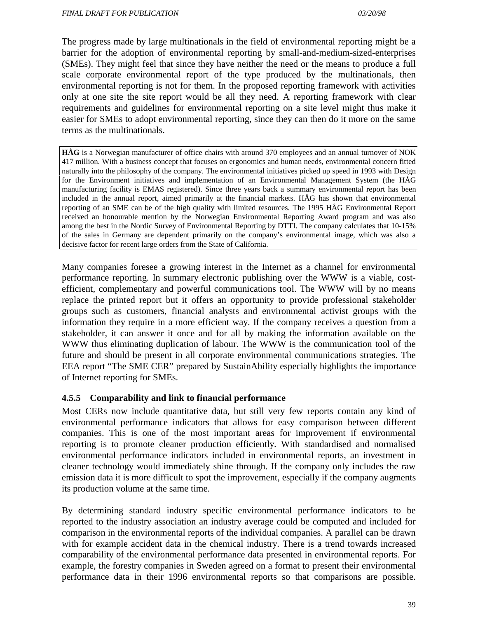The progress made by large multinationals in the field of environmental reporting might be a barrier for the adoption of environmental reporting by small-and-medium-sized-enterprises (SMEs). They might feel that since they have neither the need or the means to produce a full scale corporate environmental report of the type produced by the multinationals, then environmental reporting is not for them. In the proposed reporting framework with activities only at one site the site report would be all they need. A reporting framework with clear requirements and guidelines for environmental reporting on a site level might thus make it easier for SMEs to adopt environmental reporting, since they can then do it more on the same terms as the multinationals.

**HÅG** is a Norwegian manufacturer of office chairs with around 370 employees and an annual turnover of NOK 417 million. With a business concept that focuses on ergonomics and human needs, environmental concern fitted naturally into the philosophy of the company. The environmental initiatives picked up speed in 1993 with Design for the Environment initiatives and implementation of an Environmental Management System (the HÅG manufacturing facility is EMAS registered). Since three years back a summary environmental report has been included in the annual report, aimed primarily at the financial markets. HÅG has shown that environmental reporting of an SME can be of the high quality with limited resources. The 1995 HÅG Environmental Report received an honourable mention by the Norwegian Environmental Reporting Award program and was also among the best in the Nordic Survey of Environmental Reporting by DTTI. The company calculates that 10-15% of the sales in Germany are dependent primarily on the company's environmental image, which was also a decisive factor for recent large orders from the State of California.

Many companies foresee a growing interest in the Internet as a channel for environmental performance reporting. In summary electronic publishing over the WWW is a viable, costefficient, complementary and powerful communications tool. The WWW will by no means replace the printed report but it offers an opportunity to provide professional stakeholder groups such as customers, financial analysts and environmental activist groups with the information they require in a more efficient way. If the company receives a question from a stakeholder, it can answer it once and for all by making the information available on the WWW thus eliminating duplication of labour. The WWW is the communication tool of the future and should be present in all corporate environmental communications strategies. The EEA report "The SME CER" prepared by SustainAbility especially highlights the importance of Internet reporting for SMEs.

#### **4.5.5 Comparability and link to financial performance**

Most CERs now include quantitative data, but still very few reports contain any kind of environmental performance indicators that allows for easy comparison between different companies. This is one of the most important areas for improvement if environmental reporting is to promote cleaner production efficiently. With standardised and normalised environmental performance indicators included in environmental reports, an investment in cleaner technology would immediately shine through. If the company only includes the raw emission data it is more difficult to spot the improvement, especially if the company augments its production volume at the same time.

By determining standard industry specific environmental performance indicators to be reported to the industry association an industry average could be computed and included for comparison in the environmental reports of the individual companies. A parallel can be drawn with for example accident data in the chemical industry. There is a trend towards increased comparability of the environmental performance data presented in environmental reports. For example, the forestry companies in Sweden agreed on a format to present their environmental performance data in their 1996 environmental reports so that comparisons are possible.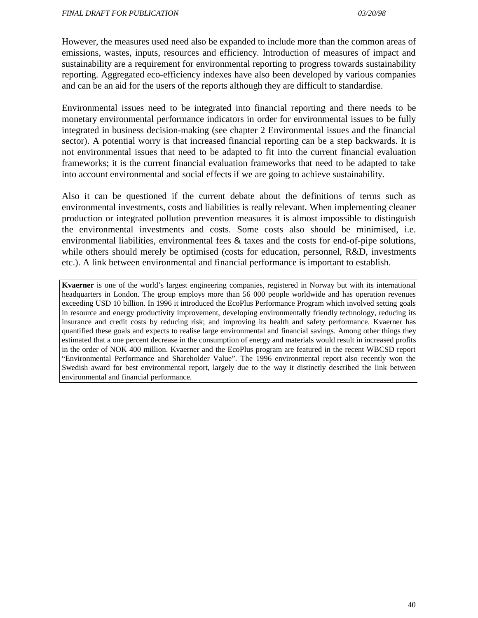However, the measures used need also be expanded to include more than the common areas of emissions, wastes, inputs, resources and efficiency. Introduction of measures of impact and sustainability are a requirement for environmental reporting to progress towards sustainability reporting. Aggregated eco-efficiency indexes have also been developed by various companies and can be an aid for the users of the reports although they are difficult to standardise.

Environmental issues need to be integrated into financial reporting and there needs to be monetary environmental performance indicators in order for environmental issues to be fully integrated in business decision-making (see chapter 2 Environmental issues and the financial sector). A potential worry is that increased financial reporting can be a step backwards. It is not environmental issues that need to be adapted to fit into the current financial evaluation frameworks; it is the current financial evaluation frameworks that need to be adapted to take into account environmental and social effects if we are going to achieve sustainability.

Also it can be questioned if the current debate about the definitions of terms such as environmental investments, costs and liabilities is really relevant. When implementing cleaner production or integrated pollution prevention measures it is almost impossible to distinguish the environmental investments and costs. Some costs also should be minimised, i.e. environmental liabilities, environmental fees & taxes and the costs for end-of-pipe solutions, while others should merely be optimised (costs for education, personnel, R&D, investments etc.). A link between environmental and financial performance is important to establish.

**Kvaerner** is one of the world's largest engineering companies, registered in Norway but with its international headquarters in London. The group employs more than 56 000 people worldwide and has operation revenues exceeding USD 10 billion. In 1996 it introduced the EcoPlus Performance Program which involved setting goals in resource and energy productivity improvement, developing environmentally friendly technology, reducing its insurance and credit costs by reducing risk; and improving its health and safety performance. Kvaerner has quantified these goals and expects to realise large environmental and financial savings. Among other things they estimated that a one percent decrease in the consumption of energy and materials would result in increased profits in the order of NOK 400 million. Kvaerner and the EcoPlus program are featured in the recent WBCSD report "Environmental Performance and Shareholder Value". The 1996 environmental report also recently won the Swedish award for best environmental report, largely due to the way it distinctly described the link between environmental and financial performance.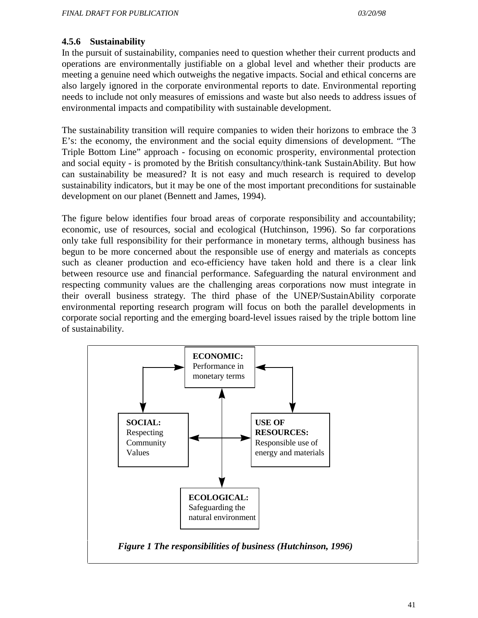#### **4.5.6 Sustainability**

In the pursuit of sustainability, companies need to question whether their current products and operations are environmentally justifiable on a global level and whether their products are meeting a genuine need which outweighs the negative impacts. Social and ethical concerns are also largely ignored in the corporate environmental reports to date. Environmental reporting needs to include not only measures of emissions and waste but also needs to address issues of environmental impacts and compatibility with sustainable development.

The sustainability transition will require companies to widen their horizons to embrace the 3 E's: the economy, the environment and the social equity dimensions of development. "The Triple Bottom Line" approach - focusing on economic prosperity, environmental protection and social equity - is promoted by the British consultancy/think-tank SustainAbility. But how can sustainability be measured? It is not easy and much research is required to develop sustainability indicators, but it may be one of the most important preconditions for sustainable development on our planet (Bennett and James, 1994).

The figure below identifies four broad areas of corporate responsibility and accountability; economic, use of resources, social and ecological (Hutchinson, 1996). So far corporations only take full responsibility for their performance in monetary terms, although business has begun to be more concerned about the responsible use of energy and materials as concepts such as cleaner production and eco-efficiency have taken hold and there is a clear link between resource use and financial performance. Safeguarding the natural environment and respecting community values are the challenging areas corporations now must integrate in their overall business strategy. The third phase of the UNEP/SustainAbility corporate environmental reporting research program will focus on both the parallel developments in corporate social reporting and the emerging board-level issues raised by the triple bottom line of sustainability.

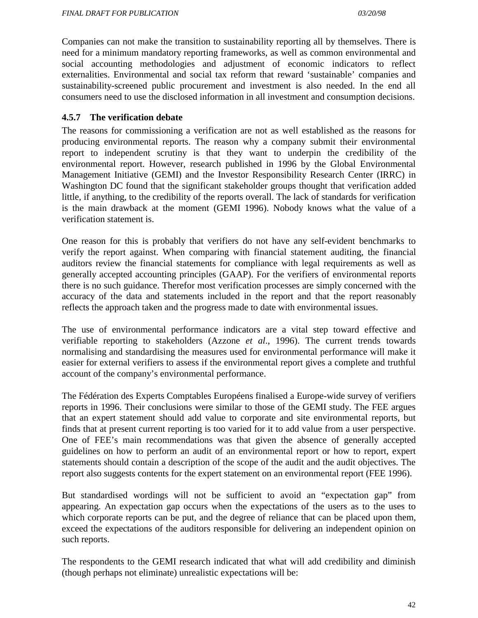Companies can not make the transition to sustainability reporting all by themselves. There is need for a minimum mandatory reporting frameworks, as well as common environmental and social accounting methodologies and adjustment of economic indicators to reflect externalities. Environmental and social tax reform that reward 'sustainable' companies and sustainability-screened public procurement and investment is also needed. In the end all consumers need to use the disclosed information in all investment and consumption decisions.

### **4.5.7 The verification debate**

The reasons for commissioning a verification are not as well established as the reasons for producing environmental reports. The reason why a company submit their environmental report to independent scrutiny is that they want to underpin the credibility of the environmental report. However, research published in 1996 by the Global Environmental Management Initiative (GEMI) and the Investor Responsibility Research Center (IRRC) in Washington DC found that the significant stakeholder groups thought that verification added little, if anything, to the credibility of the reports overall. The lack of standards for verification is the main drawback at the moment (GEMI 1996). Nobody knows what the value of a verification statement is.

One reason for this is probably that verifiers do not have any self-evident benchmarks to verify the report against. When comparing with financial statement auditing, the financial auditors review the financial statements for compliance with legal requirements as well as generally accepted accounting principles (GAAP). For the verifiers of environmental reports there is no such guidance. Therefor most verification processes are simply concerned with the accuracy of the data and statements included in the report and that the report reasonably reflects the approach taken and the progress made to date with environmental issues.

The use of environmental performance indicators are a vital step toward effective and verifiable reporting to stakeholders (Azzone *et al*., 1996). The current trends towards normalising and standardising the measures used for environmental performance will make it easier for external verifiers to assess if the environmental report gives a complete and truthful account of the company's environmental performance.

The Fédération des Experts Comptables Européens finalised a Europe-wide survey of verifiers reports in 1996. Their conclusions were similar to those of the GEMI study. The FEE argues that an expert statement should add value to corporate and site environmental reports, but finds that at present current reporting is too varied for it to add value from a user perspective. One of FEE's main recommendations was that given the absence of generally accepted guidelines on how to perform an audit of an environmental report or how to report, expert statements should contain a description of the scope of the audit and the audit objectives. The report also suggests contents for the expert statement on an environmental report (FEE 1996).

But standardised wordings will not be sufficient to avoid an "expectation gap" from appearing. An expectation gap occurs when the expectations of the users as to the uses to which corporate reports can be put, and the degree of reliance that can be placed upon them, exceed the expectations of the auditors responsible for delivering an independent opinion on such reports.

The respondents to the GEMI research indicated that what will add credibility and diminish (though perhaps not eliminate) unrealistic expectations will be: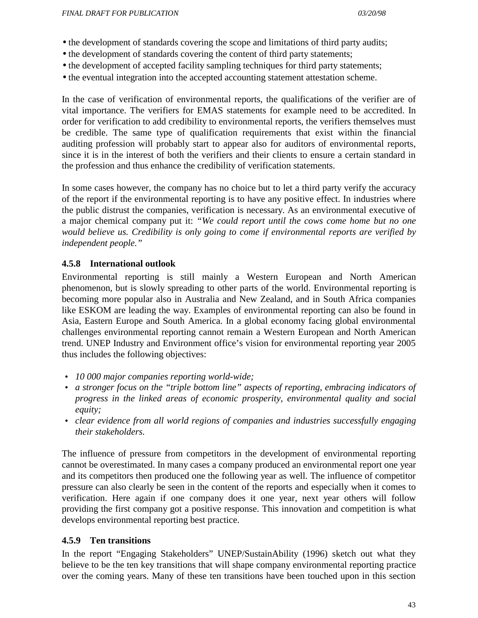- the development of standards covering the scope and limitations of third party audits;
- the development of standards covering the content of third party statements;
- the development of accepted facility sampling techniques for third party statements;
- the eventual integration into the accepted accounting statement attestation scheme.

In the case of verification of environmental reports, the qualifications of the verifier are of vital importance. The verifiers for EMAS statements for example need to be accredited. In order for verification to add credibility to environmental reports, the verifiers themselves must be credible. The same type of qualification requirements that exist within the financial auditing profession will probably start to appear also for auditors of environmental reports, since it is in the interest of both the verifiers and their clients to ensure a certain standard in the profession and thus enhance the credibility of verification statements.

In some cases however, the company has no choice but to let a third party verify the accuracy of the report if the environmental reporting is to have any positive effect. In industries where the public distrust the companies, verification is necessary. As an environmental executive of a major chemical company put it: *"We could report until the cows come home but no one would believe us. Credibility is only going to come if environmental reports are verified by independent people."*

### **4.5.8 International outlook**

Environmental reporting is still mainly a Western European and North American phenomenon, but is slowly spreading to other parts of the world. Environmental reporting is becoming more popular also in Australia and New Zealand, and in South Africa companies like ESKOM are leading the way. Examples of environmental reporting can also be found in Asia, Eastern Europe and South America. In a global economy facing global environmental challenges environmental reporting cannot remain a Western European and North American trend. UNEP Industry and Environment office's vision for environmental reporting year 2005 thus includes the following objectives:

- *10 000 major companies reporting world-wide;*
- *a stronger focus on the "triple bottom line" aspects of reporting, embracing indicators of progress in the linked areas of economic prosperity, environmental quality and social equity;*
- *clear evidence from all world regions of companies and industries successfully engaging their stakeholders.*

The influence of pressure from competitors in the development of environmental reporting cannot be overestimated. In many cases a company produced an environmental report one year and its competitors then produced one the following year as well. The influence of competitor pressure can also clearly be seen in the content of the reports and especially when it comes to verification. Here again if one company does it one year, next year others will follow providing the first company got a positive response. This innovation and competition is what develops environmental reporting best practice.

#### **4.5.9 Ten transitions**

In the report "Engaging Stakeholders" UNEP/SustainAbility (1996) sketch out what they believe to be the ten key transitions that will shape company environmental reporting practice over the coming years. Many of these ten transitions have been touched upon in this section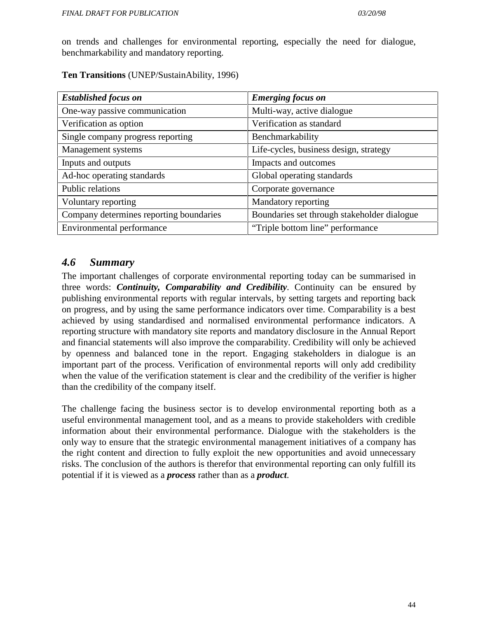on trends and challenges for environmental reporting, especially the need for dialogue, benchmarkability and mandatory reporting.

**Ten Transitions** (UNEP/SustainAbility, 1996)

| <b>Established focus on</b>             | <b>Emerging focus on</b>                    |
|-----------------------------------------|---------------------------------------------|
| One-way passive communication           | Multi-way, active dialogue                  |
| Verification as option                  | Verification as standard                    |
| Single company progress reporting       | Benchmarkability                            |
| Management systems                      | Life-cycles, business design, strategy      |
| Inputs and outputs                      | Impacts and outcomes                        |
| Ad-hoc operating standards              | Global operating standards                  |
| Public relations                        | Corporate governance                        |
| Voluntary reporting                     | Mandatory reporting                         |
| Company determines reporting boundaries | Boundaries set through stakeholder dialogue |
| Environmental performance               | "Triple bottom line" performance            |

# *4.6 Summary*

The important challenges of corporate environmental reporting today can be summarised in three words: *Continuity, Comparability and Credibility*. Continuity can be ensured by publishing environmental reports with regular intervals, by setting targets and reporting back on progress, and by using the same performance indicators over time. Comparability is a best achieved by using standardised and normalised environmental performance indicators. A reporting structure with mandatory site reports and mandatory disclosure in the Annual Report and financial statements will also improve the comparability. Credibility will only be achieved by openness and balanced tone in the report. Engaging stakeholders in dialogue is an important part of the process. Verification of environmental reports will only add credibility when the value of the verification statement is clear and the credibility of the verifier is higher than the credibility of the company itself.

The challenge facing the business sector is to develop environmental reporting both as a useful environmental management tool, and as a means to provide stakeholders with credible information about their environmental performance. Dialogue with the stakeholders is the only way to ensure that the strategic environmental management initiatives of a company has the right content and direction to fully exploit the new opportunities and avoid unnecessary risks. The conclusion of the authors is therefor that environmental reporting can only fulfill its potential if it is viewed as a *process* rather than as a *product*.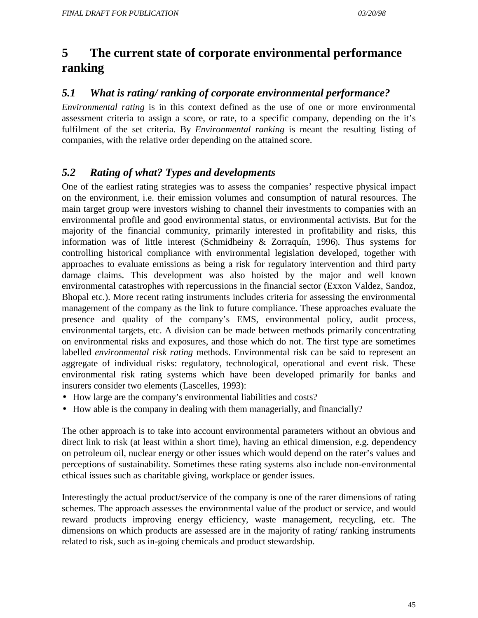# **5 The current state of corporate environmental performance ranking**

# *5.1 What is rating/ ranking of corporate environmental performance?*

*Environmental rating* is in this context defined as the use of one or more environmental assessment criteria to assign a score, or rate, to a specific company, depending on the it's fulfilment of the set criteria. By *Environmental ranking* is meant the resulting listing of companies, with the relative order depending on the attained score.

# *5.2 Rating of what? Types and developments*

One of the earliest rating strategies was to assess the companies' respective physical impact on the environment, i.e. their emission volumes and consumption of natural resources. The main target group were investors wishing to channel their investments to companies with an environmental profile and good environmental status, or environmental activists. But for the majority of the financial community, primarily interested in profitability and risks, this information was of little interest (Schmidheiny & Zorraquín, 1996). Thus systems for controlling historical compliance with environmental legislation developed, together with approaches to evaluate emissions as being a risk for regulatory intervention and third party damage claims. This development was also hoisted by the major and well known environmental catastrophes with repercussions in the financial sector (Exxon Valdez, Sandoz, Bhopal etc.). More recent rating instruments includes criteria for assessing the environmental management of the company as the link to future compliance. These approaches evaluate the presence and quality of the company's EMS, environmental policy, audit process, environmental targets, etc. A division can be made between methods primarily concentrating on environmental risks and exposures, and those which do not. The first type are sometimes labelled *environmental risk rating* methods. Environmental risk can be said to represent an aggregate of individual risks: regulatory, technological, operational and event risk. These environmental risk rating systems which have been developed primarily for banks and insurers consider two elements (Lascelles, 1993):

- How large are the company's environmental liabilities and costs?
- How able is the company in dealing with them managerially, and financially?

The other approach is to take into account environmental parameters without an obvious and direct link to risk (at least within a short time), having an ethical dimension, e.g. dependency on petroleum oil, nuclear energy or other issues which would depend on the rater's values and perceptions of sustainability. Sometimes these rating systems also include non-environmental ethical issues such as charitable giving, workplace or gender issues.

Interestingly the actual product/service of the company is one of the rarer dimensions of rating schemes. The approach assesses the environmental value of the product or service, and would reward products improving energy efficiency, waste management, recycling, etc. The dimensions on which products are assessed are in the majority of rating/ ranking instruments related to risk, such as in-going chemicals and product stewardship.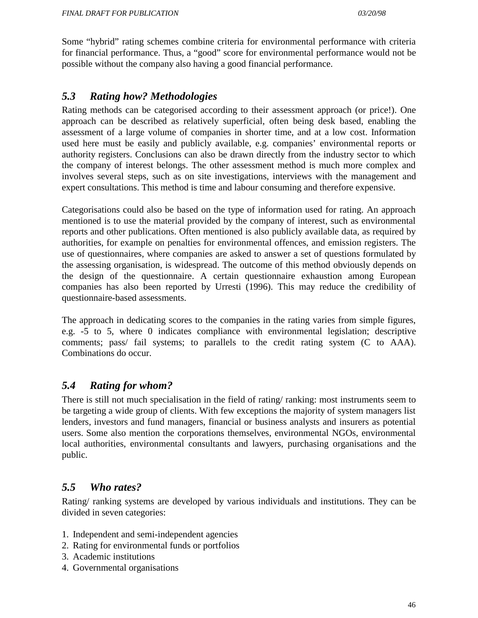Some "hybrid" rating schemes combine criteria for environmental performance with criteria for financial performance. Thus, a "good" score for environmental performance would not be possible without the company also having a good financial performance.

# *5.3 Rating how? Methodologies*

Rating methods can be categorised according to their assessment approach (or price!). One approach can be described as relatively superficial, often being desk based, enabling the assessment of a large volume of companies in shorter time, and at a low cost. Information used here must be easily and publicly available, e.g. companies' environmental reports or authority registers. Conclusions can also be drawn directly from the industry sector to which the company of interest belongs. The other assessment method is much more complex and involves several steps, such as on site investigations, interviews with the management and expert consultations. This method is time and labour consuming and therefore expensive.

Categorisations could also be based on the type of information used for rating. An approach mentioned is to use the material provided by the company of interest, such as environmental reports and other publications. Often mentioned is also publicly available data, as required by authorities, for example on penalties for environmental offences, and emission registers. The use of questionnaires, where companies are asked to answer a set of questions formulated by the assessing organisation, is widespread. The outcome of this method obviously depends on the design of the questionnaire. A certain questionnaire exhaustion among European companies has also been reported by Urresti (1996). This may reduce the credibility of questionnaire-based assessments.

The approach in dedicating scores to the companies in the rating varies from simple figures, e.g. -5 to 5, where 0 indicates compliance with environmental legislation; descriptive comments; pass/ fail systems; to parallels to the credit rating system (C to AAA). Combinations do occur.

# *5.4 Rating for whom?*

There is still not much specialisation in the field of rating/ ranking: most instruments seem to be targeting a wide group of clients. With few exceptions the majority of system managers list lenders, investors and fund managers, financial or business analysts and insurers as potential users. Some also mention the corporations themselves, environmental NGOs, environmental local authorities, environmental consultants and lawyers, purchasing organisations and the public.

# *5.5 Who rates?*

Rating/ ranking systems are developed by various individuals and institutions. They can be divided in seven categories:

- 1. Independent and semi-independent agencies
- 2. Rating for environmental funds or portfolios
- 3. Academic institutions
- 4. Governmental organisations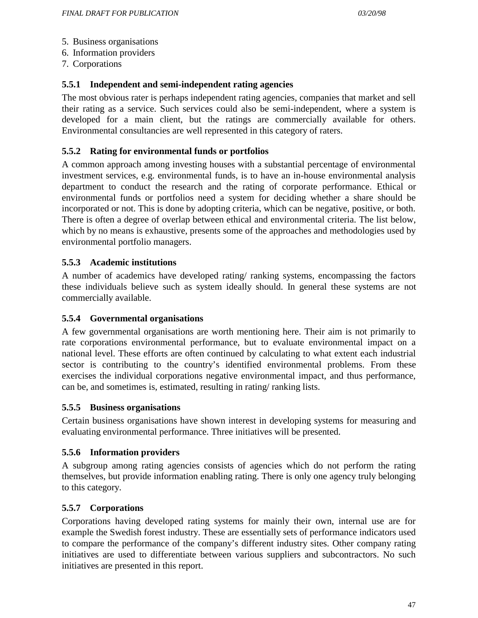- 5. Business organisations
- 6. Information providers
- 7. Corporations

# **5.5.1 Independent and semi-independent rating agencies**

The most obvious rater is perhaps independent rating agencies, companies that market and sell their rating as a service. Such services could also be semi-independent, where a system is developed for a main client, but the ratings are commercially available for others. Environmental consultancies are well represented in this category of raters.

# **5.5.2 Rating for environmental funds or portfolios**

A common approach among investing houses with a substantial percentage of environmental investment services, e.g. environmental funds, is to have an in-house environmental analysis department to conduct the research and the rating of corporate performance. Ethical or environmental funds or portfolios need a system for deciding whether a share should be incorporated or not. This is done by adopting criteria, which can be negative, positive, or both. There is often a degree of overlap between ethical and environmental criteria. The list below, which by no means is exhaustive, presents some of the approaches and methodologies used by environmental portfolio managers.

# **5.5.3 Academic institutions**

A number of academics have developed rating/ ranking systems, encompassing the factors these individuals believe such as system ideally should. In general these systems are not commercially available.

# **5.5.4 Governmental organisations**

A few governmental organisations are worth mentioning here. Their aim is not primarily to rate corporations environmental performance, but to evaluate environmental impact on a national level. These efforts are often continued by calculating to what extent each industrial sector is contributing to the country's identified environmental problems. From these exercises the individual corporations negative environmental impact, and thus performance, can be, and sometimes is, estimated, resulting in rating/ ranking lists.

# **5.5.5 Business organisations**

Certain business organisations have shown interest in developing systems for measuring and evaluating environmental performance. Three initiatives will be presented.

# **5.5.6 Information providers**

A subgroup among rating agencies consists of agencies which do not perform the rating themselves, but provide information enabling rating. There is only one agency truly belonging to this category.

# **5.5.7 Corporations**

Corporations having developed rating systems for mainly their own, internal use are for example the Swedish forest industry. These are essentially sets of performance indicators used to compare the performance of the company's different industry sites. Other company rating initiatives are used to differentiate between various suppliers and subcontractors. No such initiatives are presented in this report.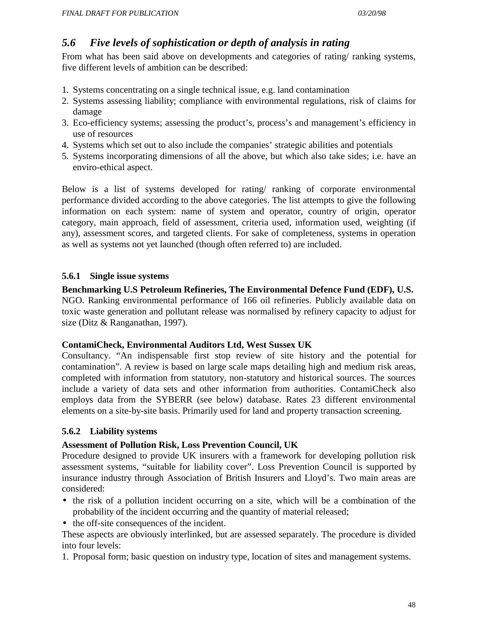# *5.6 Five levels of sophistication or depth of analysis in rating*

From what has been said above on developments and categories of rating/ ranking systems, five different levels of ambition can be described:

- 1. Systems concentrating on a single technical issue, e.g. land contamination
- 2. Systems assessing liability; compliance with environmental regulations, risk of claims for damage
- 3. Eco-efficiency systems; assessing the product's, process's and management's efficiency in use of resources
- 4. Systems which set out to also include the companies' strategic abilities and potentials
- 5. Systems incorporating dimensions of all the above, but which also take sides; i.e. have an enviro-ethical aspect.

Below is a list of systems developed for rating/ ranking of corporate environmental performance divided according to the above categories. The list attempts to give the following information on each system: name of system and operator, country of origin, operator category, main approach, field of assessment, criteria used, information used, weighting (if any), assessment scores, and targeted clients. For sake of completeness, systems in operation as well as systems not yet launched (though often referred to) are included.

# **5.6.1 Single issue systems**

**Benchmarking U.S Petroleum Refineries, The Environmental Defence Fund (EDF), U.S.** NGO. Ranking environmental performance of 166 oil refineries. Publicly available data on toxic waste generation and pollutant release was normalised by refinery capacity to adjust for size (Ditz & Ranganathan, 1997).

#### **ContamiCheck, Environmental Auditors Ltd, West Sussex UK**

Consultancy. "An indispensable first stop review of site history and the potential for contamination". A review is based on large scale maps detailing high and medium risk areas, completed with information from statutory, non-statutory and historical sources. The sources include a variety of data sets and other information from authorities. ContamiCheck also employs data from the SYBERR (see below) database. Rates 23 different environmental elements on a site-by-site basis. Primarily used for land and property transaction screening.

# **5.6.2 Liability systems**

# **Assessment of Pollution Risk, Loss Prevention Council, UK**

Procedure designed to provide UK insurers with a framework for developing pollution risk assessment systems, "suitable for liability cover". Loss Prevention Council is supported by insurance industry through Association of British Insurers and Lloyd's. Two main areas are considered:

- the risk of a pollution incident occurring on a site, which will be a combination of the probability of the incident occurring and the quantity of material released;
- the off-site consequences of the incident.

These aspects are obviously interlinked, but are assessed separately. The procedure is divided into four levels:

1. Proposal form; basic question on industry type, location of sites and management systems.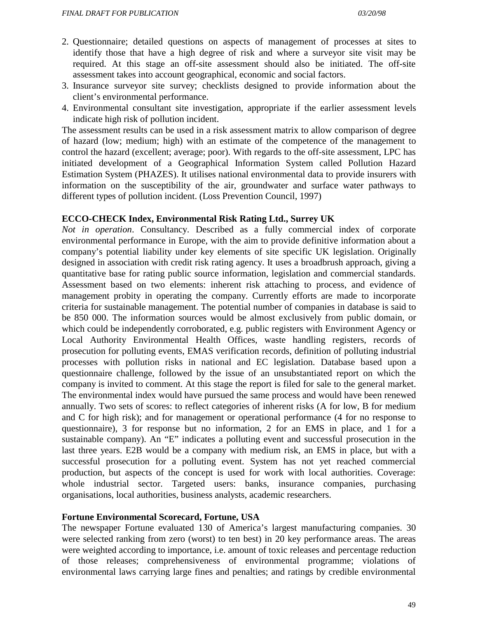- 2. Questionnaire; detailed questions on aspects of management of processes at sites to identify those that have a high degree of risk and where a surveyor site visit may be required. At this stage an off-site assessment should also be initiated. The off-site assessment takes into account geographical, economic and social factors.
- 3. Insurance surveyor site survey; checklists designed to provide information about the client's environmental performance.
- 4. Environmental consultant site investigation, appropriate if the earlier assessment levels indicate high risk of pollution incident.

The assessment results can be used in a risk assessment matrix to allow comparison of degree of hazard (low; medium; high) with an estimate of the competence of the management to control the hazard (excellent; average; poor). With regards to the off-site assessment, LPC has initiated development of a Geographical Information System called Pollution Hazard Estimation System (PHAZES). It utilises national environmental data to provide insurers with information on the susceptibility of the air, groundwater and surface water pathways to different types of pollution incident. (Loss Prevention Council, 1997)

#### **ECCO-CHECK Index, Environmental Risk Rating Ltd., Surrey UK**

*Not in operation*. Consultancy. Described as a fully commercial index of corporate environmental performance in Europe, with the aim to provide definitive information about a company's potential liability under key elements of site specific UK legislation. Originally designed in association with credit risk rating agency. It uses a broadbrush approach, giving a quantitative base for rating public source information, legislation and commercial standards. Assessment based on two elements: inherent risk attaching to process, and evidence of management probity in operating the company. Currently efforts are made to incorporate criteria for sustainable management. The potential number of companies in database is said to be 850 000. The information sources would be almost exclusively from public domain, or which could be independently corroborated, e.g. public registers with Environment Agency or Local Authority Environmental Health Offices, waste handling registers, records of prosecution for polluting events, EMAS verification records, definition of polluting industrial processes with pollution risks in national and EC legislation. Database based upon a questionnaire challenge, followed by the issue of an unsubstantiated report on which the company is invited to comment. At this stage the report is filed for sale to the general market. The environmental index would have pursued the same process and would have been renewed annually. Two sets of scores: to reflect categories of inherent risks (A for low, B for medium and C for high risk); and for management or operational performance (4 for no response to questionnaire), 3 for response but no information, 2 for an EMS in place, and 1 for a sustainable company). An "E" indicates a polluting event and successful prosecution in the last three years. E2B would be a company with medium risk, an EMS in place, but with a successful prosecution for a polluting event. System has not yet reached commercial production, but aspects of the concept is used for work with local authorities. Coverage: whole industrial sector. Targeted users: banks, insurance companies, purchasing organisations, local authorities, business analysts, academic researchers.

#### **Fortune Environmental Scorecard, Fortune, USA**

The newspaper Fortune evaluated 130 of America's largest manufacturing companies. 30 were selected ranking from zero (worst) to ten best) in 20 key performance areas. The areas were weighted according to importance, i.e. amount of toxic releases and percentage reduction of those releases; comprehensiveness of environmental programme; violations of environmental laws carrying large fines and penalties; and ratings by credible environmental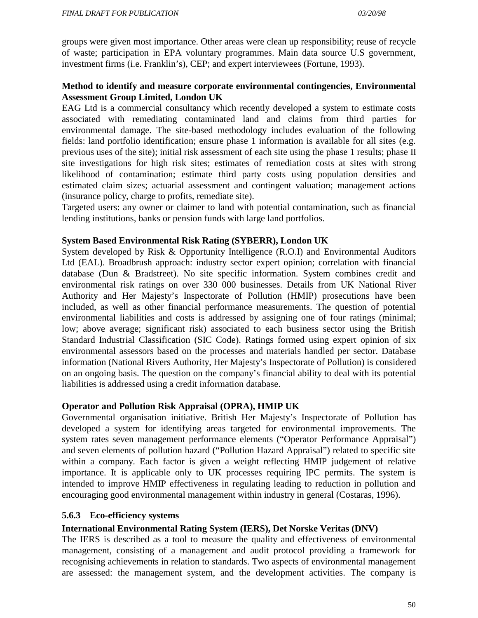groups were given most importance. Other areas were clean up responsibility; reuse of recycle of waste; participation in EPA voluntary programmes. Main data source U.S government, investment firms (i.e. Franklin's), CEP; and expert interviewees (Fortune, 1993).

### **Method to identify and measure corporate environmental contingencies, Environmental Assessment Group Limited, London UK**

EAG Ltd is a commercial consultancy which recently developed a system to estimate costs associated with remediating contaminated land and claims from third parties for environmental damage. The site-based methodology includes evaluation of the following fields: land portfolio identification; ensure phase 1 information is available for all sites (e.g. previous uses of the site); initial risk assessment of each site using the phase 1 results; phase II site investigations for high risk sites; estimates of remediation costs at sites with strong likelihood of contamination; estimate third party costs using population densities and estimated claim sizes; actuarial assessment and contingent valuation; management actions (insurance policy, charge to profits, remediate site).

Targeted users: any owner or claimer to land with potential contamination, such as financial lending institutions, banks or pension funds with large land portfolios.

#### **System Based Environmental Risk Rating (SYBERR), London UK**

System developed by Risk & Opportunity Intelligence (R.O.I) and Environmental Auditors Ltd (EAL). Broadbrush approach: industry sector expert opinion; correlation with financial database (Dun & Bradstreet). No site specific information. System combines credit and environmental risk ratings on over 330 000 businesses. Details from UK National River Authority and Her Majesty's Inspectorate of Pollution (HMIP) prosecutions have been included, as well as other financial performance measurements. The question of potential environmental liabilities and costs is addressed by assigning one of four ratings (minimal; low; above average; significant risk) associated to each business sector using the British Standard Industrial Classification (SIC Code). Ratings formed using expert opinion of six environmental assessors based on the processes and materials handled per sector. Database information (National Rivers Authority, Her Majesty's Inspectorate of Pollution) is considered on an ongoing basis. The question on the company's financial ability to deal with its potential liabilities is addressed using a credit information database.

#### **Operator and Pollution Risk Appraisal (OPRA), HMIP UK**

Governmental organisation initiative. British Her Majesty's Inspectorate of Pollution has developed a system for identifying areas targeted for environmental improvements. The system rates seven management performance elements ("Operator Performance Appraisal") and seven elements of pollution hazard ("Pollution Hazard Appraisal") related to specific site within a company. Each factor is given a weight reflecting HMIP judgement of relative importance. It is applicable only to UK processes requiring IPC permits. The system is intended to improve HMIP effectiveness in regulating leading to reduction in pollution and encouraging good environmental management within industry in general (Costaras, 1996).

#### **5.6.3 Eco-efficiency systems**

#### **International Environmental Rating System (IERS), Det Norske Veritas (DNV)**

The IERS is described as a tool to measure the quality and effectiveness of environmental management, consisting of a management and audit protocol providing a framework for recognising achievements in relation to standards. Two aspects of environmental management are assessed: the management system, and the development activities. The company is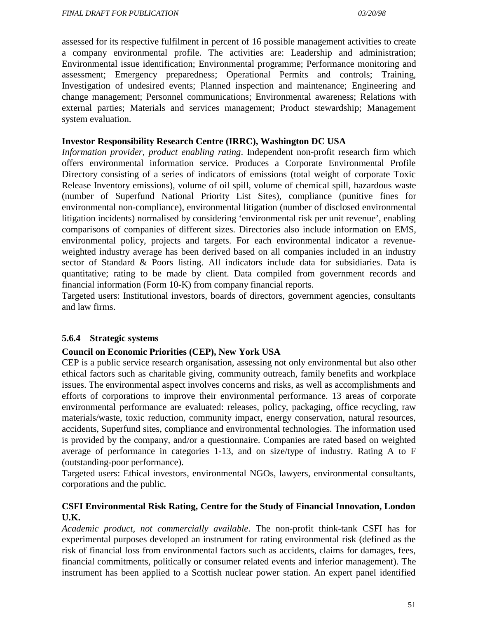assessed for its respective fulfilment in percent of 16 possible management activities to create a company environmental profile. The activities are: Leadership and administration; Environmental issue identification; Environmental programme; Performance monitoring and assessment; Emergency preparedness; Operational Permits and controls; Training, Investigation of undesired events; Planned inspection and maintenance; Engineering and change management; Personnel communications; Environmental awareness; Relations with external parties; Materials and services management; Product stewardship; Management system evaluation.

#### **Investor Responsibility Research Centre (IRRC), Washington DC USA**

*Information provider, product enabling rating*. Independent non-profit research firm which offers environmental information service. Produces a Corporate Environmental Profile Directory consisting of a series of indicators of emissions (total weight of corporate Toxic Release Inventory emissions), volume of oil spill, volume of chemical spill, hazardous waste (number of Superfund National Priority List Sites), compliance (punitive fines for environmental non-compliance), environmental litigation (number of disclosed environmental litigation incidents) normalised by considering 'environmental risk per unit revenue', enabling comparisons of companies of different sizes. Directories also include information on EMS, environmental policy, projects and targets. For each environmental indicator a revenueweighted industry average has been derived based on all companies included in an industry sector of Standard & Poors listing. All indicators include data for subsidiaries. Data is quantitative; rating to be made by client. Data compiled from government records and financial information (Form 10-K) from company financial reports.

Targeted users: Institutional investors, boards of directors, government agencies, consultants and law firms.

#### **5.6.4 Strategic systems**

#### **Council on Economic Priorities (CEP), New York USA**

CEP is a public service research organisation, assessing not only environmental but also other ethical factors such as charitable giving, community outreach, family benefits and workplace issues. The environmental aspect involves concerns and risks, as well as accomplishments and efforts of corporations to improve their environmental performance. 13 areas of corporate environmental performance are evaluated: releases, policy, packaging, office recycling, raw materials/waste, toxic reduction, community impact, energy conservation, natural resources, accidents, Superfund sites, compliance and environmental technologies. The information used is provided by the company, and/or a questionnaire. Companies are rated based on weighted average of performance in categories 1-13, and on size/type of industry. Rating A to F (outstanding-poor performance).

Targeted users: Ethical investors, environmental NGOs, lawyers, environmental consultants, corporations and the public.

### **CSFI Environmental Risk Rating, Centre for the Study of Financial Innovation, London U.K.**

*Academic product, not commercially available*. The non-profit think-tank CSFI has for experimental purposes developed an instrument for rating environmental risk (defined as the risk of financial loss from environmental factors such as accidents, claims for damages, fees, financial commitments, politically or consumer related events and inferior management). The instrument has been applied to a Scottish nuclear power station. An expert panel identified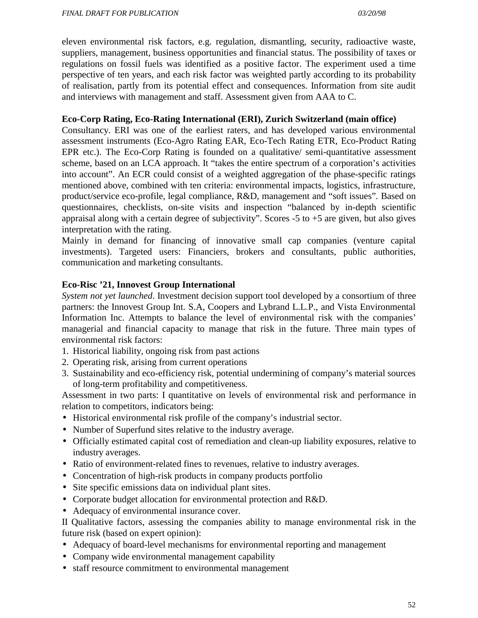eleven environmental risk factors, e.g. regulation, dismantling, security, radioactive waste, suppliers, management, business opportunities and financial status. The possibility of taxes or regulations on fossil fuels was identified as a positive factor. The experiment used a time perspective of ten years, and each risk factor was weighted partly according to its probability of realisation, partly from its potential effect and consequences. Information from site audit and interviews with management and staff. Assessment given from AAA to C.

#### **Eco-Corp Rating, Eco-Rating International (ERI), Zurich Switzerland (main office)**

Consultancy. ERI was one of the earliest raters, and has developed various environmental assessment instruments (Eco-Agro Rating EAR, Eco-Tech Rating ETR, Eco-Product Rating EPR etc.). The Eco-Corp Rating is founded on a qualitative/ semi-quantitative assessment scheme, based on an LCA approach. It "takes the entire spectrum of a corporation's activities into account". An ECR could consist of a weighted aggregation of the phase-specific ratings mentioned above, combined with ten criteria: environmental impacts, logistics, infrastructure, product/service eco-profile, legal compliance, R&D, management and "soft issues"*.* Based on questionnaires, checklists, on-site visits and inspection "balanced by in-depth scientific appraisal along with a certain degree of subjectivity". Scores -5 to +5 are given, but also gives interpretation with the rating.

Mainly in demand for financing of innovative small cap companies (venture capital investments). Targeted users: Financiers, brokers and consultants, public authorities, communication and marketing consultants.

#### **Eco-Risc '21, Innovest Group International**

*System not yet launched*. Investment decision support tool developed by a consortium of three partners: the Innovest Group Int. S.A, Coopers and Lybrand L.L.P., and Vista Environmental Information Inc. Attempts to balance the level of environmental risk with the companies' managerial and financial capacity to manage that risk in the future. Three main types of environmental risk factors:

- 1. Historical liability, ongoing risk from past actions
- 2. Operating risk, arising from current operations
- 3. Sustainability and eco-efficiency risk, potential undermining of company's material sources of long-term profitability and competitiveness.

Assessment in two parts: I quantitative on levels of environmental risk and performance in relation to competitors, indicators being:

- Historical environmental risk profile of the company's industrial sector.
- Number of Superfund sites relative to the industry average.
- Officially estimated capital cost of remediation and clean-up liability exposures, relative to industry averages.
- Ratio of environment-related fines to revenues, relative to industry averages.
- Concentration of high-risk products in company products portfolio
- Site specific emissions data on individual plant sites.
- Corporate budget allocation for environmental protection and R&D.
- Adequacy of environmental insurance cover.

II Qualitative factors, assessing the companies ability to manage environmental risk in the future risk (based on expert opinion):

- Adequacy of board-level mechanisms for environmental reporting and management
- Company wide environmental management capability
- staff resource commitment to environmental management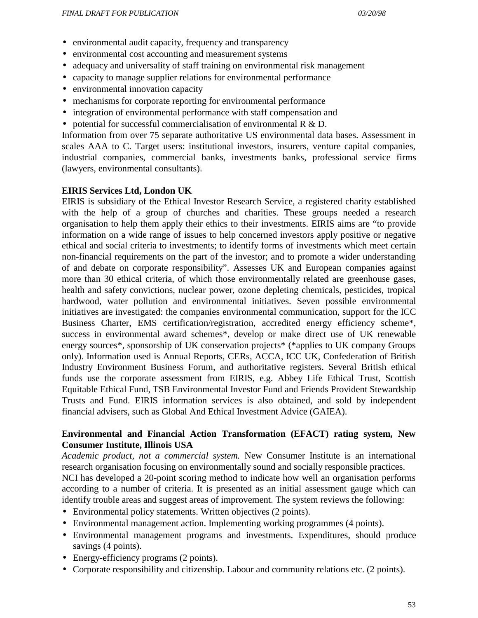- environmental audit capacity, frequency and transparency
- environmental cost accounting and measurement systems
- adequacy and universality of staff training on environmental risk management
- capacity to manage supplier relations for environmental performance
- environmental innovation capacity
- mechanisms for corporate reporting for environmental performance
- integration of environmental performance with staff compensation and
- potential for successful commercialisation of environmental  $R \& D$ .

Information from over 75 separate authoritative US environmental data bases. Assessment in scales AAA to C. Target users: institutional investors, insurers, venture capital companies, industrial companies, commercial banks, investments banks, professional service firms (lawyers, environmental consultants).

#### **EIRIS Services Ltd, London UK**

EIRIS is subsidiary of the Ethical Investor Research Service, a registered charity established with the help of a group of churches and charities. These groups needed a research organisation to help them apply their ethics to their investments. EIRIS aims are "to provide information on a wide range of issues to help concerned investors apply positive or negative ethical and social criteria to investments; to identify forms of investments which meet certain non-financial requirements on the part of the investor; and to promote a wider understanding of and debate on corporate responsibility". Assesses UK and European companies against more than 30 ethical criteria, of which those environmentally related are greenhouse gases, health and safety convictions, nuclear power, ozone depleting chemicals, pesticides, tropical hardwood, water pollution and environmental initiatives. Seven possible environmental initiatives are investigated: the companies environmental communication, support for the ICC Business Charter, EMS certification/registration, accredited energy efficiency scheme\*, success in environmental award schemes\*, develop or make direct use of UK renewable energy sources\*, sponsorship of UK conservation projects\* (\*applies to UK company Groups only). Information used is Annual Reports, CERs, ACCA, ICC UK, Confederation of British Industry Environment Business Forum, and authoritative registers. Several British ethical funds use the corporate assessment from EIRIS, e.g. Abbey Life Ethical Trust, Scottish Equitable Ethical Fund, TSB Environmental Investor Fund and Friends Provident Stewardship Trusts and Fund. EIRIS information services is also obtained, and sold by independent financial advisers, such as Global And Ethical Investment Advice (GAIEA).

### **Environmental and Financial Action Transformation (EFACT) rating system, New Consumer Institute, Illinois USA**

*Academic product, not a commercial system.* New Consumer Institute is an international research organisation focusing on environmentally sound and socially responsible practices. NCI has developed a 20-point scoring method to indicate how well an organisation performs according to a number of criteria. It is presented as an initial assessment gauge which can identify trouble areas and suggest areas of improvement. The system reviews the following:

- Environmental policy statements. Written objectives (2 points).
- Environmental management action. Implementing working programmes (4 points).
- Environmental management programs and investments. Expenditures, should produce savings (4 points).
- Energy-efficiency programs (2 points).
- Corporate responsibility and citizenship. Labour and community relations etc. (2 points).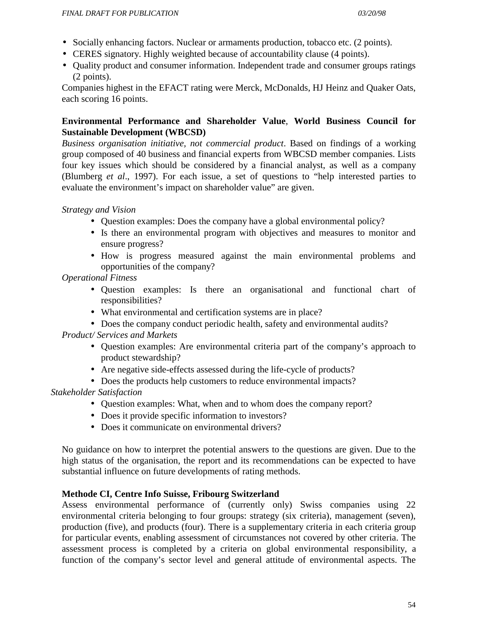- Socially enhancing factors. Nuclear or armaments production, tobacco etc. (2 points).
- CERES signatory. Highly weighted because of accountability clause (4 points).
- Quality product and consumer information. Independent trade and consumer groups ratings (2 points).

Companies highest in the EFACT rating were Merck, McDonalds, HJ Heinz and Quaker Oats, each scoring 16 points.

# **Environmental Performance and Shareholder Value**, **World Business Council for Sustainable Development (WBCSD)**

*Business organisation initiative, not commercial product*. Based on findings of a working group composed of 40 business and financial experts from WBCSD member companies. Lists four key issues which should be considered by a financial analyst, as well as a company (Blumberg *et al*., 1997). For each issue, a set of questions to "help interested parties to evaluate the environment's impact on shareholder value" are given.

*Strategy and Vision*

- Question examples: Does the company have a global environmental policy?
- Is there an environmental program with objectives and measures to monitor and ensure progress?
- How is progress measured against the main environmental problems and opportunities of the company?

*Operational Fitness*

- Question examples: Is there an organisational and functional chart of responsibilities?
- What environmental and certification systems are in place?
- Does the company conduct periodic health, safety and environmental audits?

*Product/ Services and Markets*

- Question examples: Are environmental criteria part of the company's approach to product stewardship?
- Are negative side-effects assessed during the life-cycle of products?
- Does the products help customers to reduce environmental impacts?

*Stakeholder Satisfaction*

- Ouestion examples: What, when and to whom does the company report?
- Does it provide specific information to investors?
- Does it communicate on environmental drivers?

No guidance on how to interpret the potential answers to the questions are given. Due to the high status of the organisation, the report and its recommendations can be expected to have substantial influence on future developments of rating methods.

# **Methode CI, Centre Info Suisse, Fribourg Switzerland**

Assess environmental performance of (currently only) Swiss companies using 22 environmental criteria belonging to four groups: strategy (six criteria), management (seven), production (five), and products (four). There is a supplementary criteria in each criteria group for particular events, enabling assessment of circumstances not covered by other criteria. The assessment process is completed by a criteria on global environmental responsibility, a function of the company's sector level and general attitude of environmental aspects. The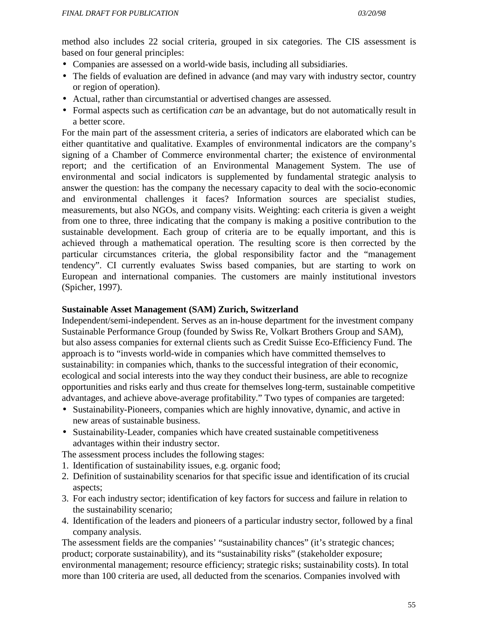method also includes 22 social criteria, grouped in six categories. The CIS assessment is based on four general principles:

- Companies are assessed on a world-wide basis, including all subsidiaries.
- The fields of evaluation are defined in advance (and may vary with industry sector, country or region of operation).
- Actual, rather than circumstantial or advertised changes are assessed.
- Formal aspects such as certification *can* be an advantage, but do not automatically result in a better score.

For the main part of the assessment criteria, a series of indicators are elaborated which can be either quantitative and qualitative. Examples of environmental indicators are the company's signing of a Chamber of Commerce environmental charter; the existence of environmental report; and the certification of an Environmental Management System. The use of environmental and social indicators is supplemented by fundamental strategic analysis to answer the question: has the company the necessary capacity to deal with the socio-economic and environmental challenges it faces? Information sources are specialist studies, measurements, but also NGOs, and company visits. Weighting: each criteria is given a weight from one to three, three indicating that the company is making a positive contribution to the sustainable development. Each group of criteria are to be equally important, and this is achieved through a mathematical operation. The resulting score is then corrected by the particular circumstances criteria, the global responsibility factor and the "management tendency". CI currently evaluates Swiss based companies, but are starting to work on European and international companies. The customers are mainly institutional investors (Spicher, 1997).

#### **Sustainable Asset Management (SAM) Zurich, Switzerland**

Independent/semi-independent. Serves as an in-house department for the investment company Sustainable Performance Group (founded by Swiss Re, Volkart Brothers Group and SAM), but also assess companies for external clients such as Credit Suisse Eco-Efficiency Fund. The approach is to "invests world-wide in companies which have committed themselves to sustainability: in companies which, thanks to the successful integration of their economic, ecological and social interests into the way they conduct their business, are able to recognize opportunities and risks early and thus create for themselves long-term, sustainable competitive advantages, and achieve above-average profitability." Two types of companies are targeted:

- Sustainability-Pioneers, companies which are highly innovative, dynamic, and active in new areas of sustainable business.
- Sustainability-Leader, companies which have created sustainable competitiveness advantages within their industry sector.

The assessment process includes the following stages:

- 1. Identification of sustainability issues, e.g. organic food;
- 2. Definition of sustainability scenarios for that specific issue and identification of its crucial aspects;
- 3. For each industry sector; identification of key factors for success and failure in relation to the sustainability scenario;
- 4. Identification of the leaders and pioneers of a particular industry sector, followed by a final company analysis.

The assessment fields are the companies' "sustainability chances" (it's strategic chances; product; corporate sustainability), and its "sustainability risks" (stakeholder exposure; environmental management; resource efficiency; strategic risks; sustainability costs). In total more than 100 criteria are used, all deducted from the scenarios. Companies involved with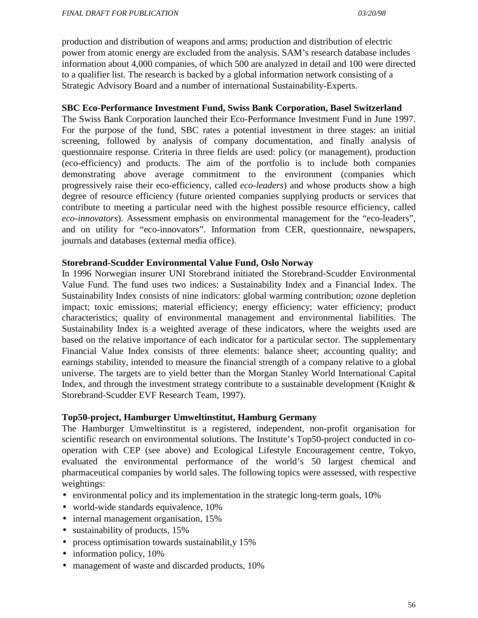production and distribution of weapons and arms; production and distribution of electric power from atomic energy are excluded from the analysis. SAM's research database includes information about 4,000 companies, of which 500 are analyzed in detail and 100 were directed to a qualifier list. The research is backed by a global information network consisting of a Strategic Advisory Board and a number of international Sustainability-Experts.

#### **SBC Eco-Performance Investment Fund, Swiss Bank Corporation, Basel Switzerland**

The Swiss Bank Corporation launched their Eco-Performance Investment Fund in June 1997. For the purpose of the fund, SBC rates a potential investment in three stages: an initial screening, followed by analysis of company documentation, and finally analysis of questionnaire response. Criteria in three fields are used: policy (or management), production (eco-efficiency) and products. The aim of the portfolio is to include both companies demonstrating above average commitment to the environment (companies which progressively raise their eco-efficiency, called *eco-leaders*) and whose products show a high degree of resource efficiency (future oriented companies supplying products or services that contribute to meeting a particular need with the highest possible resource efficiency, called *eco-innovators*). Assessment emphasis on environmental management for the "eco-leaders", and on utility for "eco-innovators". Information from CER, questionnaire, newspapers, journals and databases (external media office).

#### **Storebrand-Scudder Environmental Value Fund, Oslo Norway**

In 1996 Norwegian insurer UNI Storebrand initiated the Storebrand-Scudder Environmental Value Fund. The fund uses two indices: a Sustainability Index and a Financial Index. The Sustainability Index consists of nine indicators: global warming contribution; ozone depletion impact; toxic emissions; material efficiency; energy efficiency; water efficiency; product characteristics; quality of environmental management and environmental liabilities. The Sustainability Index is a weighted average of these indicators, where the weights used are based on the relative importance of each indicator for a particular sector. The supplementary Financial Value Index consists of three elements: balance sheet; accounting quality; and earnings stability, intended to measure the financial strength of a company relative to a global universe. The targets are to yield better than the Morgan Stanley World International Capital Index, and through the investment strategy contribute to a sustainable development (Knight & Storebrand-Scudder EVF Research Team, 1997).

#### **Top50-project, Hamburger Umweltinstitut, Hamburg Germany**

The Hamburger Umweltinstitut is a registered, independent, non-profit organisation for scientific research on environmental solutions. The Institute's Top50-project conducted in cooperation with CEP (see above) and Ecological Lifestyle Encouragement centre, Tokyo, evaluated the environmental performance of the world's 50 largest chemical and pharmaceutical companies by world sales. The following topics were assessed, with respective weightings:

- environmental policy and its implementation in the strategic long-term goals, 10%
- world-wide standards equivalence, 10%
- internal management organisation, 15%
- sustainability of products, 15%
- process optimisation towards sustainabilit, y 15%
- information policy, 10%
- management of waste and discarded products, 10%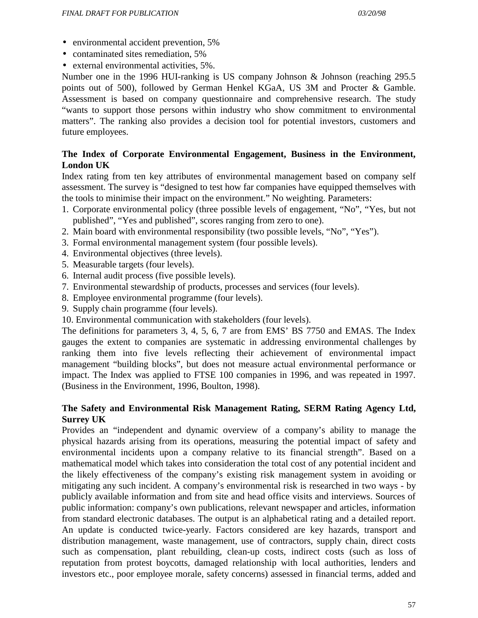- environmental accident prevention, 5%
- contaminated sites remediation, 5%
- external environmental activities, 5%.

Number one in the 1996 HUI-ranking is US company Johnson & Johnson (reaching 295.5) points out of 500), followed by German Henkel KGaA, US 3M and Procter & Gamble. Assessment is based on company questionnaire and comprehensive research. The study "wants to support those persons within industry who show commitment to environmental matters". The ranking also provides a decision tool for potential investors, customers and future employees.

### **The Index of Corporate Environmental Engagement, Business in the Environment, London UK**

Index rating from ten key attributes of environmental management based on company self assessment. The survey is "designed to test how far companies have equipped themselves with the tools to minimise their impact on the environment." No weighting. Parameters:

- 1. Corporate environmental policy (three possible levels of engagement, "No", "Yes, but not published", "Yes and published", scores ranging from zero to one).
- 2. Main board with environmental responsibility (two possible levels, "No", "Yes").
- 3. Formal environmental management system (four possible levels).
- 4. Environmental objectives (three levels).
- 5. Measurable targets (four levels).
- 6. Internal audit process (five possible levels).
- 7. Environmental stewardship of products, processes and services (four levels).
- 8. Employee environmental programme (four levels).
- 9. Supply chain programme (four levels).
- 10. Environmental communication with stakeholders (four levels).

The definitions for parameters 3, 4, 5, 6, 7 are from EMS' BS 7750 and EMAS. The Index gauges the extent to companies are systematic in addressing environmental challenges by ranking them into five levels reflecting their achievement of environmental impact management "building blocks", but does not measure actual environmental performance or impact. The Index was applied to FTSE 100 companies in 1996, and was repeated in 1997. (Business in the Environment, 1996, Boulton, 1998).

### **The Safety and Environmental Risk Management Rating, SERM Rating Agency Ltd, Surrey UK**

Provides an "independent and dynamic overview of a company's ability to manage the physical hazards arising from its operations, measuring the potential impact of safety and environmental incidents upon a company relative to its financial strength". Based on a mathematical model which takes into consideration the total cost of any potential incident and the likely effectiveness of the company's existing risk management system in avoiding or mitigating any such incident. A company's environmental risk is researched in two ways - by publicly available information and from site and head office visits and interviews. Sources of public information: company's own publications, relevant newspaper and articles, information from standard electronic databases. The output is an alphabetical rating and a detailed report. An update is conducted twice-yearly. Factors considered are key hazards, transport and distribution management, waste management, use of contractors, supply chain, direct costs such as compensation, plant rebuilding, clean-up costs, indirect costs (such as loss of reputation from protest boycotts, damaged relationship with local authorities, lenders and investors etc., poor employee morale, safety concerns) assessed in financial terms, added and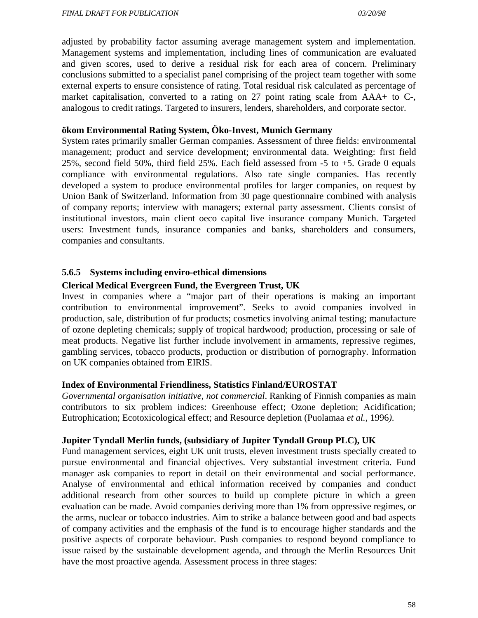adjusted by probability factor assuming average management system and implementation. Management systems and implementation, including lines of communication are evaluated and given scores, used to derive a residual risk for each area of concern. Preliminary conclusions submitted to a specialist panel comprising of the project team together with some external experts to ensure consistence of rating. Total residual risk calculated as percentage of market capitalisation, converted to a rating on 27 point rating scale from AAA+ to C-, analogous to credit ratings. Targeted to insurers, lenders, shareholders, and corporate sector.

### **ökom Environmental Rating System, Öko-Invest, Munich Germany**

System rates primarily smaller German companies. Assessment of three fields: environmental management; product and service development; environmental data. Weighting: first field 25%, second field 50%, third field 25%. Each field assessed from -5 to +5. Grade 0 equals compliance with environmental regulations. Also rate single companies. Has recently developed a system to produce environmental profiles for larger companies, on request by Union Bank of Switzerland. Information from 30 page questionnaire combined with analysis of company reports; interview with managers; external party assessment. Clients consist of institutional investors, main client oeco capital live insurance company Munich. Targeted users: Investment funds, insurance companies and banks, shareholders and consumers, companies and consultants.

### **5.6.5 Systems including enviro-ethical dimensions**

### **Clerical Medical Evergreen Fund, the Evergreen Trust, UK**

Invest in companies where a "major part of their operations is making an important contribution to environmental improvement". Seeks to avoid companies involved in production, sale, distribution of fur products; cosmetics involving animal testing; manufacture of ozone depleting chemicals; supply of tropical hardwood; production, processing or sale of meat products. Negative list further include involvement in armaments, repressive regimes, gambling services, tobacco products, production or distribution of pornography. Information on UK companies obtained from EIRIS.

#### **Index of Environmental Friendliness, Statistics Finland/EUROSTAT**

*Governmental organisation initiative, not commercial*. Ranking of Finnish companies as main contributors to six problem indices: Greenhouse effect; Ozone depletion; Acidification; Eutrophication; Ecotoxicological effect; and Resource depletion (Puolamaa *et al.,* 1996*)*.

#### **Jupiter Tyndall Merlin funds, (subsidiary of Jupiter Tyndall Group PLC), UK**

Fund management services, eight UK unit trusts, eleven investment trusts specially created to pursue environmental and financial objectives. Very substantial investment criteria. Fund manager ask companies to report in detail on their environmental and social performance. Analyse of environmental and ethical information received by companies and conduct additional research from other sources to build up complete picture in which a green evaluation can be made. Avoid companies deriving more than 1% from oppressive regimes, or the arms, nuclear or tobacco industries. Aim to strike a balance between good and bad aspects of company activities and the emphasis of the fund is to encourage higher standards and the positive aspects of corporate behaviour. Push companies to respond beyond compliance to issue raised by the sustainable development agenda, and through the Merlin Resources Unit have the most proactive agenda. Assessment process in three stages: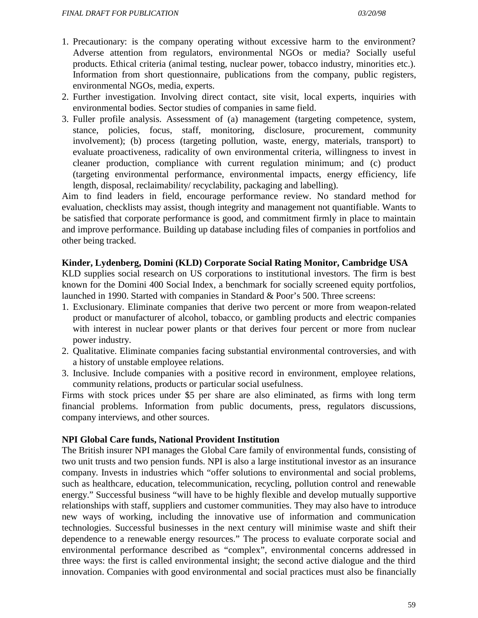- 1. Precautionary: is the company operating without excessive harm to the environment? Adverse attention from regulators, environmental NGOs or media? Socially useful products. Ethical criteria (animal testing, nuclear power, tobacco industry, minorities etc.). Information from short questionnaire, publications from the company, public registers, environmental NGOs, media, experts.
- 2. Further investigation. Involving direct contact, site visit, local experts, inquiries with environmental bodies. Sector studies of companies in same field.
- 3. Fuller profile analysis. Assessment of (a) management (targeting competence, system, stance, policies, focus, staff, monitoring, disclosure, procurement, community involvement); (b) process (targeting pollution, waste, energy, materials, transport) to evaluate proactiveness, radicality of own environmental criteria, willingness to invest in cleaner production, compliance with current regulation minimum; and (c) product (targeting environmental performance, environmental impacts, energy efficiency, life length, disposal, reclaimability/ recyclability, packaging and labelling).

Aim to find leaders in field, encourage performance review. No standard method for evaluation, checklists may assist, though integrity and management not quantifiable. Wants to be satisfied that corporate performance is good, and commitment firmly in place to maintain and improve performance. Building up database including files of companies in portfolios and other being tracked.

#### **Kinder, Lydenberg, Domini (KLD) Corporate Social Rating Monitor, Cambridge USA**

KLD supplies social research on US corporations to institutional investors. The firm is best known for the Domini 400 Social Index, a benchmark for socially screened equity portfolios, launched in 1990. Started with companies in Standard & Poor's 500. Three screens:

- 1. Exclusionary. Eliminate companies that derive two percent or more from weapon-related product or manufacturer of alcohol, tobacco, or gambling products and electric companies with interest in nuclear power plants or that derives four percent or more from nuclear power industry.
- 2. Qualitative. Eliminate companies facing substantial environmental controversies, and with a history of unstable employee relations.
- 3. Inclusive. Include companies with a positive record in environment, employee relations, community relations, products or particular social usefulness.

Firms with stock prices under \$5 per share are also eliminated, as firms with long term financial problems. Information from public documents, press, regulators discussions, company interviews, and other sources.

#### **NPI Global Care funds, National Provident Institution**

The British insurer NPI manages the Global Care family of environmental funds, consisting of two unit trusts and two pension funds. NPI is also a large institutional investor as an insurance company. Invests in industries which "offer solutions to environmental and social problems, such as healthcare, education, telecommunication, recycling, pollution control and renewable energy." Successful business "will have to be highly flexible and develop mutually supportive relationships with staff, suppliers and customer communities. They may also have to introduce new ways of working, including the innovative use of information and communication technologies. Successful businesses in the next century will minimise waste and shift their dependence to a renewable energy resources." The process to evaluate corporate social and environmental performance described as "complex", environmental concerns addressed in three ways: the first is called environmental insight; the second active dialogue and the third innovation. Companies with good environmental and social practices must also be financially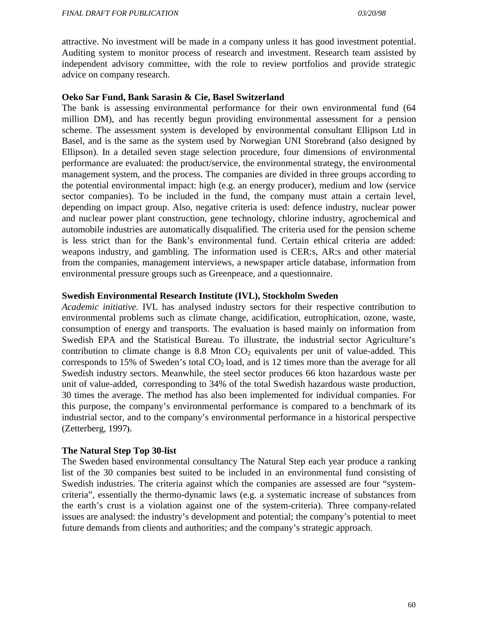attractive. No investment will be made in a company unless it has good investment potential. Auditing system to monitor process of research and investment. Research team assisted by independent advisory committee, with the role to review portfolios and provide strategic advice on company research.

#### **Oeko Sar Fund, Bank Sarasin & Cie, Basel Switzerland**

The bank is assessing environmental performance for their own environmental fund (64 million DM), and has recently begun providing environmental assessment for a pension scheme. The assessment system is developed by environmental consultant Ellipson Ltd in Basel, and is the same as the system used by Norwegian UNI Storebrand (also designed by Ellipson). In a detailed seven stage selection procedure, four dimensions of environmental performance are evaluated: the product/service, the environmental strategy, the environmental management system, and the process. The companies are divided in three groups according to the potential environmental impact: high (e.g. an energy producer), medium and low (service sector companies). To be included in the fund, the company must attain a certain level, depending on impact group. Also, negative criteria is used: defence industry, nuclear power and nuclear power plant construction, gene technology, chlorine industry, agrochemical and automobile industries are automatically disqualified. The criteria used for the pension scheme is less strict than for the Bank's environmental fund. Certain ethical criteria are added: weapons industry, and gambling. The information used is CER:s, AR:s and other material from the companies, management interviews, a newspaper article database, information from environmental pressure groups such as Greenpeace, and a questionnaire.

#### **Swedish Environmental Research Institute (IVL), Stockholm Sweden**

*Academic initiative.* IVL has analysed industry sectors for their respective contribution to environmental problems such as climate change, acidification, eutrophication, ozone, waste, consumption of energy and transports. The evaluation is based mainly on information from Swedish EPA and the Statistical Bureau. To illustrate, the industrial sector Agriculture's contribution to climate change is 8.8 Mton  $CO<sub>2</sub>$  equivalents per unit of value-added. This corresponds to 15% of Sweden's total  $CO<sub>2</sub>$  load, and is 12 times more than the average for all Swedish industry sectors. Meanwhile, the steel sector produces 66 kton hazardous waste per unit of value-added, corresponding to 34% of the total Swedish hazardous waste production, 30 times the average. The method has also been implemented for individual companies. For this purpose, the company's environmental performance is compared to a benchmark of its industrial sector, and to the company's environmental performance in a historical perspective (Zetterberg, 1997**)**.

#### **The Natural Step Top 30-list**

The Sweden based environmental consultancy The Natural Step each year produce a ranking list of the 30 companies best suited to be included in an environmental fund consisting of Swedish industries. The criteria against which the companies are assessed are four "systemcriteria", essentially the thermo-dynamic laws (e.g. a systematic increase of substances from the earth's crust is a violation against one of the system-criteria). Three company-related issues are analysed: the industry's development and potential; the company's potential to meet future demands from clients and authorities; and the company's strategic approach.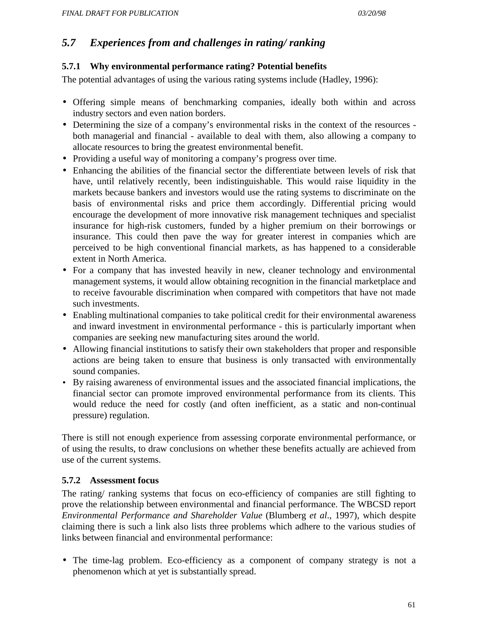# *5.7 Experiences from and challenges in rating/ ranking*

### **5.7.1 Why environmental performance rating? Potential benefits**

The potential advantages of using the various rating systems include (Hadley, 1996):

- Offering simple means of benchmarking companies, ideally both within and across industry sectors and even nation borders.
- Determining the size of a company's environmental risks in the context of the resources both managerial and financial - available to deal with them, also allowing a company to allocate resources to bring the greatest environmental benefit.
- Providing a useful way of monitoring a company's progress over time.
- Enhancing the abilities of the financial sector the differentiate between levels of risk that have, until relatively recently, been indistinguishable. This would raise liquidity in the markets because bankers and investors would use the rating systems to discriminate on the basis of environmental risks and price them accordingly. Differential pricing would encourage the development of more innovative risk management techniques and specialist insurance for high-risk customers, funded by a higher premium on their borrowings or insurance. This could then pave the way for greater interest in companies which are perceived to be high conventional financial markets, as has happened to a considerable extent in North America.
- For a company that has invested heavily in new, cleaner technology and environmental management systems, it would allow obtaining recognition in the financial marketplace and to receive favourable discrimination when compared with competitors that have not made such investments.
- Enabling multinational companies to take political credit for their environmental awareness and inward investment in environmental performance - this is particularly important when companies are seeking new manufacturing sites around the world.
- Allowing financial institutions to satisfy their own stakeholders that proper and responsible actions are being taken to ensure that business is only transacted with environmentally sound companies.
- By raising awareness of environmental issues and the associated financial implications, the financial sector can promote improved environmental performance from its clients. This would reduce the need for costly (and often inefficient, as a static and non-continual pressure) regulation.

There is still not enough experience from assessing corporate environmental performance, or of using the results, to draw conclusions on whether these benefits actually are achieved from use of the current systems.

# **5.7.2 Assessment focus**

The rating/ ranking systems that focus on eco-efficiency of companies are still fighting to prove the relationship between environmental and financial performance. The WBCSD report *Environmental Performance and Shareholder Value* (Blumberg *et al*., 1997), which despite claiming there is such a link also lists three problems which adhere to the various studies of links between financial and environmental performance:

• The time-lag problem. Eco-efficiency as a component of company strategy is not a phenomenon which at yet is substantially spread.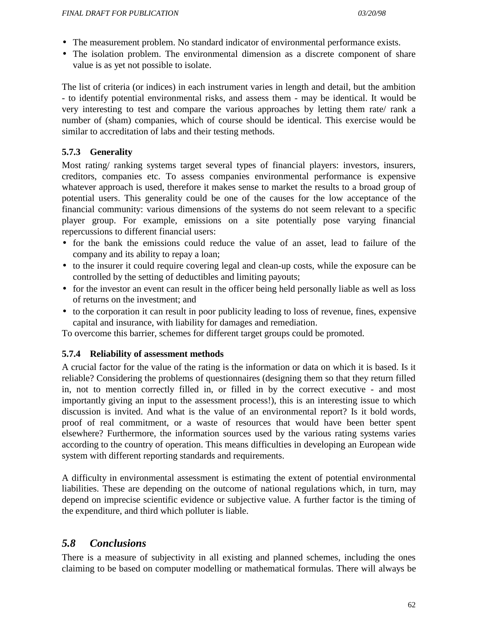- The measurement problem. No standard indicator of environmental performance exists.
- The isolation problem. The environmental dimension as a discrete component of share value is as yet not possible to isolate.

The list of criteria (or indices) in each instrument varies in length and detail, but the ambition - to identify potential environmental risks, and assess them - may be identical. It would be very interesting to test and compare the various approaches by letting them rate/ rank a number of (sham) companies, which of course should be identical. This exercise would be similar to accreditation of labs and their testing methods.

# **5.7.3 Generality**

Most rating/ ranking systems target several types of financial players: investors, insurers, creditors, companies etc. To assess companies environmental performance is expensive whatever approach is used, therefore it makes sense to market the results to a broad group of potential users. This generality could be one of the causes for the low acceptance of the financial community: various dimensions of the systems do not seem relevant to a specific player group. For example, emissions on a site potentially pose varying financial repercussions to different financial users:

- for the bank the emissions could reduce the value of an asset, lead to failure of the company and its ability to repay a loan;
- to the insurer it could require covering legal and clean-up costs, while the exposure can be controlled by the setting of deductibles and limiting payouts;
- for the investor an event can result in the officer being held personally liable as well as loss of returns on the investment; and
- to the corporation it can result in poor publicity leading to loss of revenue, fines, expensive capital and insurance, with liability for damages and remediation.

To overcome this barrier, schemes for different target groups could be promoted.

#### **5.7.4 Reliability of assessment methods**

A crucial factor for the value of the rating is the information or data on which it is based. Is it reliable? Considering the problems of questionnaires (designing them so that they return filled in, not to mention correctly filled in, or filled in by the correct executive - and most importantly giving an input to the assessment process!), this is an interesting issue to which discussion is invited. And what is the value of an environmental report? Is it bold words, proof of real commitment, or a waste of resources that would have been better spent elsewhere? Furthermore, the information sources used by the various rating systems varies according to the country of operation. This means difficulties in developing an European wide system with different reporting standards and requirements.

A difficulty in environmental assessment is estimating the extent of potential environmental liabilities. These are depending on the outcome of national regulations which, in turn, may depend on imprecise scientific evidence or subjective value. A further factor is the timing of the expenditure, and third which polluter is liable.

# *5.8 Conclusions*

There is a measure of subjectivity in all existing and planned schemes, including the ones claiming to be based on computer modelling or mathematical formulas. There will always be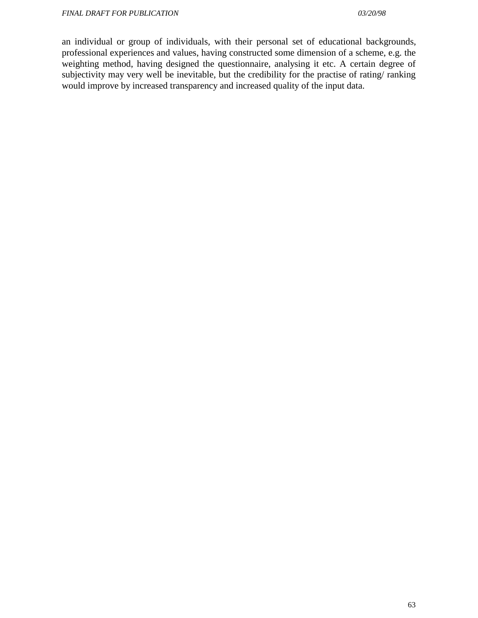an individual or group of individuals, with their personal set of educational backgrounds, professional experiences and values, having constructed some dimension of a scheme, e.g. the weighting method, having designed the questionnaire, analysing it etc. A certain degree of subjectivity may very well be inevitable, but the credibility for the practise of rating/ ranking would improve by increased transparency and increased quality of the input data.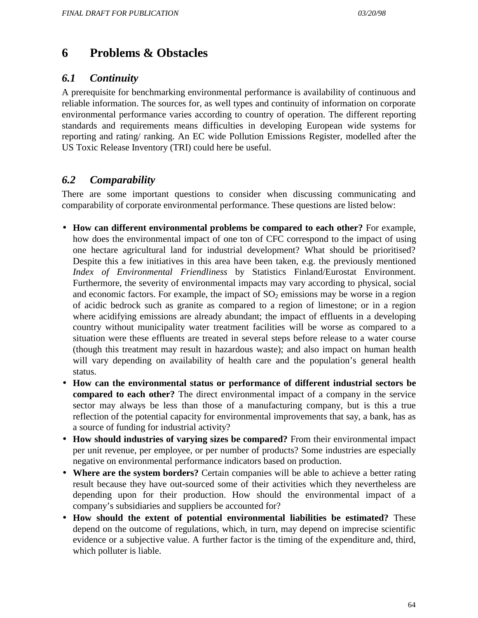# **6 Problems & Obstacles**

# *6.1 Continuity*

A prerequisite for benchmarking environmental performance is availability of continuous and reliable information. The sources for, as well types and continuity of information on corporate environmental performance varies according to country of operation. The different reporting standards and requirements means difficulties in developing European wide systems for reporting and rating/ ranking. An EC wide Pollution Emissions Register, modelled after the US Toxic Release Inventory (TRI) could here be useful.

# *6.2 Comparability*

There are some important questions to consider when discussing communicating and comparability of corporate environmental performance. These questions are listed below:

- **How can different environmental problems be compared to each other?** For example, how does the environmental impact of one ton of CFC correspond to the impact of using one hectare agricultural land for industrial development? What should be prioritised? Despite this a few initiatives in this area have been taken, e.g. the previously mentioned *Index of Environmental Friendliness* by Statistics Finland/Eurostat Environment. Furthermore, the severity of environmental impacts may vary according to physical, social and economic factors. For example, the impact of  $SO<sub>2</sub>$  emissions may be worse in a region of acidic bedrock such as granite as compared to a region of limestone; or in a region where acidifying emissions are already abundant; the impact of effluents in a developing country without municipality water treatment facilities will be worse as compared to a situation were these effluents are treated in several steps before release to a water course (though this treatment may result in hazardous waste); and also impact on human health will vary depending on availability of health care and the population's general health status.
- **How can the environmental status or performance of different industrial sectors be compared to each other?** The direct environmental impact of a company in the service sector may always be less than those of a manufacturing company, but is this a true reflection of the potential capacity for environmental improvements that say, a bank, has as a source of funding for industrial activity?
- **How should industries of varying sizes be compared?** From their environmental impact per unit revenue, per employee, or per number of products? Some industries are especially negative on environmental performance indicators based on production.
- **Where are the system borders?** Certain companies will be able to achieve a better rating result because they have out-sourced some of their activities which they nevertheless are depending upon for their production. How should the environmental impact of a company's subsidiaries and suppliers be accounted for?
- **How should the extent of potential environmental liabilities be estimated?** These depend on the outcome of regulations, which, in turn, may depend on imprecise scientific evidence or a subjective value. A further factor is the timing of the expenditure and, third, which polluter is liable.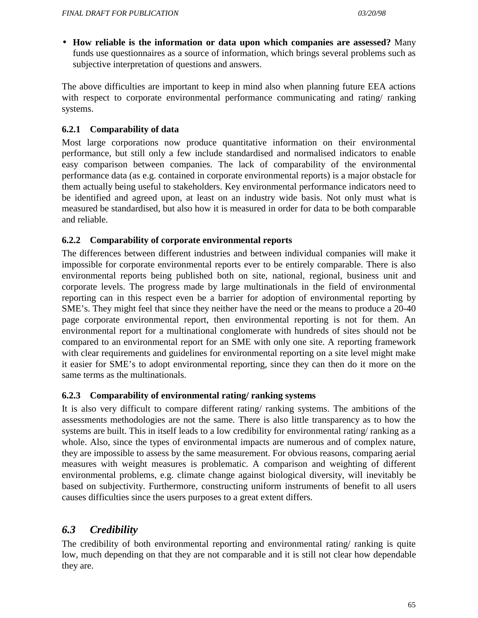• **How reliable is the information or data upon which companies are assessed?** Many funds use questionnaires as a source of information, which brings several problems such as subjective interpretation of questions and answers.

The above difficulties are important to keep in mind also when planning future EEA actions with respect to corporate environmental performance communicating and rating/ ranking systems.

# **6.2.1 Comparability of data**

Most large corporations now produce quantitative information on their environmental performance, but still only a few include standardised and normalised indicators to enable easy comparison between companies. The lack of comparability of the environmental performance data (as e.g. contained in corporate environmental reports) is a major obstacle for them actually being useful to stakeholders. Key environmental performance indicators need to be identified and agreed upon, at least on an industry wide basis. Not only must what is measured be standardised, but also how it is measured in order for data to be both comparable and reliable.

# **6.2.2 Comparability of corporate environmental reports**

The differences between different industries and between individual companies will make it impossible for corporate environmental reports ever to be entirely comparable. There is also environmental reports being published both on site, national, regional, business unit and corporate levels. The progress made by large multinationals in the field of environmental reporting can in this respect even be a barrier for adoption of environmental reporting by SME's. They might feel that since they neither have the need or the means to produce a 20-40 page corporate environmental report, then environmental reporting is not for them. An environmental report for a multinational conglomerate with hundreds of sites should not be compared to an environmental report for an SME with only one site. A reporting framework with clear requirements and guidelines for environmental reporting on a site level might make it easier for SME's to adopt environmental reporting, since they can then do it more on the same terms as the multinationals.

# **6.2.3 Comparability of environmental rating/ ranking systems**

It is also very difficult to compare different rating/ ranking systems. The ambitions of the assessments methodologies are not the same. There is also little transparency as to how the systems are built. This in itself leads to a low credibility for environmental rating/ ranking as a whole. Also, since the types of environmental impacts are numerous and of complex nature, they are impossible to assess by the same measurement. For obvious reasons, comparing aerial measures with weight measures is problematic. A comparison and weighting of different environmental problems, e.g. climate change against biological diversity, will inevitably be based on subjectivity. Furthermore, constructing uniform instruments of benefit to all users causes difficulties since the users purposes to a great extent differs.

# *6.3 Credibility*

The credibility of both environmental reporting and environmental rating/ ranking is quite low, much depending on that they are not comparable and it is still not clear how dependable they are.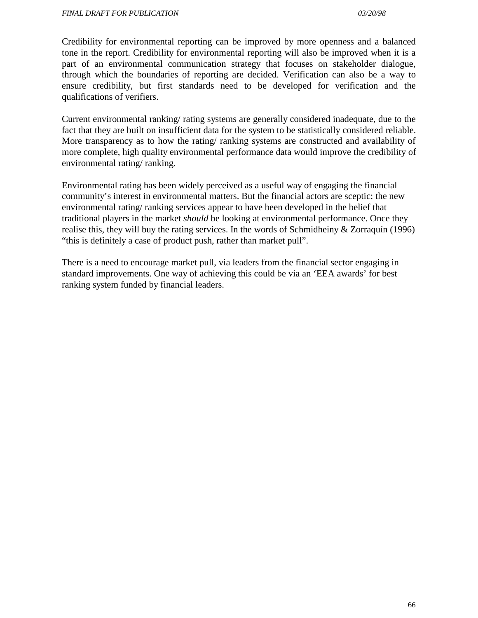Credibility for environmental reporting can be improved by more openness and a balanced tone in the report. Credibility for environmental reporting will also be improved when it is a part of an environmental communication strategy that focuses on stakeholder dialogue, through which the boundaries of reporting are decided. Verification can also be a way to ensure credibility, but first standards need to be developed for verification and the qualifications of verifiers.

Current environmental ranking/ rating systems are generally considered inadequate, due to the fact that they are built on insufficient data for the system to be statistically considered reliable. More transparency as to how the rating/ ranking systems are constructed and availability of more complete, high quality environmental performance data would improve the credibility of environmental rating/ ranking.

Environmental rating has been widely perceived as a useful way of engaging the financial community's interest in environmental matters. But the financial actors are sceptic: the new environmental rating/ ranking services appear to have been developed in the belief that traditional players in the market *should* be looking at environmental performance. Once they realise this, they will buy the rating services. In the words of Schmidheiny & Zorraquín (1996) "this is definitely a case of product push, rather than market pull".

There is a need to encourage market pull, via leaders from the financial sector engaging in standard improvements. One way of achieving this could be via an 'EEA awards' for best ranking system funded by financial leaders.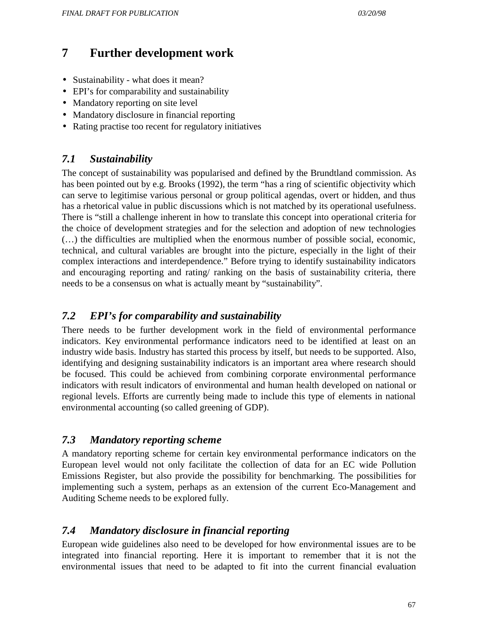# **7 Further development work**

- Sustainability what does it mean?
- EPI's for comparability and sustainability
- Mandatory reporting on site level
- Mandatory disclosure in financial reporting
- Rating practise too recent for regulatory initiatives

# *7.1 Sustainability*

The concept of sustainability was popularised and defined by the Brundtland commission. As has been pointed out by e.g. Brooks (1992), the term "has a ring of scientific objectivity which can serve to legitimise various personal or group political agendas, overt or hidden, and thus has a rhetorical value in public discussions which is not matched by its operational usefulness. There is "still a challenge inherent in how to translate this concept into operational criteria for the choice of development strategies and for the selection and adoption of new technologies (…) the difficulties are multiplied when the enormous number of possible social, economic, technical, and cultural variables are brought into the picture, especially in the light of their complex interactions and interdependence." Before trying to identify sustainability indicators and encouraging reporting and rating/ ranking on the basis of sustainability criteria, there needs to be a consensus on what is actually meant by "sustainability".

# *7.2 EPI's for comparability and sustainability*

There needs to be further development work in the field of environmental performance indicators. Key environmental performance indicators need to be identified at least on an industry wide basis. Industry has started this process by itself, but needs to be supported. Also, identifying and designing sustainability indicators is an important area where research should be focused. This could be achieved from combining corporate environmental performance indicators with result indicators of environmental and human health developed on national or regional levels. Efforts are currently being made to include this type of elements in national environmental accounting (so called greening of GDP).

# *7.3 Mandatory reporting scheme*

A mandatory reporting scheme for certain key environmental performance indicators on the European level would not only facilitate the collection of data for an EC wide Pollution Emissions Register, but also provide the possibility for benchmarking. The possibilities for implementing such a system, perhaps as an extension of the current Eco-Management and Auditing Scheme needs to be explored fully.

# *7.4 Mandatory disclosure in financial reporting*

European wide guidelines also need to be developed for how environmental issues are to be integrated into financial reporting. Here it is important to remember that it is not the environmental issues that need to be adapted to fit into the current financial evaluation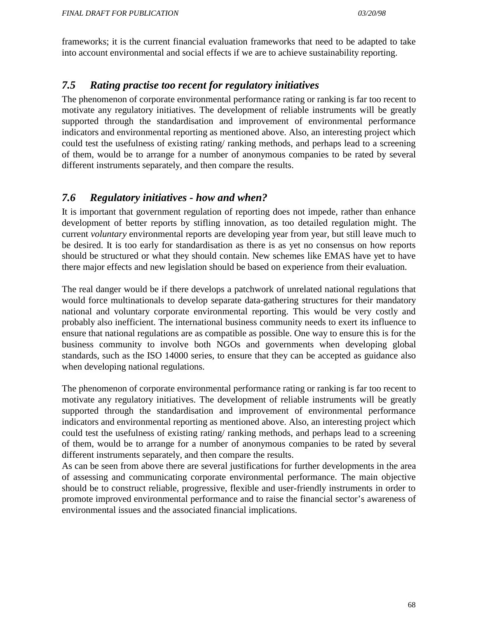frameworks; it is the current financial evaluation frameworks that need to be adapted to take into account environmental and social effects if we are to achieve sustainability reporting.

# *7.5 Rating practise too recent for regulatory initiatives*

The phenomenon of corporate environmental performance rating or ranking is far too recent to motivate any regulatory initiatives. The development of reliable instruments will be greatly supported through the standardisation and improvement of environmental performance indicators and environmental reporting as mentioned above. Also, an interesting project which could test the usefulness of existing rating/ ranking methods, and perhaps lead to a screening of them, would be to arrange for a number of anonymous companies to be rated by several different instruments separately, and then compare the results.

# *7.6 Regulatory initiatives - how and when?*

It is important that government regulation of reporting does not impede, rather than enhance development of better reports by stifling innovation, as too detailed regulation might. The current *voluntary* environmental reports are developing year from year, but still leave much to be desired. It is too early for standardisation as there is as yet no consensus on how reports should be structured or what they should contain. New schemes like EMAS have yet to have there major effects and new legislation should be based on experience from their evaluation.

The real danger would be if there develops a patchwork of unrelated national regulations that would force multinationals to develop separate data-gathering structures for their mandatory national and voluntary corporate environmental reporting. This would be very costly and probably also inefficient. The international business community needs to exert its influence to ensure that national regulations are as compatible as possible. One way to ensure this is for the business community to involve both NGOs and governments when developing global standards, such as the ISO 14000 series, to ensure that they can be accepted as guidance also when developing national regulations.

The phenomenon of corporate environmental performance rating or ranking is far too recent to motivate any regulatory initiatives. The development of reliable instruments will be greatly supported through the standardisation and improvement of environmental performance indicators and environmental reporting as mentioned above. Also, an interesting project which could test the usefulness of existing rating/ ranking methods, and perhaps lead to a screening of them, would be to arrange for a number of anonymous companies to be rated by several different instruments separately, and then compare the results.

As can be seen from above there are several justifications for further developments in the area of assessing and communicating corporate environmental performance. The main objective should be to construct reliable, progressive, flexible and user-friendly instruments in order to promote improved environmental performance and to raise the financial sector's awareness of environmental issues and the associated financial implications.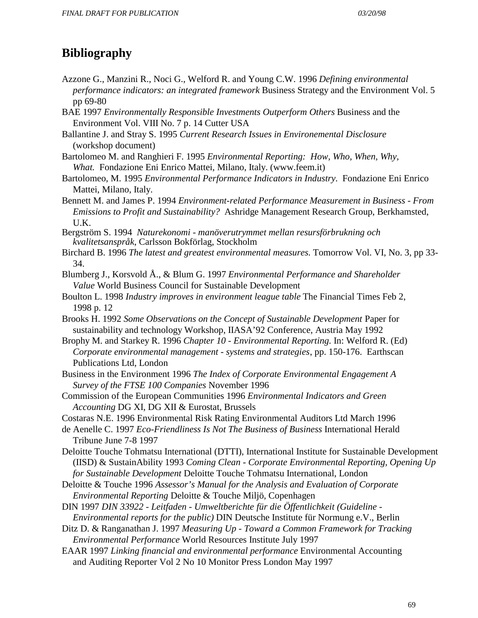# **Bibliography**

- Azzone G., Manzini R., Noci G., Welford R. and Young C.W. 1996 *Defining environmental performance indicators: an integrated framework Business Strategy and the Environment Vol. 5* pp 69-80
- BAE 1997 *Environmentally Responsible Investments Outperform Others* Business and the Environment Vol. VIII No. 7 p. 14 Cutter USA
- Ballantine J. and Stray S. 1995 *Current Research Issues in Environemental Disclosure* (workshop document)
- Bartolomeo M. and Ranghieri F. 1995 *Environmental Reporting: How, Who, When, Why, What.* Fondazione Eni Enrico Mattei, Milano, Italy. (www.feem.it)
- Bartolomeo, M. 1995 *Environmental Performance Indicators in Industry.* Fondazione Eni Enrico Mattei, Milano, Italy.
- Bennett M. and James P. 1994 *Environment-related Performance Measurement in Business From Emissions to Profit and Sustainability?* Ashridge Management Research Group, Berkhamsted, U.K.

Bergström S. 1994 *Naturekonomi - manöverutrymmet mellan resursförbrukning och kvalitetsanspråk*, Carlsson Bokförlag, Stockholm

- Birchard B. 1996 *The latest and greatest environmental measures.* Tomorrow Vol. VI, No. 3, pp 33- 34.
- Blumberg J., Korsvold Å., & Blum G. 1997 *Environmental Performance and Shareholder Value* World Business Council for Sustainable Development
- Boulton L. 1998 *Industry improves in environment league table* The Financial Times Feb 2, 1998 p. 12
- Brooks H. 1992 *Some Observations on the Concept of Sustainable Development* Paper for sustainability and technology Workshop, IIASA'92 Conference, Austria May 1992
- Brophy M. and Starkey R. 1996 *Chapter 10 Environmental Reporting.* In: Welford R. (Ed) *Corporate environmental management - systems and strategies*, pp. 150-176. Earthscan Publications Ltd, London
- Business in the Environment 1996 *The Index of Corporate Environmental Engagement A Survey of the FTSE 100 Companies* November 1996
- Commission of the European Communities 1996 *Environmental Indicators and Green Accounting* DG XI, DG XII & Eurostat, Brussels
- Costaras N.E. 1996 Environmental Risk Rating Environmental Auditors Ltd March 1996
- de Aenelle C. 1997 *Eco-Friendliness Is Not The Business of Business* International Herald Tribune June 7-8 1997
- Deloitte Touche Tohmatsu International (DTTI), International Institute for Sustainable Development (IISD) & SustainAbility 1993 *Coming Clean - Corporate Environmental Reporting, Opening Up for Sustainable Development* Deloitte Touche Tohmatsu International, London
- Deloitte & Touche 1996 *Assessor's Manual for the Analysis and Evaluation of Corporate Environmental Reporting* Deloitte & Touche Miljö, Copenhagen
- DIN 1997 *DIN 33922 Leitfaden Umweltberichte für die Öffentlichkeit (Guideline Environmental reports for the public)* DIN Deutsche Institute für Normung e.V., Berlin
- Ditz D. & Ranganathan J. 1997 *Measuring Up Toward a Common Framework for Tracking Environmental Performance* World Resources Institute July 1997
- EAAR 1997 *Linking financial and environmental performance* Environmental Accounting and Auditing Reporter Vol 2 No 10 Monitor Press London May 1997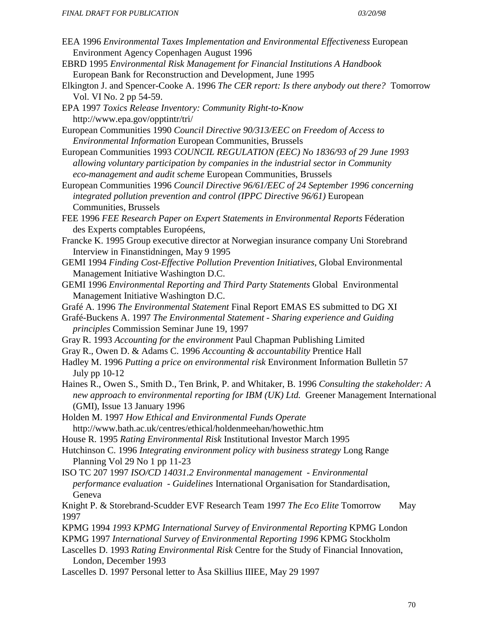- EEA 1996 *Environmental Taxes Implementation and Environmental Effectiveness* European Environment Agency Copenhagen August 1996
- EBRD 1995 *Environmental Risk Management for Financial Institutions A Handbook* European Bank for Reconstruction and Development, June 1995
- Elkington J. and Spencer-Cooke A. 1996 *The CER report: Is there anybody out there?* Tomorrow Vol. VI No. 2 pp 54-59.
- EPA 1997 *Toxics Release Inventory: Community Right-to-Know* http://www.epa.gov/opptintr/tri/
- European Communities 1990 *Council Directive 90/313/EEC on Freedom of Access to Environmental Information* European Communities, Brussels
- European Communities 1993 *COUNCIL REGULATION (EEC) No 1836/93 of 29 June 1993 allowing voluntary participation by companies in the industrial sector in Community eco-management and audit scheme* European Communities, Brussels
- European Communities 1996 *Council Directive 96/61/EEC of 24 September 1996 concerning integrated pollution prevention and control (IPPC Directive 96/61)* European Communities, Brussels
- FEE 1996 *FEE Research Paper on Expert Statements in Environmental Reports* Féderation des Experts comptables Européens,
- Francke K. 1995 Group executive director at Norwegian insurance company Uni Storebrand Interview in Finanstidningen, May 9 1995
- GEMI 1994 *Finding Cost-Effective Pollution Prevention Initiatives*, Global Environmental Management Initiative Washington D.C.
- GEMI 1996 *Environmental Reporting and Third Party Statements* Global Environmental Management Initiative Washington D.C.
- Grafé A. 1996 *The Environmental Statement* Final Report EMAS ES submitted to DG XI
- Grafé-Buckens A. 1997 *The Environmental Statement Sharing experience and Guiding principles* Commission Seminar June 19, 1997
- Gray R. 1993 *Accounting for the environment* Paul Chapman Publishing Limited
- Gray R., Owen D. & Adams C. 1996 *Accounting & accountability* Prentice Hall
- Hadley M. 1996 *Putting a price on environmental risk* Environment Information Bulletin 57 July pp 10-12
- Haines R., Owen S., Smith D., Ten Brink, P. and Whitaker, B. 1996 *Consulting the stakeholder: A new approach to environmental reporting for IBM (UK) Ltd.* Greener Management International (GMI), Issue 13 January 1996
- Holden M. 1997 *How Ethical and Environmental Funds Operate* http://www.bath.ac.uk/centres/ethical/holdenmeehan/howethic.htm
- House R. 1995 *Rating Environmental Risk* Institutional Investor March 1995
- Hutchinson C. 1996 *Integrating environment policy with business strategy* Long Range Planning Vol 29 No 1 pp 11-23
- ISO TC 207 1997 *ISO/CD 14031.2 Environmental management Environmental performance evaluation - Guidelines* International Organisation for Standardisation, Geneva
- Knight P. & Storebrand-Scudder EVF Research Team 1997 *The Eco Elite* Tomorrow May 1997
- KPMG 1994 *1993 KPMG International Survey of Environmental Reporting* KPMG London
- KPMG 1997 *International Survey of Environmental Reporting 1996* KPMG Stockholm
- Lascelles D. 1993 *Rating Environmental Risk* Centre for the Study of Financial Innovation, London, December 1993
- Lascelles D. 1997 Personal letter to Åsa Skillius IIIEE, May 29 1997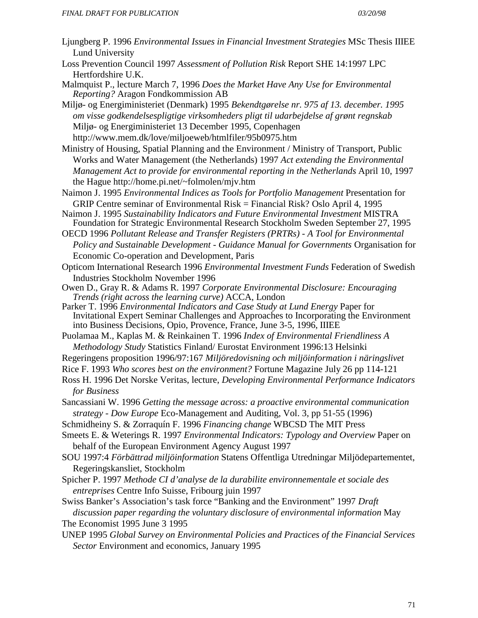- Ljungberg P. 1996 *Environmental Issues in Financial Investment Strategies* MSc Thesis IIIEE Lund University
- Loss Prevention Council 1997 *Assessment of Pollution Risk* Report SHE 14:1997 LPC Hertfordshire U.K.
- Malmquist P., lecture March 7, 1996 *Does the Market Have Any Use for Environmental Reporting?* Aragon Fondkommission AB
- Miljø- og Energiministeriet (Denmark) 1995 *Bekendtgørelse nr. 975 af 13. december. 1995 om visse godkendelsespligtige virksomheders pligt til udarbejdelse af grønt regnskab*  Miljø- og Energiministeriet 13 December 1995, Copenhagen http://www.mem.dk/love/miljoeweb/htmlfiler/95b0975.htm
- Ministry of Housing, Spatial Planning and the Environment / Ministry of Transport, Public Works and Water Management (the Netherlands) 1997 *Act extending the Environmental Management Act to provide for environmental reporting in the Netherlands* April 10, 1997 the Hague http://home.pi.net/~folmolen/mjv.htm
- Naimon J. 1995 *Environmental Indices as Tools for Portfolio Management* Presentation for GRIP Centre seminar of Environmental Risk = Financial Risk? Oslo April 4, 1995
- Naimon J. 1995 *Sustainability Indicators and Future Environmental Investment* MISTRA Foundation for Strategic Environmental Research Stockholm Sweden September 27, 1995
- OECD 1996 *Pollutant Release and Transfer Registers (PRTRs) A Tool for Environmental Policy and Sustainable Development - Guidance Manual for Governments* Organisation for Economic Co-operation and Development, Paris
- Opticom International Research 1996 *Environmental Investment Funds* Federation of Swedish Industries Stockholm November 1996
- Owen D., Gray R. & Adams R. 1997 *Corporate Environmental Disclosure: Encouraging Trends (right across the learning curve)* ACCA, London
- Parker T. 1996 *Environmental Indicators and Case Study at Lund Energy* Paper for Invitational Expert Seminar Challenges and Approaches to Incorporating the Environment into Business Decisions, Opio, Provence, France, June 3-5, 1996, IIIEE
- Puolamaa M., Kaplas M. & Reinkainen T. 1996 *Index of Environmental Friendliness A Methodology Study* Statistics Finland/ Eurostat Environment 1996:13 Helsinki
- Regeringens proposition 1996/97:167 *Miljöredovisning och miljöinformation i näringslivet*
- Rice F. 1993 *Who scores best on the environment?* Fortune Magazine July 26 pp 114-121
- Ross H. 1996 Det Norske Veritas, lecture, *Developing Environmental Performance Indicators for Business*
- Sancassiani W. 1996 *Getting the message across: a proactive environmental communication strategy - Dow Europe* Eco-Management and Auditing, Vol. 3, pp 51-55 (1996)
- Schmidheiny S. & Zorraquín F. 1996 *Financing change* WBCSD The MIT Press
- Smeets E. & Weterings R. 1997 *Environmental Indicators: Typology and Overview* Paper on behalf of the European Environment Agency August 1997
- SOU 1997:4 *Förbättrad miljöinformation* Statens Offentliga Utredningar Miljödepartementet, Regeringskansliet, Stockholm
- Spicher P. 1997 *Methode CI d'analyse de la durabilite environnementale et sociale des entreprises* Centre Info Suisse, Fribourg juin 1997
- Swiss Banker's Association's task force "Banking and the Environment" 1997 *Draft discussion paper regarding the voluntary disclosure of environmental information* May The Economist 1995 June 3 1995
- UNEP 1995 *Global Survey on Environmental Policies and Practices of the Financial Services Sector* Environment and economics, January 1995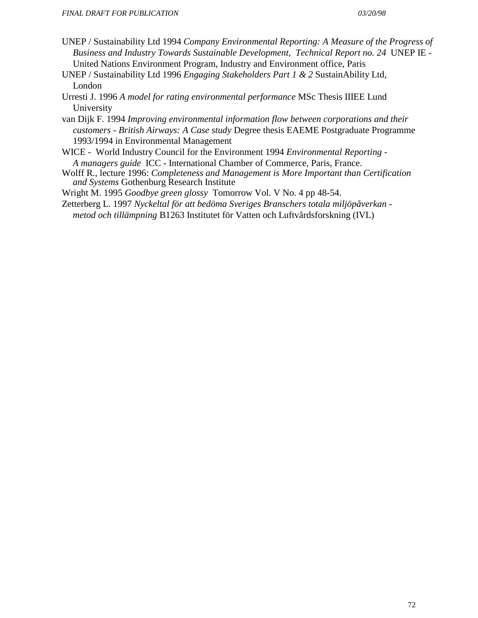- UNEP / Sustainability Ltd 1994 *Company Environmental Reporting: A Measure of the Progress of Business and Industry Towards Sustainable Development, Technical Report no. 24* UNEP IE - United Nations Environment Program, Industry and Environment office, Paris
- UNEP / Sustainability Ltd 1996 *Engaging Stakeholders Part 1 & 2* SustainAbility Ltd, London
- Urresti J. 1996 *A model for rating environmental performance* MSc Thesis IIIEE Lund University
- van Dijk F. 1994 *Improving environmental information flow between corporations and their customers - British Airways: A Case study* Degree thesis EAEME Postgraduate Programme 1993/1994 in Environmental Management
- WICE World Industry Council for the Environment 1994 *Environmental Reporting - A managers guide* ICC - International Chamber of Commerce, Paris, France.
- Wolff R., lecture 1996: *Completeness and Management is More Important than Certification and Systems* Gothenburg Research Institute
- Wright M. 1995 *Goodbye green glossy* Tomorrow Vol. V No. 4 pp 48-54.
- Zetterberg L. 1997 *Nyckeltal för att bedöma Sveriges Branschers totala miljöpåverkan metod och tillämpning* B1263 Institutet för Vatten och Luftvårdsforskning (IVL)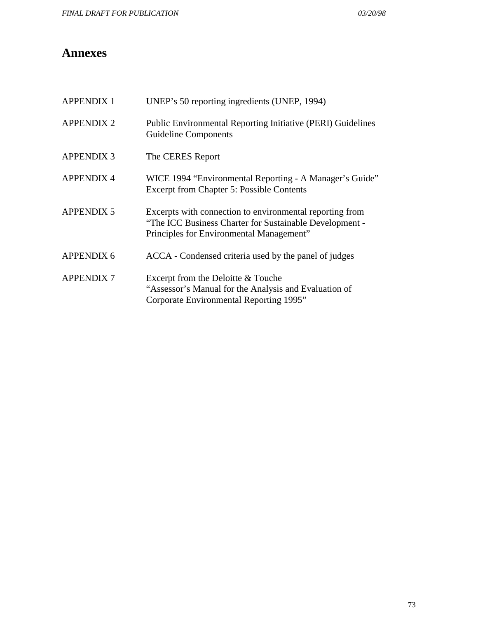# **Annexes**

| <b>APPENDIX 1</b> | UNEP's 50 reporting ingredients (UNEP, 1994)                                                                                                                    |
|-------------------|-----------------------------------------------------------------------------------------------------------------------------------------------------------------|
| <b>APPENDIX 2</b> | Public Environmental Reporting Initiative (PERI) Guidelines<br><b>Guideline Components</b>                                                                      |
| <b>APPENDIX 3</b> | The CERES Report                                                                                                                                                |
| <b>APPENDIX 4</b> | WICE 1994 "Environmental Reporting - A Manager's Guide"<br><b>Excerpt from Chapter 5: Possible Contents</b>                                                     |
| <b>APPENDIX 5</b> | Excerpts with connection to environmental reporting from<br>"The ICC Business Charter for Sustainable Development -<br>Principles for Environmental Management" |
| <b>APPENDIX 6</b> | ACCA - Condensed criteria used by the panel of judges                                                                                                           |
| <b>APPENDIX 7</b> | Excerpt from the Deloitte & Touche<br>"Assessor's Manual for the Analysis and Evaluation of<br>Corporate Environmental Reporting 1995"                          |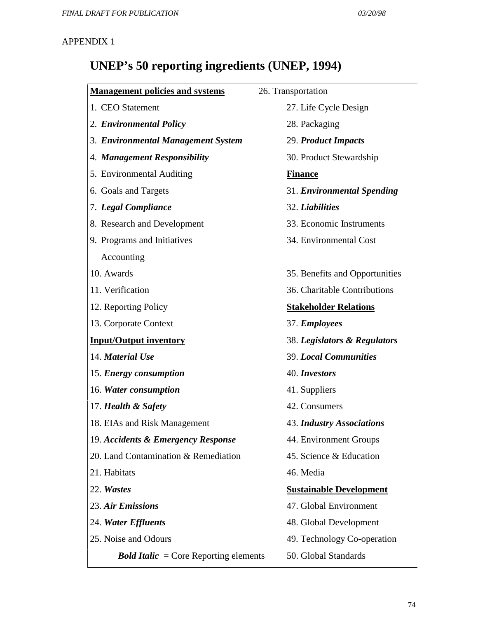# **UNEP's 50 reporting ingredients (UNEP, 1994)**

| <b>Management policies and systems</b>       | 26. Transportation               |
|----------------------------------------------|----------------------------------|
| 1. CEO Statement                             | 27. Life Cycle Design            |
| 2. Environmental Policy                      | 28. Packaging                    |
| 3. Environmental Management System           | 29. Product Impacts              |
| 4. Management Responsibility                 | 30. Product Stewardship          |
| 5. Environmental Auditing                    | <b>Finance</b>                   |
| 6. Goals and Targets                         | 31. Environmental Spending       |
| 7. Legal Compliance                          | 32. Liabilities                  |
| 8. Research and Development                  | 33. Economic Instruments         |
| 9. Programs and Initiatives                  | 34. Environmental Cost           |
| Accounting                                   |                                  |
| 10. Awards                                   | 35. Benefits and Opportunities   |
| 11. Verification                             | 36. Charitable Contributions     |
| 12. Reporting Policy                         | <b>Stakeholder Relations</b>     |
| 13. Corporate Context                        | 37. Employees                    |
| <b>Input/Output inventory</b>                | 38. Legislators & Regulators     |
| 14. Material Use                             | <b>39. Local Communities</b>     |
| 15. Energy consumption                       | 40. Investors                    |
| 16. Water consumption                        | 41. Suppliers                    |
| 17. Health & Safety                          | 42. Consumers                    |
| 18. EIAs and Risk Management                 | <b>43. Industry Associations</b> |
| 19. Accidents & Emergency Response           | 44. Environment Groups           |
| 20. Land Contamination & Remediation         | 45. Science & Education          |
| 21. Habitats                                 | 46. Media                        |
| 22. Wastes                                   | <b>Sustainable Development</b>   |
| 23. Air Emissions                            | 47. Global Environment           |
| 24. Water Effluents                          | 48. Global Development           |
| 25. Noise and Odours                         | 49. Technology Co-operation      |
| <b>Bold Italic</b> = Core Reporting elements | 50. Global Standards             |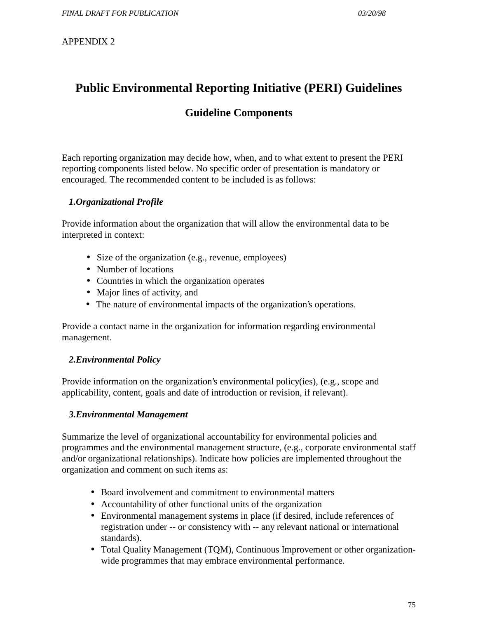# **Public Environmental Reporting Initiative (PERI) Guidelines**

# **Guideline Components**

Each reporting organization may decide how, when, and to what extent to present the PERI reporting components listed below. No specific order of presentation is mandatory or encouraged. The recommended content to be included is as follows:

## *1.Organizational Profile*

Provide information about the organization that will allow the environmental data to be interpreted in context:

- Size of the organization (e.g., revenue, employees)
- Number of locations
- Countries in which the organization operates
- Major lines of activity, and
- The nature of environmental impacts of the organization's operations.

Provide a contact name in the organization for information regarding environmental management.

## *2.Environmental Policy*

Provide information on the organization's environmental policy(ies), (e.g., scope and applicability, content, goals and date of introduction or revision, if relevant).

#### *3.Environmental Management*

Summarize the level of organizational accountability for environmental policies and programmes and the environmental management structure, (e.g., corporate environmental staff and/or organizational relationships). Indicate how policies are implemented throughout the organization and comment on such items as:

- Board involvement and commitment to environmental matters
- Accountability of other functional units of the organization
- Environmental management systems in place (if desired, include references of registration under -- or consistency with -- any relevant national or international standards).
- Total Quality Management (TQM), Continuous Improvement or other organizationwide programmes that may embrace environmental performance.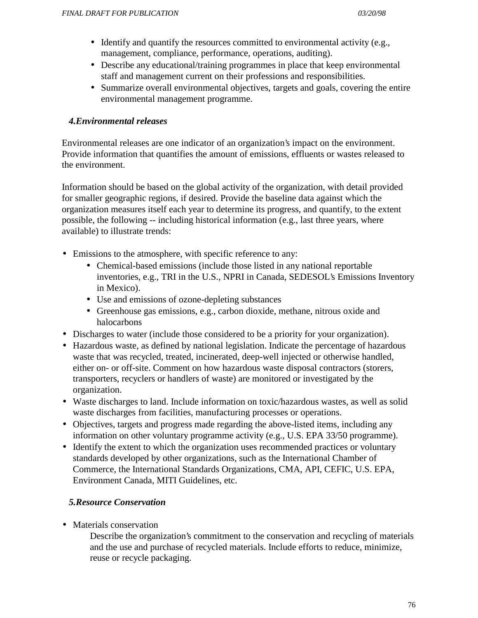- Identify and quantify the resources committed to environmental activity (e.g., management, compliance, performance, operations, auditing).
- Describe any educational/training programmes in place that keep environmental staff and management current on their professions and responsibilities.
- Summarize overall environmental objectives, targets and goals, covering the entire environmental management programme.

## *4.Environmental releases*

Environmental releases are one indicator of an organization's impact on the environment. Provide information that quantifies the amount of emissions, effluents or wastes released to the environment.

Information should be based on the global activity of the organization, with detail provided for smaller geographic regions, if desired. Provide the baseline data against which the organization measures itself each year to determine its progress, and quantify, to the extent possible, the following -- including historical information (e.g., last three years, where available) to illustrate trends:

- Emissions to the atmosphere, with specific reference to any:
	- Chemical-based emissions (include those listed in any national reportable inventories, e.g., TRI in the U.S., NPRI in Canada, SEDESOL's Emissions Inventory in Mexico).
	- Use and emissions of ozone-depleting substances
	- Greenhouse gas emissions, e.g., carbon dioxide, methane, nitrous oxide and halocarbons
- Discharges to water (include those considered to be a priority for your organization).
- Hazardous waste, as defined by national legislation. Indicate the percentage of hazardous waste that was recycled, treated, incinerated, deep-well injected or otherwise handled, either on- or off-site. Comment on how hazardous waste disposal contractors (storers, transporters, recyclers or handlers of waste) are monitored or investigated by the organization.
- Waste discharges to land. Include information on toxic/hazardous wastes, as well as solid waste discharges from facilities, manufacturing processes or operations.
- Objectives, targets and progress made regarding the above-listed items, including any information on other voluntary programme activity (e.g., U.S. EPA 33/50 programme).
- Identify the extent to which the organization uses recommended practices or voluntary standards developed by other organizations, such as the International Chamber of Commerce, the International Standards Organizations, CMA, API, CEFIC, U.S. EPA, Environment Canada, MITI Guidelines, etc.

## *5.Resource Conservation*

• Materials conservation

Describe the organization's commitment to the conservation and recycling of materials and the use and purchase of recycled materials. Include efforts to reduce, minimize, reuse or recycle packaging.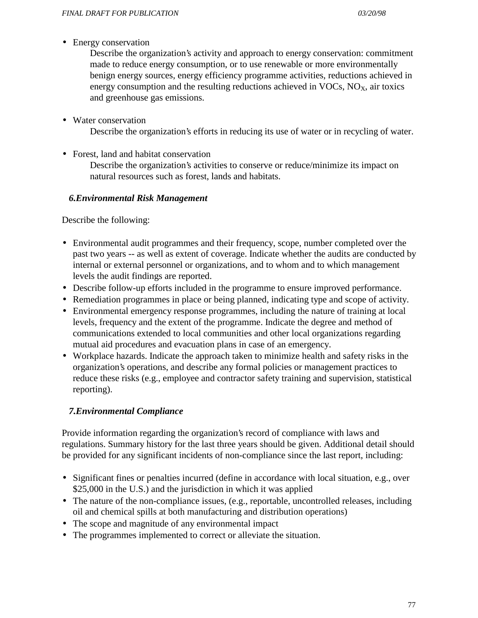• Energy conservation

Describe the organization's activity and approach to energy conservation: commitment made to reduce energy consumption, or to use renewable or more environmentally benign energy sources, energy efficiency programme activities, reductions achieved in energy consumption and the resulting reductions achieved in  $VOCs$ ,  $NO<sub>x</sub>$ , air toxics and greenhouse gas emissions.

• Water conservation

Describe the organization's efforts in reducing its use of water or in recycling of water.

• Forest, land and habitat conservation

Describe the organization's activities to conserve or reduce/minimize its impact on natural resources such as forest, lands and habitats.

### *6.Environmental Risk Management*

Describe the following:

- Environmental audit programmes and their frequency, scope, number completed over the past two years -- as well as extent of coverage. Indicate whether the audits are conducted by internal or external personnel or organizations, and to whom and to which management levels the audit findings are reported.
- Describe follow-up efforts included in the programme to ensure improved performance.
- Remediation programmes in place or being planned, indicating type and scope of activity.
- Environmental emergency response programmes, including the nature of training at local levels, frequency and the extent of the programme. Indicate the degree and method of communications extended to local communities and other local organizations regarding mutual aid procedures and evacuation plans in case of an emergency.
- Workplace hazards. Indicate the approach taken to minimize health and safety risks in the organization's operations, and describe any formal policies or management practices to reduce these risks (e.g., employee and contractor safety training and supervision, statistical reporting).

## *7.Environmental Compliance*

Provide information regarding the organization's record of compliance with laws and regulations. Summary history for the last three years should be given. Additional detail should be provided for any significant incidents of non-compliance since the last report, including:

- Significant fines or penalties incurred (define in accordance with local situation, e.g., over \$25,000 in the U.S.) and the jurisdiction in which it was applied
- The nature of the non-compliance issues, (e.g., reportable, uncontrolled releases, including oil and chemical spills at both manufacturing and distribution operations)
- The scope and magnitude of any environmental impact
- The programmes implemented to correct or alleviate the situation.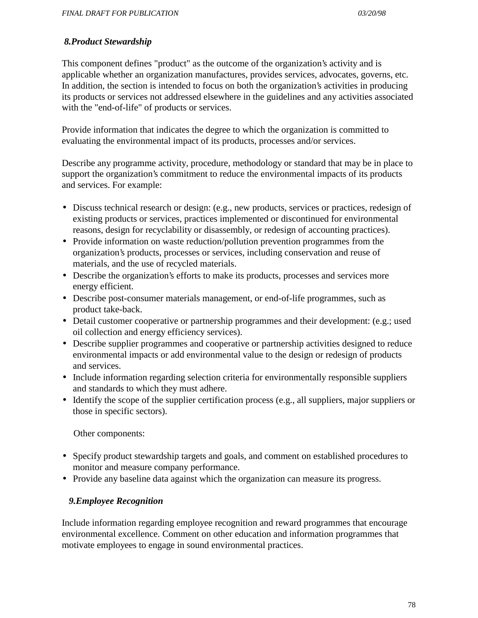### *8.Product Stewardship*

This component defines "product" as the outcome of the organization's activity and is applicable whether an organization manufactures, provides services, advocates, governs, etc. In addition, the section is intended to focus on both the organization's activities in producing its products or services not addressed elsewhere in the guidelines and any activities associated with the "end-of-life" of products or services.

Provide information that indicates the degree to which the organization is committed to evaluating the environmental impact of its products, processes and/or services.

Describe any programme activity, procedure, methodology or standard that may be in place to support the organization's commitment to reduce the environmental impacts of its products and services. For example:

- Discuss technical research or design: (e.g., new products, services or practices, redesign of existing products or services, practices implemented or discontinued for environmental reasons, design for recyclability or disassembly, or redesign of accounting practices).
- Provide information on waste reduction/pollution prevention programmes from the organization's products, processes or services, including conservation and reuse of materials, and the use of recycled materials.
- Describe the organization's efforts to make its products, processes and services more energy efficient.
- Describe post-consumer materials management, or end-of-life programmes, such as product take-back.
- Detail customer cooperative or partnership programmes and their development: (e.g.; used oil collection and energy efficiency services).
- Describe supplier programmes and cooperative or partnership activities designed to reduce environmental impacts or add environmental value to the design or redesign of products and services.
- Include information regarding selection criteria for environmentally responsible suppliers and standards to which they must adhere.
- Identify the scope of the supplier certification process (e.g., all suppliers, major suppliers or those in specific sectors).

Other components:

- Specify product stewardship targets and goals, and comment on established procedures to monitor and measure company performance.
- Provide any baseline data against which the organization can measure its progress.

## *9.Employee Recognition*

Include information regarding employee recognition and reward programmes that encourage environmental excellence. Comment on other education and information programmes that motivate employees to engage in sound environmental practices.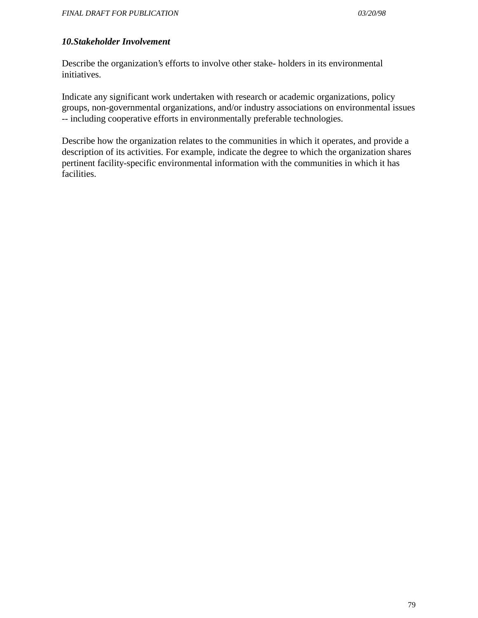#### *10.Stakeholder Involvement*

Describe the organization's efforts to involve other stake- holders in its environmental initiatives.

Indicate any significant work undertaken with research or academic organizations, policy groups, non-governmental organizations, and/or industry associations on environmental issues -- including cooperative efforts in environmentally preferable technologies.

Describe how the organization relates to the communities in which it operates, and provide a description of its activities. For example, indicate the degree to which the organization shares pertinent facility-specific environmental information with the communities in which it has facilities.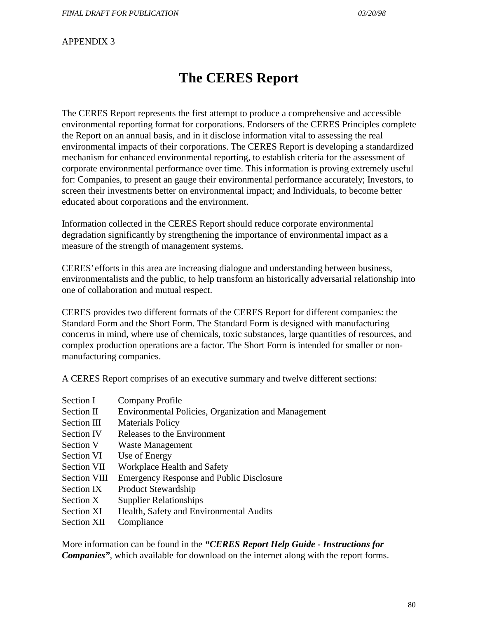# **The CERES Report**

The CERES Report represents the first attempt to produce a comprehensive and accessible environmental reporting format for corporations. Endorsers of the CERES Principles complete the Report on an annual basis, and in it disclose information vital to assessing the real environmental impacts of their corporations. The CERES Report is developing a standardized mechanism for enhanced environmental reporting, to establish criteria for the assessment of corporate environmental performance over time. This information is proving extremely useful for: Companies, to present an gauge their environmental performance accurately; Investors, to screen their investments better on environmental impact; and Individuals, to become better educated about corporations and the environment.

Information collected in the CERES Report should reduce corporate environmental degradation significantly by strengthening the importance of environmental impact as a measure of the strength of management systems.

CERES' efforts in this area are increasing dialogue and understanding between business, environmentalists and the public, to help transform an historically adversarial relationship into one of collaboration and mutual respect.

CERES provides two different formats of the CERES Report for different companies: the Standard Form and the Short Form. The Standard Form is designed with manufacturing concerns in mind, where use of chemicals, toxic substances, large quantities of resources, and complex production operations are a factor. The Short Form is intended for smaller or nonmanufacturing companies.

A CERES Report comprises of an executive summary and twelve different sections:

- Section I Company Profile Section II Environmental Policies, Organization and Management Section III Materials Policy Section IV Releases to the Environment Section V Waste Management Section VI Use of Energy Section VII Workplace Health and Safety Section VIII Emergency Response and Public Disclosure Section IX Product Stewardship Section X Supplier Relationships Section XI Health, Safety and Environmental Audits
- Section XII Compliance

More information can be found in the *"CERES Report Help Guide - Instructions for Companies"*, which available for download on the internet along with the report forms.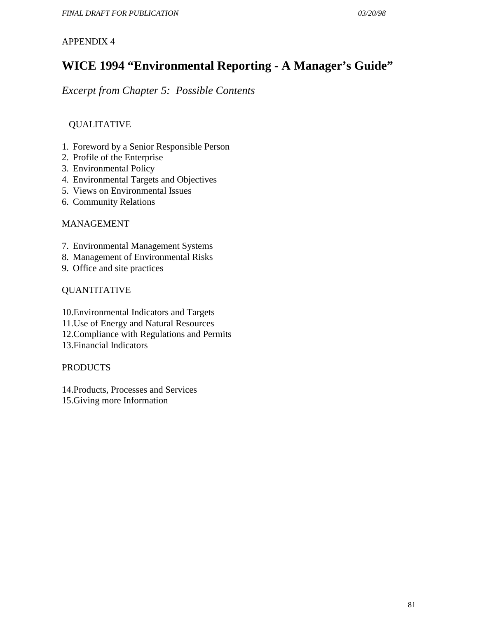# **WICE 1994 "Environmental Reporting - A Manager's Guide"**

*Excerpt from Chapter 5: Possible Contents*

## QUALITATIVE

- 1. Foreword by a Senior Responsible Person
- 2. Profile of the Enterprise
- 3. Environmental Policy
- 4. Environmental Targets and Objectives
- 5. Views on Environmental Issues
- 6. Community Relations

#### MANAGEMENT

- 7. Environmental Management Systems
- 8. Management of Environmental Risks
- 9. Office and site practices

### QUANTITATIVE

- 10.Environmental Indicators and Targets
- 11.Use of Energy and Natural Resources
- 12.Compliance with Regulations and Permits
- 13.Financial Indicators

#### PRODUCTS

14.Products, Processes and Services 15.Giving more Information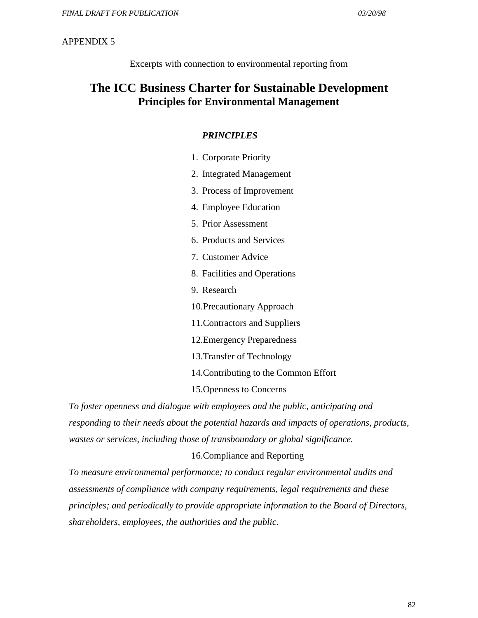Excerpts with connection to environmental reporting from

# **The ICC Business Charter for Sustainable Development Principles for Environmental Management**

#### *PRINCIPLES*

- 1. Corporate Priority
- 2. Integrated Management
- 3. Process of Improvement
- 4. Employee Education
- 5. Prior Assessment
- 6. Products and Services
- 7. Customer Advice
- 8. Facilities and Operations
- 9. Research
- 10.Precautionary Approach
- 11.Contractors and Suppliers
- 12.Emergency Preparedness
- 13.Transfer of Technology
- 14.Contributing to the Common Effort
- 15.Openness to Concerns

 *To foster openness and dialogue with employees and the public, anticipating and responding to their needs about the potential hazards and impacts of operations, products, wastes or services, including those of transboundary or global significance.*

#### 16.Compliance and Reporting

 *To measure environmental performance; to conduct regular environmental audits and assessments of compliance with company requirements, legal requirements and these principles; and periodically to provide appropriate information to the Board of Directors, shareholders, employees, the authorities and the public.*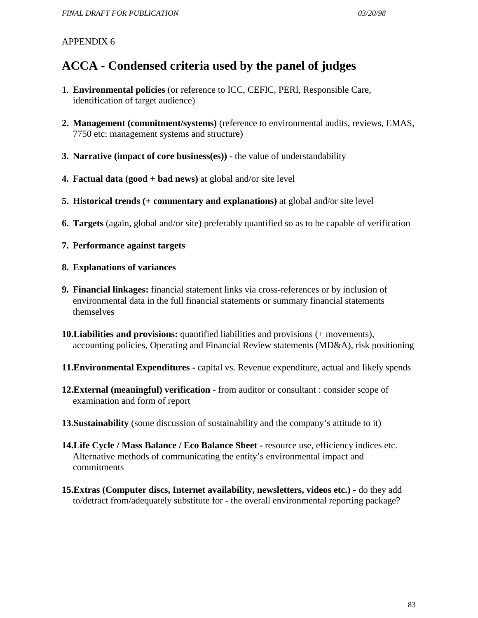# **ACCA - Condensed criteria used by the panel of judges**

- 1. **Environmental policies** (or reference to ICC, CEFIC, PERI, Responsible Care, identification of target audience)
- **2. Management (commitment/systems)** (reference to environmental audits, reviews, EMAS, 7750 etc: management systems and structure)
- **3. Narrative (impact of core business(es))** the value of understandability
- **4. Factual data (good + bad news)** at global and/or site level
- **5. Historical trends (+ commentary and explanations)** at global and/or site level
- **6. Targets** (again, global and/or site) preferably quantified so as to be capable of verification
- **7. Performance against targets**

#### **8. Explanations of variances**

- **9. Financial linkages:** financial statement links via cross-references or by inclusion of environmental data in the full financial statements or summary financial statements themselves
- **10.Liabilities and provisions:** quantified liabilities and provisions (+ movements), accounting policies, Operating and Financial Review statements (MD&A), risk positioning
- **11.Environmental Expenditures** capital vs. Revenue expenditure, actual and likely spends
- **12.External (meaningful) verification** from auditor or consultant : consider scope of examination and form of report
- **13.Sustainability** (some discussion of sustainability and the company's attitude to it)
- **14.Life Cycle / Mass Balance / Eco Balance Sheet** resource use, efficiency indices etc. Alternative methods of communicating the entity's environmental impact and commitments
- **15.Extras (Computer discs, Internet availability, newsletters, videos etc.)** do they add to/detract from/adequately substitute for - the overall environmental reporting package?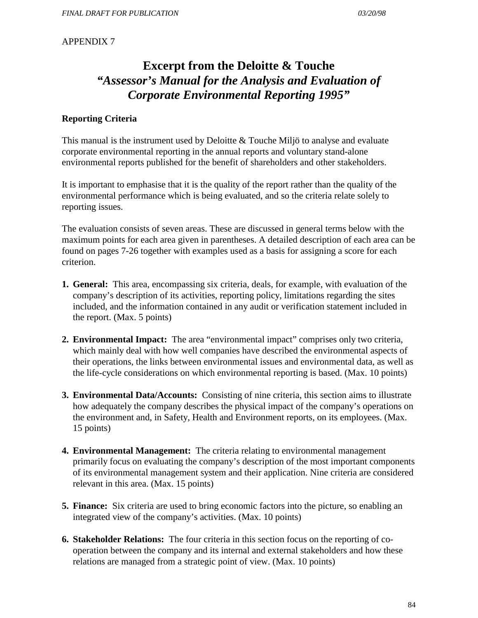# **Excerpt from the Deloitte & Touche** *"Assessor's Manual for the Analysis and Evaluation of Corporate Environmental Reporting 1995"*

#### **Reporting Criteria**

This manual is the instrument used by Deloitte & Touche Miljö to analyse and evaluate corporate environmental reporting in the annual reports and voluntary stand-alone environmental reports published for the benefit of shareholders and other stakeholders.

It is important to emphasise that it is the quality of the report rather than the quality of the environmental performance which is being evaluated, and so the criteria relate solely to reporting issues.

The evaluation consists of seven areas. These are discussed in general terms below with the maximum points for each area given in parentheses. A detailed description of each area can be found on pages 7-26 together with examples used as a basis for assigning a score for each criterion.

- **1. General:** This area, encompassing six criteria, deals, for example, with evaluation of the company's description of its activities, reporting policy, limitations regarding the sites included, and the information contained in any audit or verification statement included in the report. (Max. 5 points)
- **2. Environmental Impact:** The area "environmental impact" comprises only two criteria, which mainly deal with how well companies have described the environmental aspects of their operations, the links between environmental issues and environmental data, as well as the life-cycle considerations on which environmental reporting is based. (Max. 10 points)
- **3. Environmental Data/Accounts:** Consisting of nine criteria, this section aims to illustrate how adequately the company describes the physical impact of the company's operations on the environment and, in Safety, Health and Environment reports, on its employees. (Max. 15 points)
- **4. Environmental Management:** The criteria relating to environmental management primarily focus on evaluating the company's description of the most important components of its environmental management system and their application. Nine criteria are considered relevant in this area. (Max. 15 points)
- **5. Finance:** Six criteria are used to bring economic factors into the picture, so enabling an integrated view of the company's activities. (Max. 10 points)
- **6. Stakeholder Relations:** The four criteria in this section focus on the reporting of cooperation between the company and its internal and external stakeholders and how these relations are managed from a strategic point of view. (Max. 10 points)